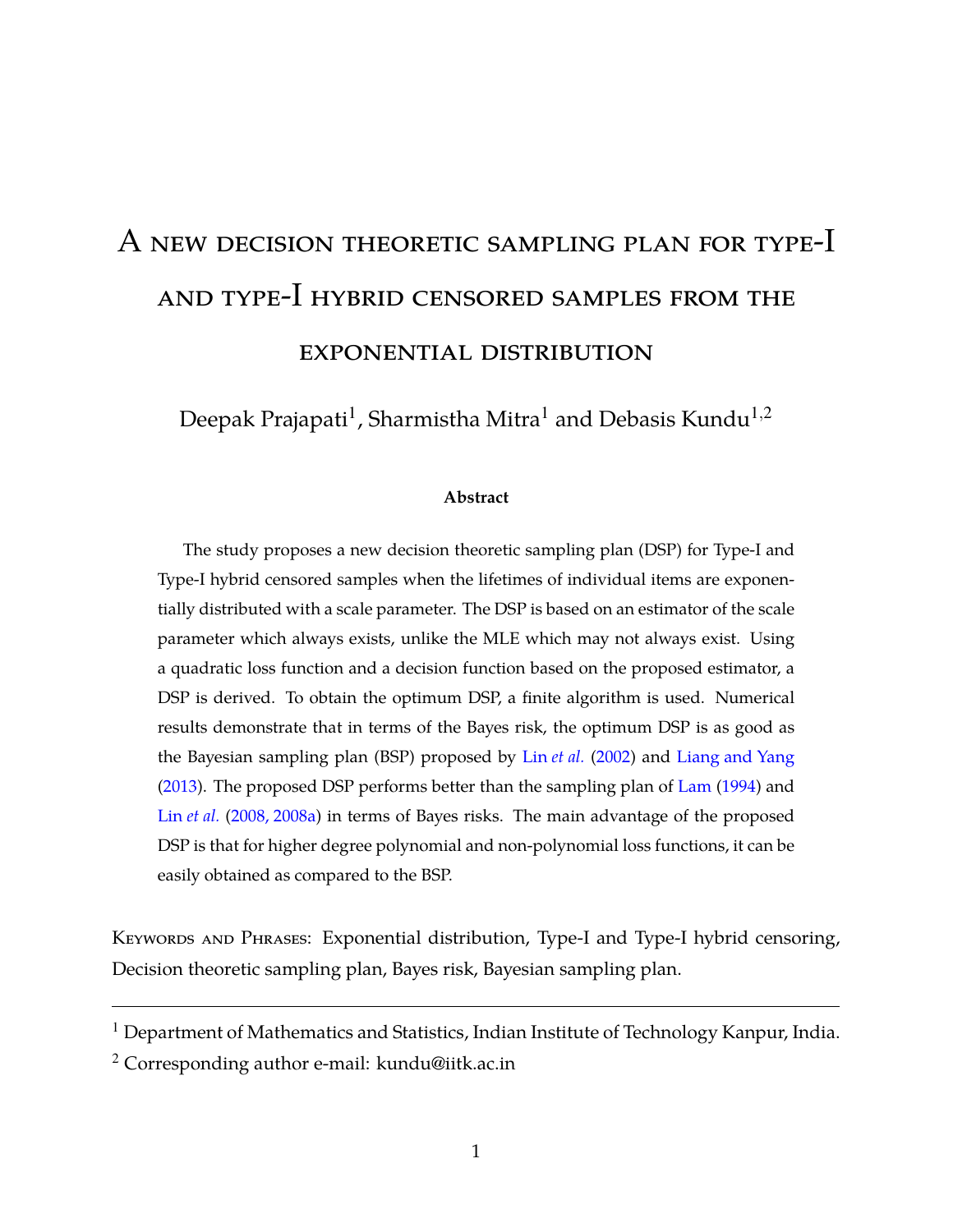# A new decision theoretic sampling plan for type-I and type-I hybrid censored samples from the exponential distribution

Deepak Prajapati $^{\rm l}$ , Sharmistha Mitra $^{\rm l}$  and Debasis Kundu $^{\rm l,2}$ 

### **Abstract**

The study proposes a new decision theoretic sampling plan (DSP) for Type-I and Type-I hybrid censored samples when the lifetimes of individual items are exponentially distributed with a scale parameter. The DSP is based on an estimator of the scale parameter which always exists, unlike the MLE which may not always exist. Using a quadratic loss function and a decision function based on the proposed estimator, a DSP is derived. To obtain the optimum DSP, a finite algorithm is used. Numerical results demonstrate that in terms of the Bayes risk, the optimum DSP is as good as the Bayesian sampling plan (BSP) proposed by Lin *[et al.](#page-34-0)* [\(2002](#page-34-0)) and [Liang and Yang](#page-35-0) [\(2013\)](#page-35-0). The proposed DSP performs better than the sampling plan of [Lam](#page-34-1) [\(1994\)](#page-34-1) and Lin *[et al.](#page-34-2)* [\(2008, 2008a](#page-34-2)) in terms of Bayes risks. The main advantage of the proposed DSP is that for higher degree polynomial and non-polynomial loss functions, it can be easily obtained as compared to the BSP.

KEYWORDS AND PHRASES: Exponential distribution, Type-I and Type-I hybrid censoring, Decision theoretic sampling plan, Bayes risk, Bayesian sampling plan.

<sup>&</sup>lt;sup>1</sup> Department of Mathematics and Statistics, Indian Institute of Technology Kanpur, India.

<sup>&</sup>lt;sup>2</sup> Corresponding author e-mail: kundu@iitk.ac.in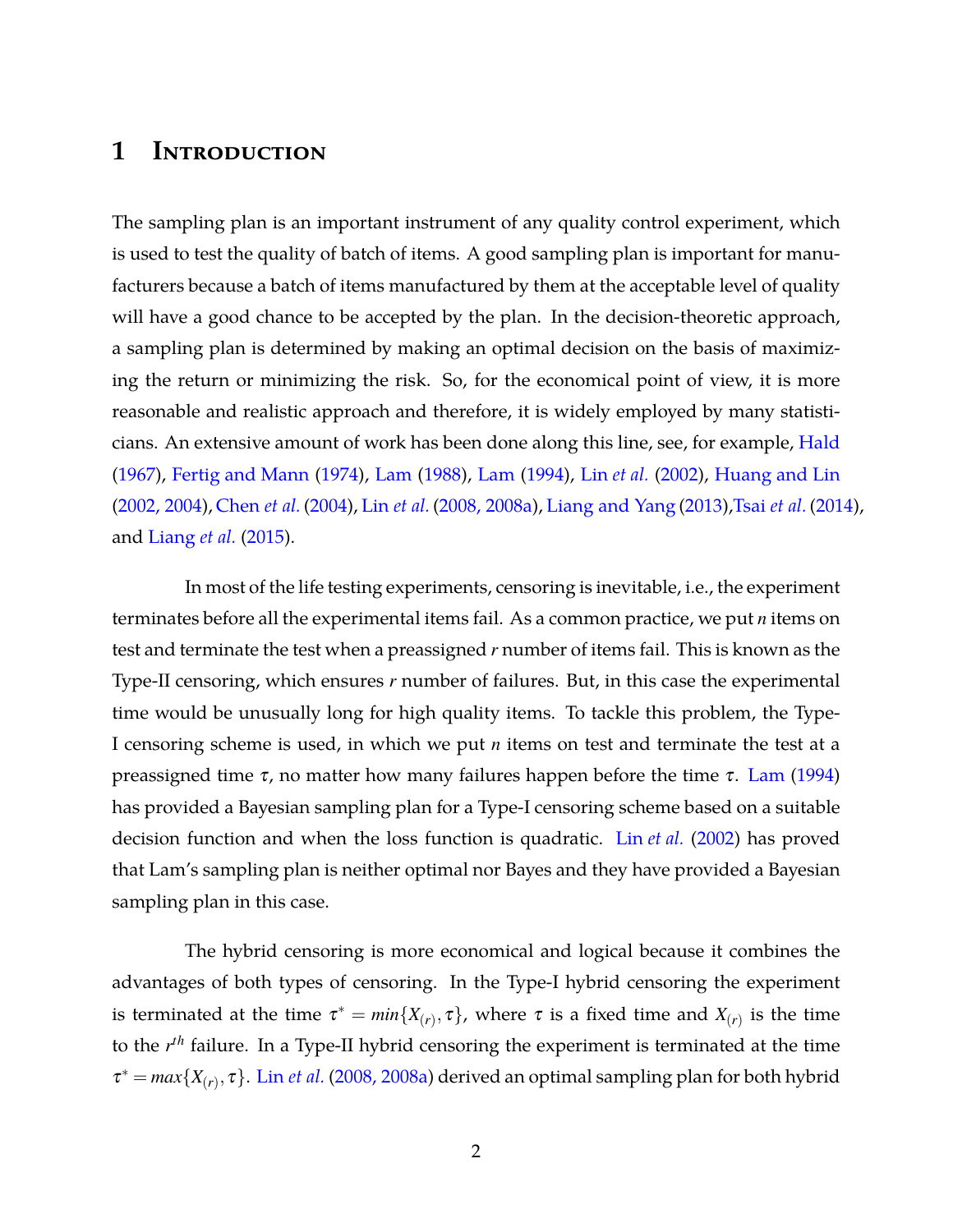# **1 Introduction**

The sampling plan is an important instrument of any quality control experiment, which is used to test the quality of batch of items. A good sampling plan is important for manufacturers because a batch of items manufactured by them at the acceptable level of quality will have a good chance to be accepted by the plan. In the decision-theoretic approach, a sampling plan is determined by making an optimal decision on the basis of maximizing the return or minimizing the risk. So, for the economical point of view, it is more reasonable and realistic approach and therefore, it is widely employed by many statisti-cians. An extensive amount of work has been done along this line, see, for example, [Hald](#page-33-0) [\(1967\)](#page-33-0), [Fertig and Mann](#page-33-1) [\(1974](#page-33-1)), [Lam](#page-34-3) [\(1988](#page-34-3)), [Lam](#page-34-1) [\(1994](#page-34-1)), Lin *[et al.](#page-34-0)* [\(2002\)](#page-34-0), [Huang and Lin](#page-34-4) [\(2002, 2004\)](#page-34-4), [Chen](#page-34-5) *et al.* [\(2004](#page-34-5)), Lin *[et al.](#page-34-2)* [\(2008, 2008a](#page-34-2)), [Liang and Yang](#page-35-0) [\(2013](#page-35-0)),Tsai *[et al.](#page-35-1)* [\(2014](#page-35-1)), and [Liang](#page-35-2) *et al.* [\(2015\)](#page-35-2).

In most of the life testing experiments, censoring is inevitable, i.e., the experiment terminates before all the experimental items fail. As a common practice, we put *n* items on test and terminate the test when a preassigned *r* number of items fail. This is known as the Type-II censoring, which ensures *r* number of failures. But, in this case the experimental time would be unusually long for high quality items. To tackle this problem, the Type-I censoring scheme is used, in which we put *n* items on test and terminate the test at a preassigned time  $τ$ , no matter how many failures happen before the time  $τ$ . [Lam](#page-34-1) [\(1994](#page-34-1)) has provided a Bayesian sampling plan for a Type-I censoring scheme based on a suitable decision function and when the loss function is quadratic. Lin *[et al.](#page-34-0)* [\(2002\)](#page-34-0) has proved that Lam's sampling plan is neither optimal nor Bayes and they have provided a Bayesian sampling plan in this case.

The hybrid censoring is more economical and logical because it combines the advantages of both types of censoring. In the Type-I hybrid censoring the experiment is terminated at the time  $\tau^* = min\{X_{(r)}, \tau\}$ , where  $\tau$  is a fixed time and  $X_{(r)}$  is the time to the *r th* failure. In a Type-II hybrid censoring the experiment is terminated at the time  $\tau^* = max\{X_{(r)}, \tau\}$ . Lin *[et al.](#page-34-2)* [\(2008, 2008a](#page-34-2)) derived an optimal sampling plan for both hybrid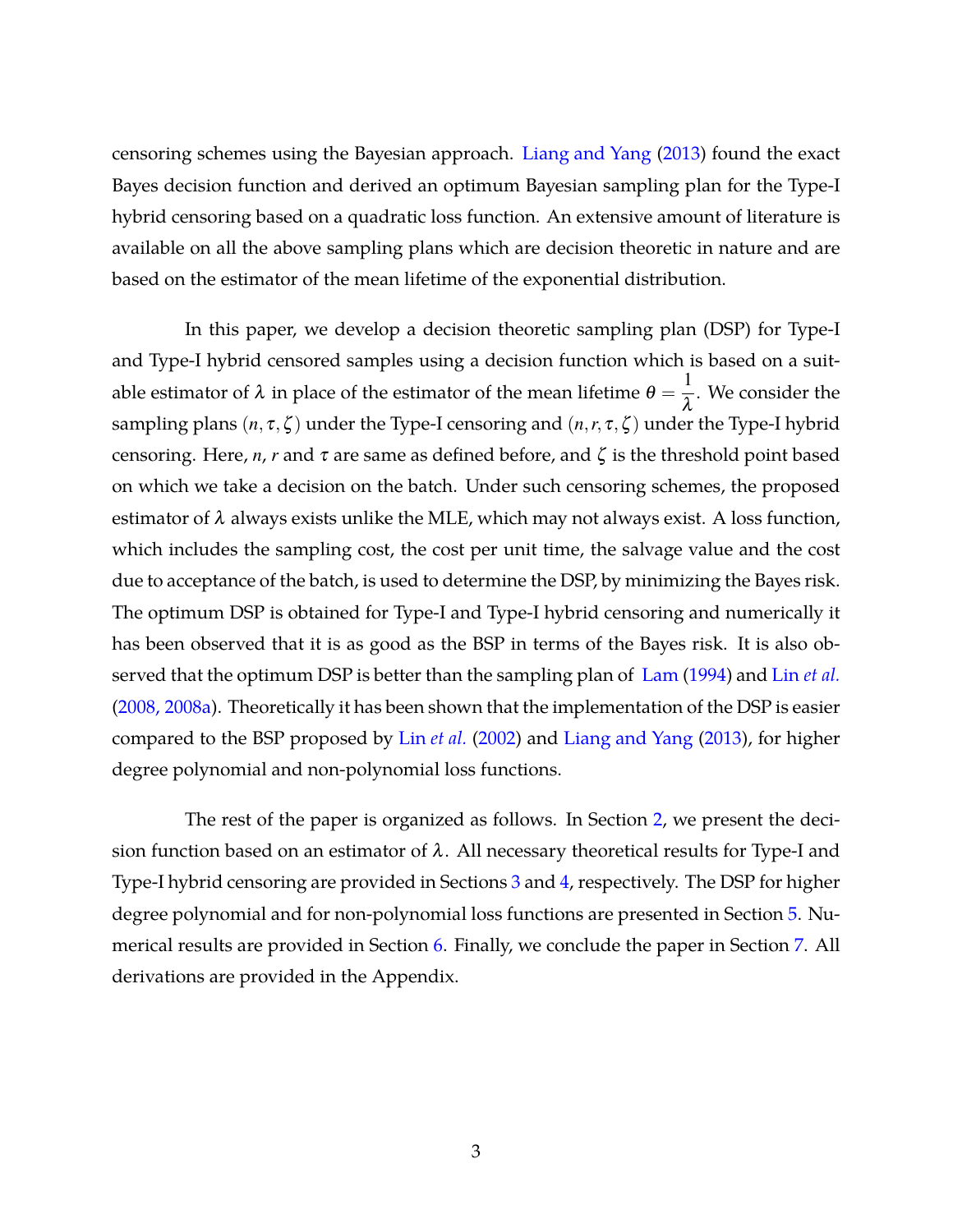censoring schemes using the Bayesian approach. [Liang and Yang](#page-35-0) [\(2013](#page-35-0)) found the exact Bayes decision function and derived an optimum Bayesian sampling plan for the Type-I hybrid censoring based on a quadratic loss function. An extensive amount of literature is available on all the above sampling plans which are decision theoretic in nature and are based on the estimator of the mean lifetime of the exponential distribution.

In this paper, we develop a decision theoretic sampling plan (DSP) for Type-I and Type-I hybrid censored samples using a decision function which is based on a suitable estimator of  $\lambda$  in place of the estimator of the mean lifetime  $\theta=$ 1  $\frac{1}{\lambda}$ . We consider the sampling plans  $(n, \tau, \zeta)$  under the Type-I censoring and  $(n, r, \tau, \zeta)$  under the Type-I hybrid censoring. Here,  $n$ ,  $r$  and  $\tau$  are same as defined before, and  $\zeta$  is the threshold point based on which we take a decision on the batch. Under such censoring schemes, the proposed estimator of  $\lambda$  always exists unlike the MLE, which may not always exist. A loss function, which includes the sampling cost, the cost per unit time, the salvage value and the cost due to acceptance of the batch, is used to determine the DSP, by minimizing the Bayes risk. The optimum DSP is obtained for Type-I and Type-I hybrid censoring and numerically it has been observed that it is as good as the BSP in terms of the Bayes risk. It is also observed that the optimum DSP is better than the sampling plan of [Lam](#page-34-1) [\(1994\)](#page-34-1) and Lin *[et al.](#page-34-2)* [\(2008, 2008a\)](#page-34-2). Theoretically it has been shown that the implementation of the DSP is easier compared to the BSP proposed by Lin *[et al.](#page-34-0)* [\(2002](#page-34-0)) and [Liang and Yang](#page-35-0) [\(2013\)](#page-35-0), for higher degree polynomial and non-polynomial loss functions.

The rest of the paper is organized as follows. In Section [2,](#page-3-0) we present the decision function based on an estimator of  $\lambda$ . All necessary theoretical results for Type-I and Type-I hybrid censoring are provided in Sections [3](#page-4-0) and [4,](#page-7-0) respectively. The DSP for higher degree polynomial and for non-polynomial loss functions are presented in Section [5.](#page-10-0) Numerical results are provided in Section [6.](#page-13-0) Finally, we conclude the paper in Section [7.](#page-28-0) All derivations are provided in the Appendix.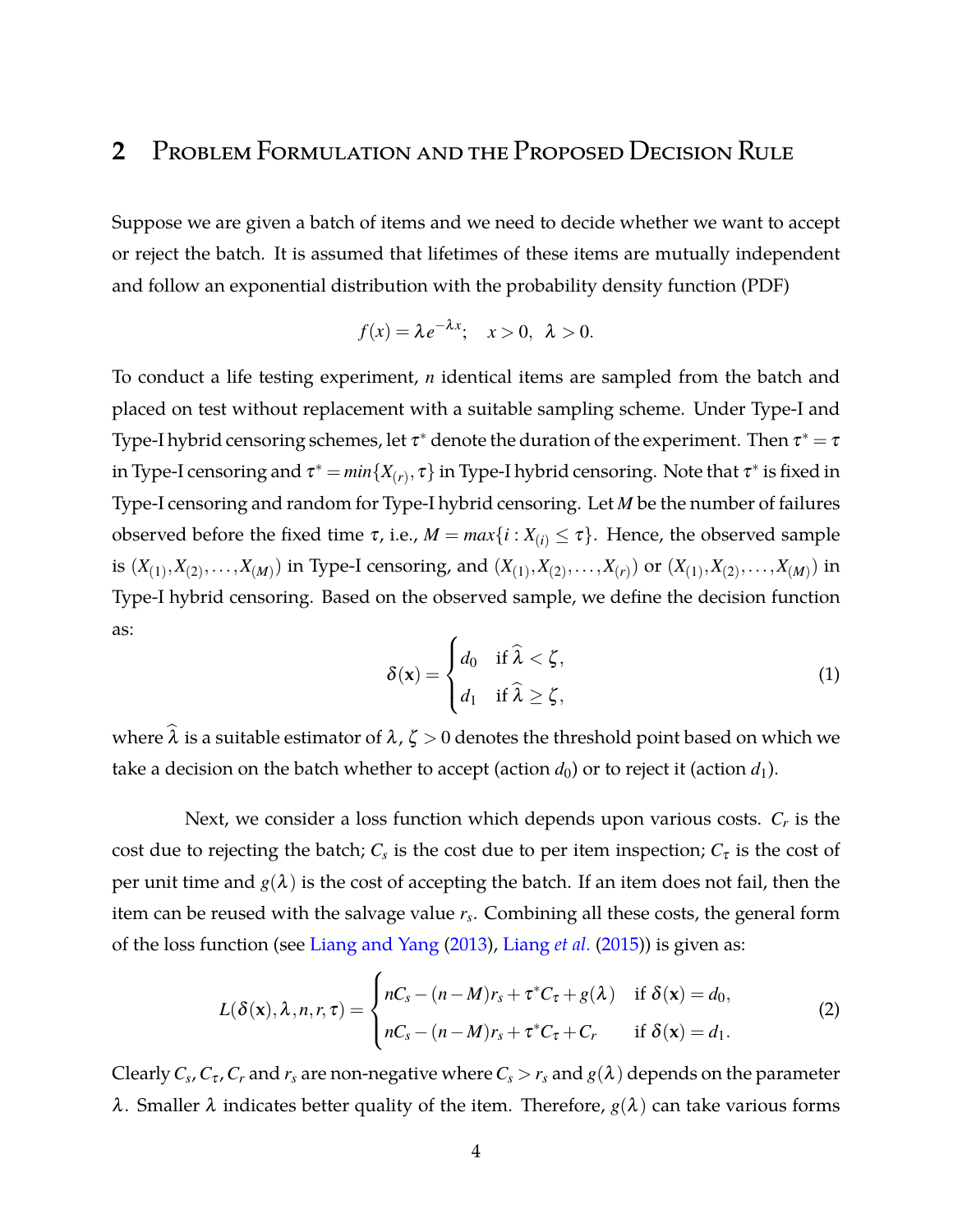# <span id="page-3-0"></span>**2** Problem Formulation and the Proposed Decision Rule

Suppose we are given a batch of items and we need to decide whether we want to accept or reject the batch. It is assumed that lifetimes of these items are mutually independent and follow an exponential distribution with the probability density function (PDF)

$$
f(x) = \lambda e^{-\lambda x}; \quad x > 0, \ \lambda > 0.
$$

To conduct a life testing experiment, *n* identical items are sampled from the batch and placed on test without replacement with a suitable sampling scheme. Under Type-I and Type-I hybrid censoring schemes, let  $\tau^*$  denote the duration of the experiment. Then  $\tau^*=\tau$ in Type-I censoring and  $\tau^* = min\{X_{(r)}, \tau\}$  in Type-I hybrid censoring. Note that  $\tau^*$  is fixed in Type-I censoring and random for Type-I hybrid censoring. Let *M* be the number of failures observed before the fixed time  $\tau$ , i.e.,  $M = max\{i : X_{(i)} \leq \tau\}$ . Hence, the observed sample is  $(X_{(1)}, X_{(2)}, \ldots, X_{(M)})$  in Type-I censoring, and  $(X_{(1)}, X_{(2)}, \ldots, X_{(r)})$  or  $(X_{(1)}, X_{(2)}, \ldots, X_{(M)})$  in Type-I hybrid censoring. Based on the observed sample, we define the decision function as:

<span id="page-3-2"></span>
$$
\delta(\mathbf{x}) = \begin{cases} d_0 & \text{if } \widehat{\lambda} < \zeta, \\ d_1 & \text{if } \widehat{\lambda} \ge \zeta, \end{cases} \tag{1}
$$

where  $\hat{\lambda}$  is a suitable estimator of  $\lambda$ ,  $\zeta > 0$  denotes the threshold point based on which we take a decision on the batch whether to accept (action  $d_0$ ) or to reject it (action  $d_1$ ).

Next, we consider a loss function which depends upon various costs. *C<sup>r</sup>* is the cost due to rejecting the batch;  $C_s$  is the cost due to per item inspection;  $C_{\tau}$  is the cost of per unit time and  $g(\lambda)$  is the cost of accepting the batch. If an item does not fail, then the item can be reused with the salvage value *r<sup>s</sup>* . Combining all these costs, the general form of the loss function (see [Liang and Yang](#page-35-0) [\(2013](#page-35-0)), [Liang](#page-35-2) *et al.* [\(2015\)](#page-35-2)) is given as:

<span id="page-3-1"></span>
$$
L(\delta(\mathbf{x}), \lambda, n, r, \tau) = \begin{cases} nC_s - (n-M)r_s + \tau^* C_{\tau} + g(\lambda) & \text{if } \delta(\mathbf{x}) = d_0, \\ nC_s - (n-M)r_s + \tau^* C_{\tau} + C_r & \text{if } \delta(\mathbf{x}) = d_1. \end{cases}
$$
(2)

Clearly  $C_s$ ,  $C_\tau$ ,  $C_r$  and  $r_s$  are non-negative where  $C_s$   $>$   $r_s$  and  $g(\lambda)$  depends on the parameter λ. Smaller λ indicates better quality of the item. Therefore,  $g(\lambda)$  can take various forms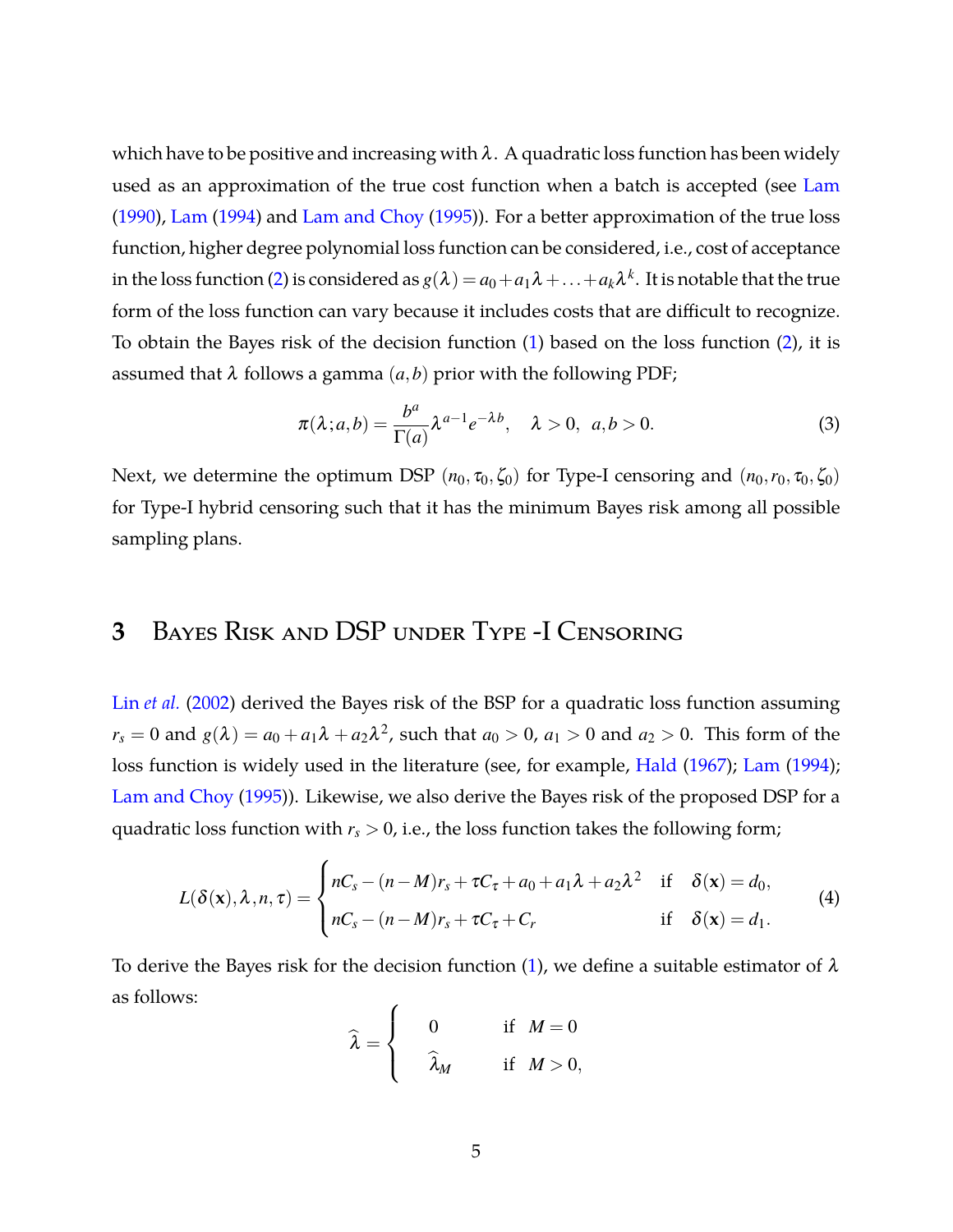which have to be positive and increasing with  $\lambda$ . A quadratic loss function has been widely used as an approximation of the true cost function when a batch is accepted (see [Lam](#page-34-6) [\(1990\)](#page-34-6), [Lam](#page-34-1) [\(1994](#page-34-1)) and [Lam and Choy](#page-34-7) [\(1995](#page-34-7))). For a better approximation of the true loss function, higher degree polynomial loss function can be considered, i.e., cost of acceptance in the loss function [\(2\)](#page-3-1) is considered as  $g(\lambda)=a_0+a_1\lambda+\ldots+a_k\lambda^k.$  It is notable that the true form of the loss function can vary because it includes costs that are difficult to recognize. To obtain the Bayes risk of the decision function [\(1\)](#page-3-2) based on the loss function [\(2\)](#page-3-1), it is assumed that  $\lambda$  follows a gamma  $(a,b)$  prior with the following PDF;

<span id="page-4-1"></span>
$$
\pi(\lambda; a, b) = \frac{b^a}{\Gamma(a)} \lambda^{a-1} e^{-\lambda b}, \quad \lambda > 0, \ a, b > 0.
$$
 (3)

Next, we determine the optimum DSP  $(n_0, \tau_0, \zeta_0)$  for Type-I censoring and  $(n_0, r_0, \tau_0, \zeta_0)$ for Type-I hybrid censoring such that it has the minimum Bayes risk among all possible sampling plans.

### <span id="page-4-0"></span>**3** Bayes Risk and DSP under Type -I Censoring

Lin *[et al.](#page-34-0)* [\(2002](#page-34-0)) derived the Bayes risk of the BSP for a quadratic loss function assuming  $r_s = 0$  and  $g(\lambda) = a_0 + a_1\lambda + a_2\lambda^2$ , such that  $a_0 > 0$ ,  $a_1 > 0$  and  $a_2 > 0$ . This form of the loss function is widely used in the literature (see, for example, [Hald](#page-33-0) [\(1967\)](#page-33-0); [Lam](#page-34-1) [\(1994](#page-34-1)); [Lam and Choy](#page-34-7) [\(1995](#page-34-7))). Likewise, we also derive the Bayes risk of the proposed DSP for a quadratic loss function with  $r_s > 0$ , i.e., the loss function takes the following form;

<span id="page-4-2"></span>
$$
L(\delta(\mathbf{x}), \lambda, n, \tau) = \begin{cases} nC_s - (n-M)r_s + \tau C_\tau + a_0 + a_1 \lambda + a_2 \lambda^2 & \text{if } \delta(\mathbf{x}) = d_0, \\ nC_s - (n-M)r_s + \tau C_\tau + C_r & \text{if } \delta(\mathbf{x}) = d_1. \end{cases}
$$
(4)

To derive the Bayes risk for the decision function [\(1\)](#page-3-2), we define a suitable estimator of  $\lambda$ as follows:  $\lambda$ 

$$
\widehat{\lambda} = \begin{cases}\n0 & \text{if } M = 0 \\
\widehat{\lambda}_M & \text{if } M > 0,\n\end{cases}
$$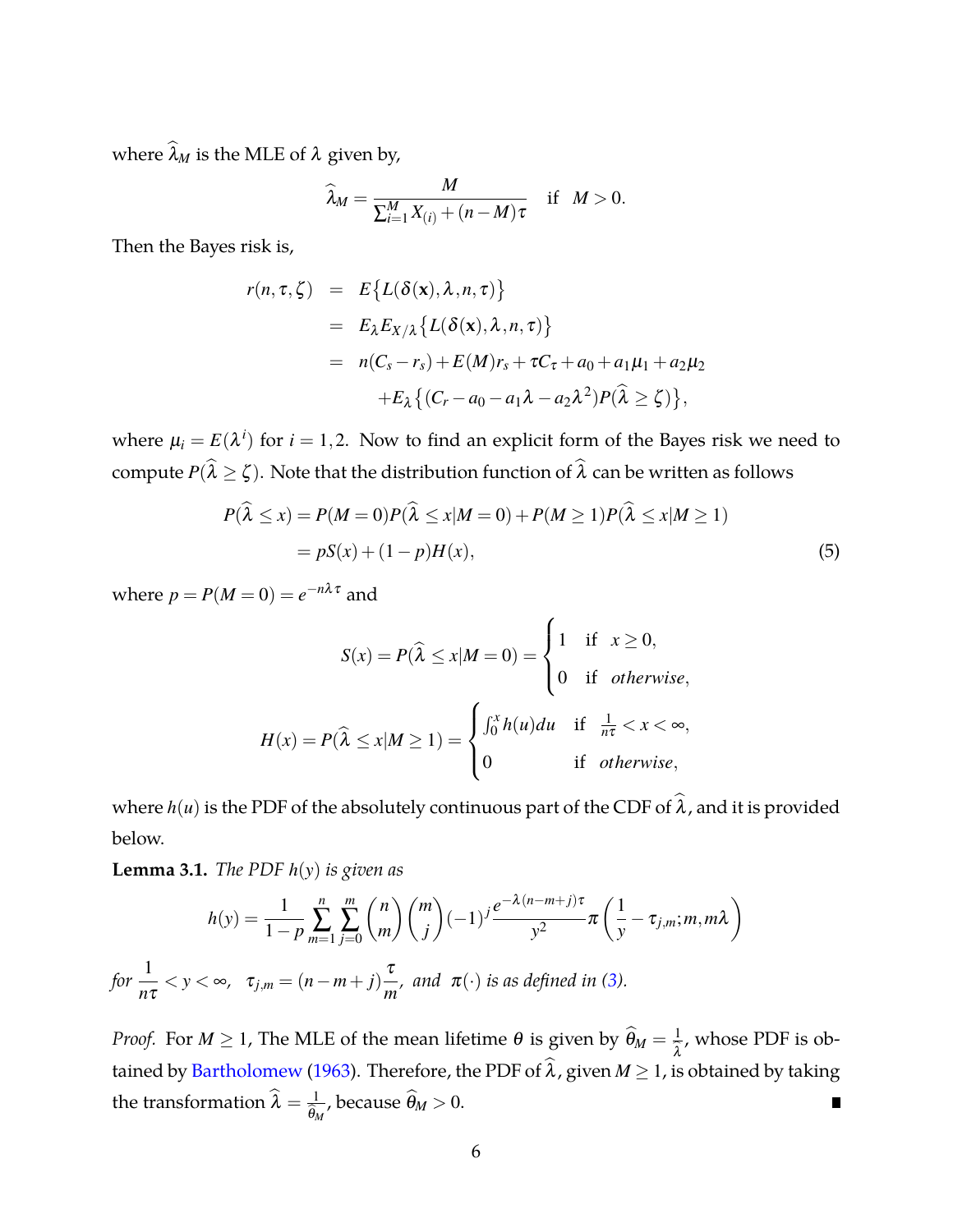where  $\widehat{\lambda}_M$  is the MLE of  $\lambda$  given by,

$$
\widehat{\lambda}_M = \frac{M}{\sum_{i=1}^M X_{(i)} + (n-M)\tau} \quad \text{if} \quad M > 0.
$$

Then the Bayes risk is,

$$
r(n, \tau, \zeta) = E\{L(\delta(\mathbf{x}), \lambda, n, \tau)\}
$$
  
=  $E_{\lambda} E_{X/\lambda} \{L(\delta(\mathbf{x}), \lambda, n, \tau)\}$   
=  $n(C_s - r_s) + E(M)r_s + \tau C_{\tau} + a_0 + a_1\mu_1 + a_2\mu_2$   
+ $E_{\lambda} \{ (C_r - a_0 - a_1\lambda - a_2\lambda^2) P(\widehat{\lambda} \ge \zeta) \},$ 

where  $\mu_i = E(\lambda^i)$  for  $i = 1, 2$ . Now to find an explicit form of the Bayes risk we need to compute  $P(\lambda \geq \zeta)$ . Note that the distribution function of  $\lambda$  can be written as follows

$$
P(\widehat{\lambda} \le x) = P(M=0)P(\widehat{\lambda} \le x|M=0) + P(M \ge 1)P(\widehat{\lambda} \le x|M \ge 1)
$$
  
=  $pS(x) + (1-p)H(x)$ , (5)

where  $p = P(M=0) = e^{-n\lambda \tau}$  and

<span id="page-5-1"></span>
$$
S(x) = P(\widehat{\lambda} \le x | M = 0) = \begin{cases} 1 & \text{if } x \ge 0, \\ 0 & \text{if } otherwise, \end{cases}
$$
\n
$$
H(x) = P(\widehat{\lambda} \le x | M \ge 1) = \begin{cases} \int_0^x h(u) du & \text{if } \frac{1}{n\tau} < x < \infty, \\ 0 & \text{if } otherwise, \end{cases}
$$

where  $h(u)$  is the PDF of the absolutely continuous part of the CDF of  $\hat{\lambda}$ , and it is provided below.

<span id="page-5-0"></span>**Lemma 3.1.** *The PDF h*(*y*) *is given as*

$$
h(y) = \frac{1}{1-p} \sum_{m=1}^{n} \sum_{j=0}^{m} {n \choose m} {m \choose j} (-1)^j \frac{e^{-\lambda(n-m+j)\tau}}{y^2} \pi \left( \frac{1}{y} - \tau_{j,m}; m, m\lambda \right)
$$
  
for  $\frac{1}{n\tau} < y < \infty$ ,  $\tau_{j,m} = (n-m+j)\frac{\tau}{m}$ , and  $\pi(\cdot)$  is as defined in (3).

*Proof.* For  $M \geq 1$ , The MLE of the mean lifetime  $\theta$  is given by  $\widehat{\theta}_M = \frac{1}{\widehat{\lambda}}$ , whose PDF is ob- $\lambda$ tained by [Bartholomew](#page-33-2) [\(1963](#page-33-2)). Therefore, the PDF of  $\hat{\lambda}$ , given  $M \geq 1$ , is obtained by taking the transformation  $\widehat{\lambda} = \frac{1}{\widehat{\theta}_\lambda}$  $\frac{1}{\hat{\theta}_M}$ , because  $\hat{\theta}_M > 0$ .  $\blacksquare$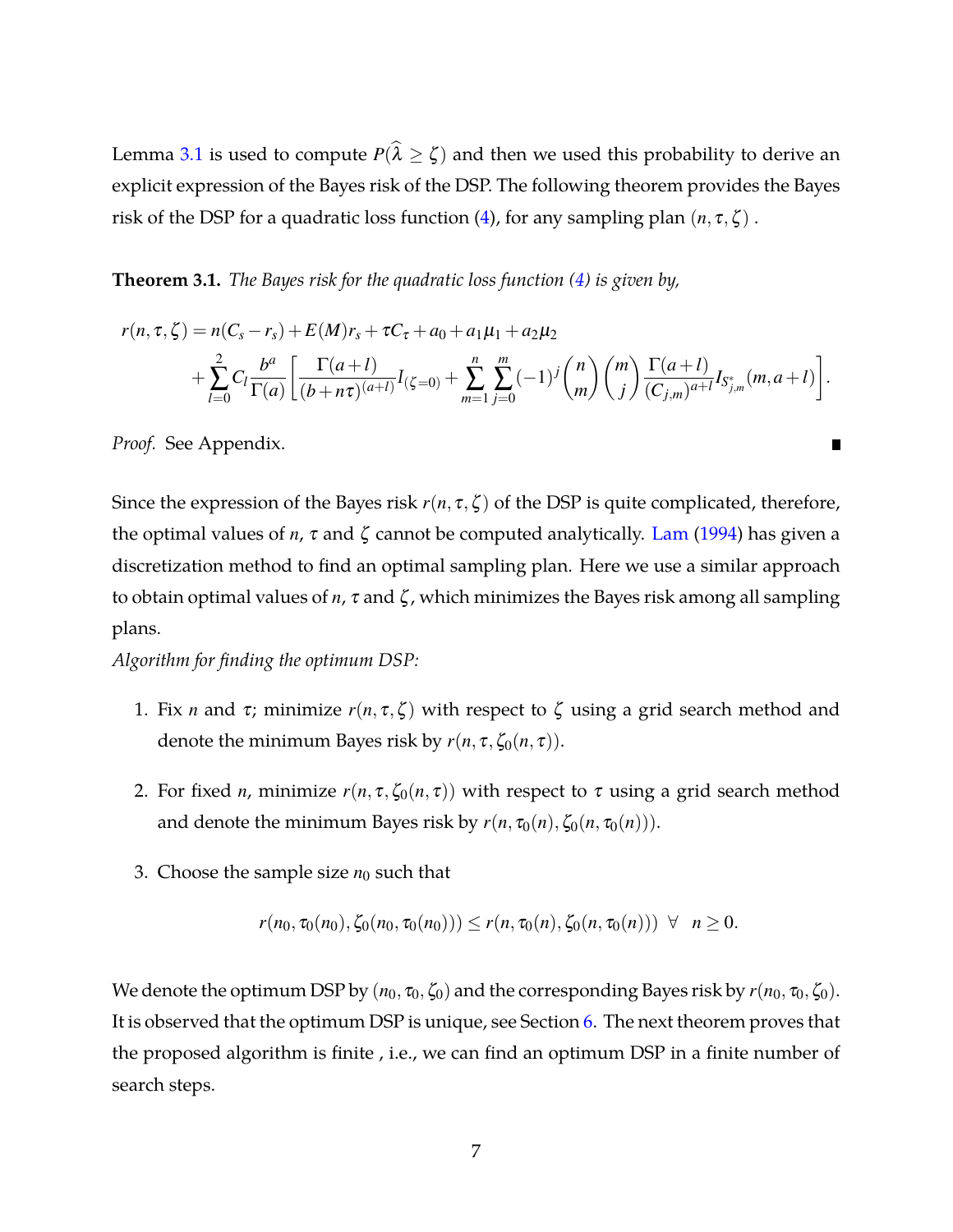Lemma [3.1](#page-5-0) is used to compute  $P(\lambda \geq \zeta)$  and then we used this probability to derive an explicit expression of the Bayes risk of the DSP. The following theorem provides the Bayes risk of the DSP for a quadratic loss function [\(4\)](#page-4-2), for any sampling plan  $(n, \tau, \zeta)$ .

<span id="page-6-0"></span>**Theorem 3.1.** *The Bayes risk for the quadratic loss function [\(4\)](#page-4-2) is given by,*

$$
r(n, \tau, \zeta) = n(C_s - r_s) + E(M)r_s + \tau C_{\tau} + a_0 + a_1\mu_1 + a_2\mu_2
$$
  
+ 
$$
\sum_{l=0}^{2} C_l \frac{b^a}{\Gamma(a)} \left[ \frac{\Gamma(a+l)}{(b+n\tau)^{(a+l)}} I_{(\zeta=0)} + \sum_{m=1}^{n} \sum_{j=0}^{m} (-1)^j {n \choose m} {m \choose j} \frac{\Gamma(a+l)}{(C_{j,m})^{a+l}} I_{S_{j,m}^*}(m, a+l) \right].
$$

п

*Proof.* See Appendix.

Since the expression of the Bayes risk  $r(n, \tau, \zeta)$  of the DSP is quite complicated, therefore, the optimal values of *n*,  $\tau$  and  $\zeta$  cannot be computed analytically. [Lam](#page-34-1) [\(1994\)](#page-34-1) has given a discretization method to find an optimal sampling plan. Here we use a similar approach to obtain optimal values of *n*, <sup>τ</sup> and ζ , which minimizes the Bayes risk among all sampling plans.

*Algorithm for finding the optimum DSP:*

- 1. Fix *n* and  $\tau$ ; minimize  $r(n, \tau, \zeta)$  with respect to  $\zeta$  using a grid search method and denote the minimum Bayes risk by  $r(n, \tau, \zeta_0(n, \tau))$ .
- 2. For fixed *n*, minimize  $r(n, \tau, \zeta_0(n, \tau))$  with respect to  $\tau$  using a grid search method and denote the minimum Bayes risk by  $r(n, \tau_0(n), \zeta_0(n, \tau_0(n)))$ .
- 3. Choose the sample size  $n_0$  such that

$$
r(n_0, \tau_0(n_0), \zeta_0(n_0, \tau_0(n_0))) \le r(n, \tau_0(n), \zeta_0(n, \tau_0(n))) \ \forall \ n \ge 0.
$$

We denote the optimum DSP by  $(n_0, \tau_0, \zeta_0)$  and the corresponding Bayes risk by  $r(n_0, \tau_0, \zeta_0)$ . It is observed that the optimum DSP is unique, see Section [6.](#page-13-0) The next theorem proves that the proposed algorithm is finite , i.e., we can find an optimum DSP in a finite number of search steps.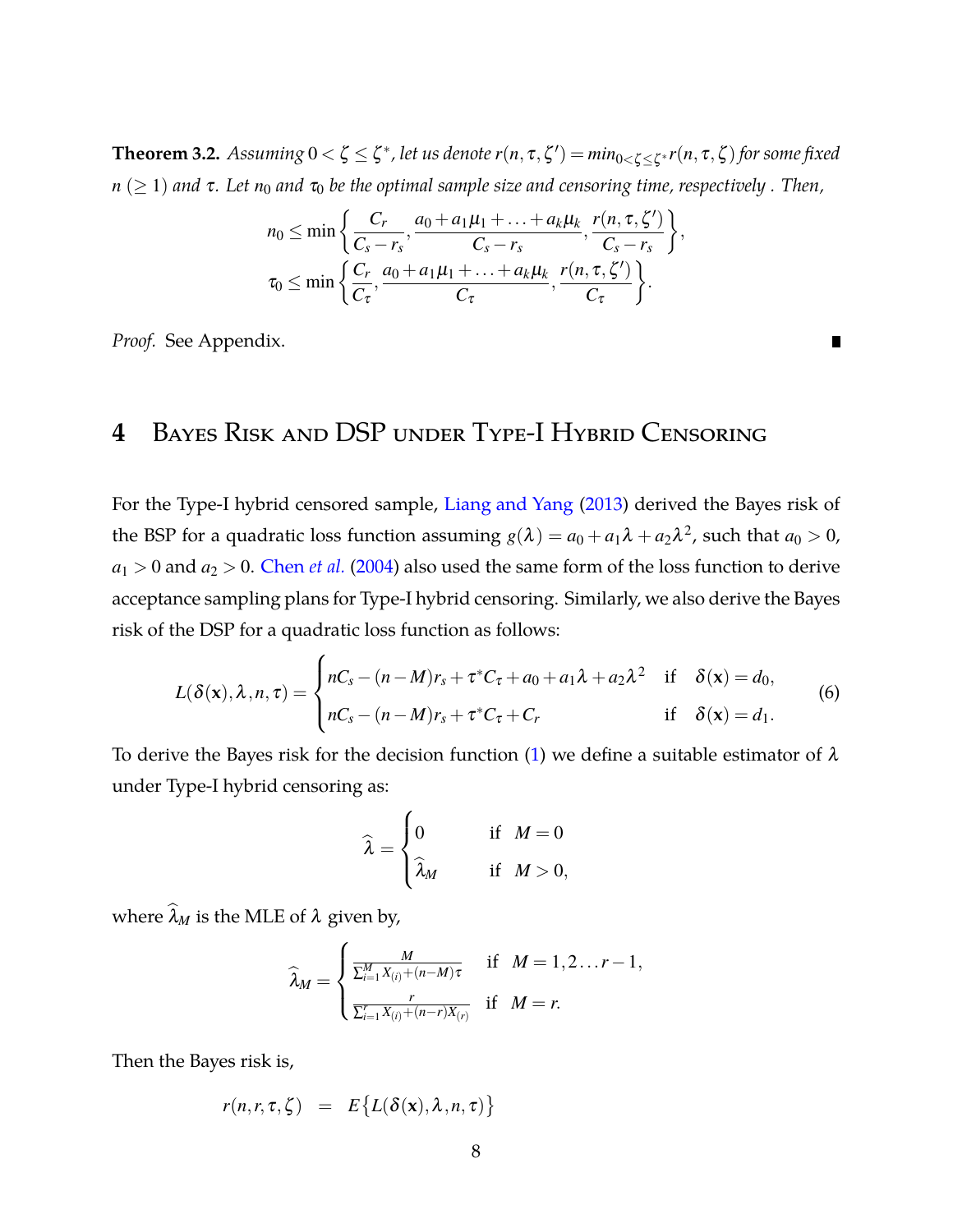<span id="page-7-2"></span> $\bf{Theorem~3.2.}$   $\it{Assuming~0<\zeta\leq\zeta^*}$ , let us denote  $r(n,\tau,\zeta')=min_{0<\zeta\leq\zeta^*}r(n,\tau,\zeta)$  for some fixed  $n \geq 1$  *and*  $\tau$ . Let  $n_0$  *and*  $\tau_0$  *be the optimal sample size and censoring time, respectively. Then,* 

$$
n_0 \leq \min\left\{\frac{C_r}{C_s - r_s}, \frac{a_0 + a_1\mu_1 + \ldots + a_k\mu_k}{C_s - r_s}, \frac{r(n, \tau, \zeta')}{C_s - r_s}\right\},\
$$

$$
\tau_0 \leq \min\left\{\frac{C_r}{C_\tau}, \frac{a_0 + a_1\mu_1 + \ldots + a_k\mu_k}{C_\tau}, \frac{r(n, \tau, \zeta')}{C_\tau}\right\}.
$$

п

<span id="page-7-0"></span>*Proof.* See Appendix.

# **4** Bayes Risk and DSP under Type-I Hybrid Censoring

For the Type-I hybrid censored sample, [Liang and Yang](#page-35-0) [\(2013](#page-35-0)) derived the Bayes risk of the BSP for a quadratic loss function assuming  $g(\lambda) = a_0 + a_1 \lambda + a_2 \lambda^2$ , such that  $a_0 > 0$ ,  $a_1 > 0$  and  $a_2 > 0$ . [Chen](#page-34-5) *et al.* [\(2004\)](#page-34-5) also used the same form of the loss function to derive acceptance sampling plans for Type-I hybrid censoring. Similarly, we also derive the Bayes risk of the DSP for a quadratic loss function as follows:

<span id="page-7-1"></span>
$$
L(\delta(\mathbf{x}), \lambda, n, \tau) = \begin{cases} nC_s - (n-M)r_s + \tau^* C_{\tau} + a_0 + a_1 \lambda + a_2 \lambda^2 & \text{if } \delta(\mathbf{x}) = d_0, \\ nC_s - (n-M)r_s + \tau^* C_{\tau} + C_r & \text{if } \delta(\mathbf{x}) = d_1. \end{cases}
$$
(6)

To derive the Bayes risk for the decision function [\(1\)](#page-3-2) we define a suitable estimator of  $\lambda$ under Type-I hybrid censoring as:

$$
\widehat{\lambda} = \begin{cases} 0 & \text{if } M = 0 \\ \widehat{\lambda}_M & \text{if } M > 0, \end{cases}
$$

where  $\widehat{\lambda}_M$  is the MLE of  $\lambda$  given by,

$$
\widehat{\lambda}_M = \begin{cases} \frac{M}{\sum_{i=1}^M X_{(i)} + (n-M)\tau} & \text{if} \quad M = 1, 2 \ldots r-1, \\ \frac{r}{\sum_{i=1}^r X_{(i)} + (n-r)X_{(r)}} & \text{if} \quad M = r. \end{cases}
$$

Then the Bayes risk is,

$$
r(n,r,\tau,\zeta) = E\big\{L(\delta(\mathbf{x}),\lambda,n,\tau)\big\}
$$

8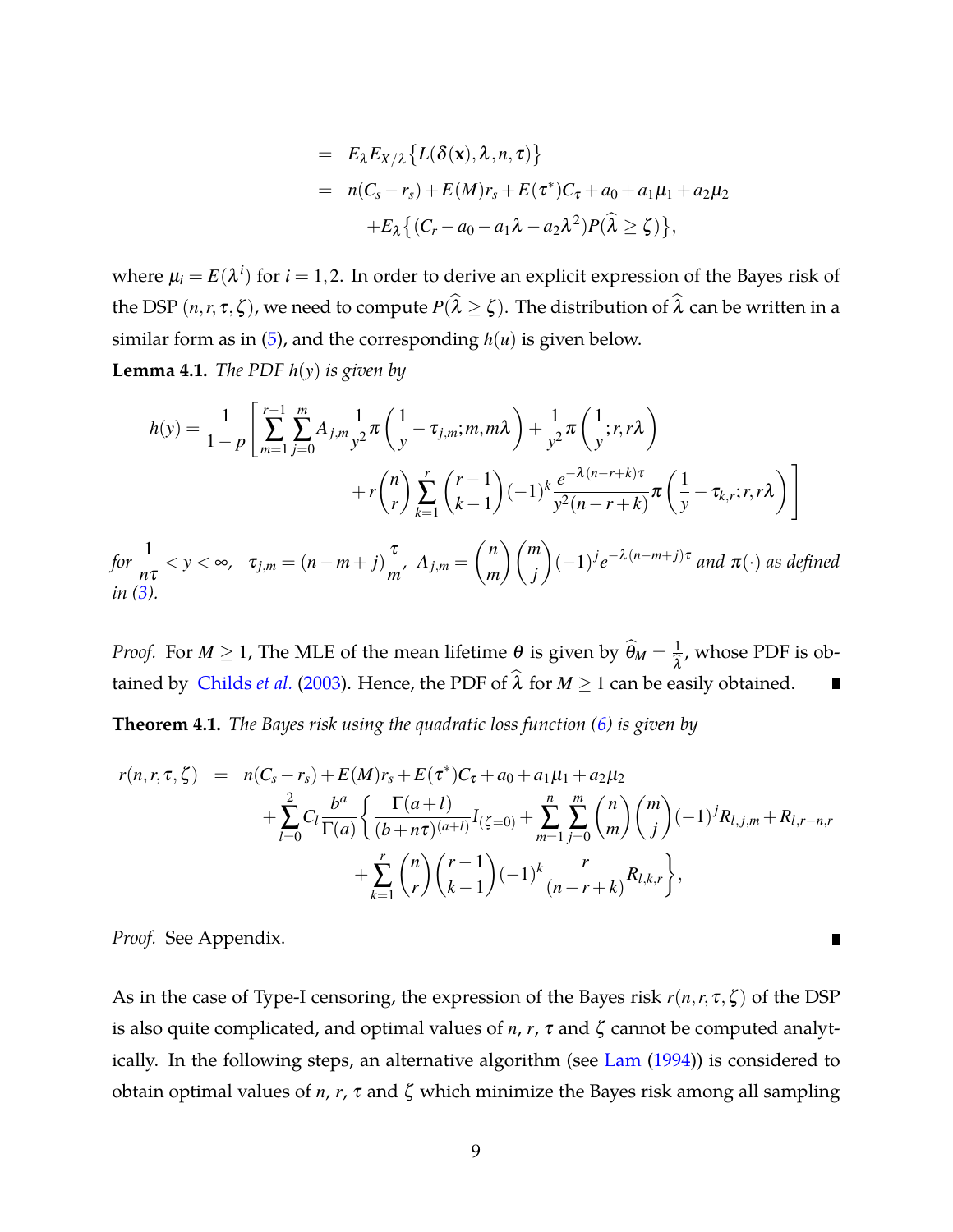$$
= E_{\lambda} E_{X/\lambda} \{L(\delta(\mathbf{x}), \lambda, n, \tau)\}
$$
  
=  $n(C_s - r_s) + E(M) r_s + E(\tau^*) C_{\tau} + a_0 + a_1 \mu_1 + a_2 \mu_2$   
+ $E_{\lambda} \{ (C_r - a_0 - a_1 \lambda - a_2 \lambda^2) P(\widehat{\lambda} \ge \zeta) \},$ 

where  $\mu_i = E(\lambda^i)$  for  $i = 1, 2$ . In order to derive an explicit expression of the Bayes risk of the DSP  $(n, r, \tau, \zeta)$ , we need to compute  $P(\lambda \geq \zeta)$ . The distribution of  $\lambda$  can be written in a similar form as in  $(5)$ , and the corresponding  $h(u)$  is given below.

<span id="page-8-1"></span>**Lemma 4.1.** *The PDF h*(*y*) *is given by*

$$
h(y) = \frac{1}{1-p} \left[ \sum_{m=1}^{r-1} \sum_{j=0}^{m} A_{j,m} \frac{1}{y^2} \pi \left( \frac{1}{y} - \tau_{j,m}; m, m\lambda \right) + \frac{1}{y^2} \pi \left( \frac{1}{y}; r, r\lambda \right) + r \binom{n}{r} \sum_{k=1}^{r} \binom{r-1}{k-1} (-1)^k \frac{e^{-\lambda(n-r+k)\tau}}{y^2(n-r+k)} \pi \left( \frac{1}{y} - \tau_{k,r}; r, r\lambda \right) \right]
$$
  
for  $\frac{1}{n\tau} < y < \infty$ ,  $\tau_{j,m} = (n-m+j) \frac{\tau}{m}$ ,  $A_{j,m} = \binom{n}{m} \binom{m}{j} (-1)^j e^{-\lambda(n-m+j)\tau}$  and  $\pi(\cdot)$  as defined  
in (3).

*Proof.* For  $M \geq 1$ , The MLE of the mean lifetime  $\theta$  is given by  $\widehat{\theta}_M = \frac{1}{\widehat{\lambda}}$ , whose PDF is ob- $\lambda$ tained by [Childs](#page-34-8) *et al.* [\(2003](#page-34-8)). Hence, the PDF of  $\hat{\lambda}$  for  $M \ge 1$  can be easily obtained. П

<span id="page-8-0"></span>**Theorem 4.1.** *The Bayes risk using the quadratic loss function [\(6\)](#page-7-1) is given by*

$$
r(n,r,\tau,\zeta) = n(C_s - r_s) + E(M)r_s + E(\tau^*)C_{\tau} + a_0 + a_1\mu_1 + a_2\mu_2
$$
  
+ 
$$
\sum_{l=0}^{2} C_l \frac{b^a}{\Gamma(a)} \left\{ \frac{\Gamma(a+l)}{(b+n\tau)^{(a+l)}} I_{(\zeta=0)} + \sum_{m=1}^{n} \sum_{j=0}^{m} {n \choose m} {m \choose j} (-1)^j R_{l,j,m} + R_{l,r-n,r} + \sum_{k=1}^{r} {n \choose r} {r-1 \choose k-1} (-1)^k \frac{r}{(n-r+k)} R_{l,k,r} \right\},
$$

*Proof.* See Appendix.

As in the case of Type-I censoring, the expression of the Bayes risk *r*(*n*,*r*, <sup>τ</sup>,ζ ) of the DSP is also quite complicated, and optimal values of  $n$ ,  $r$ ,  $\tau$  and  $\zeta$  cannot be computed analyt-ically. In the following steps, an alternative algorithm (see [Lam](#page-34-1) [\(1994\)](#page-34-1)) is considered to obtain optimal values of *n*, *r*, <sup>τ</sup> and ζ which minimize the Bayes risk among all sampling

п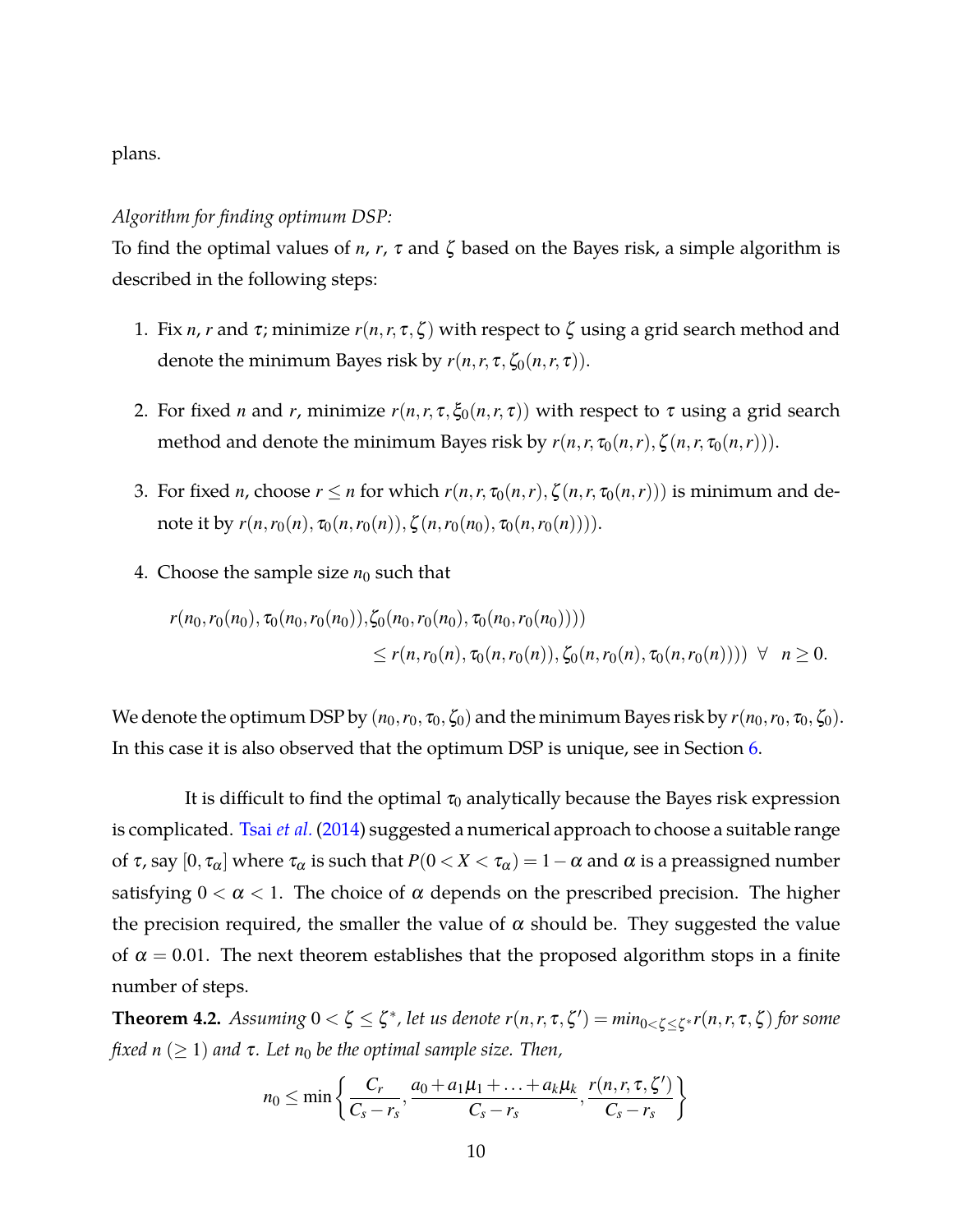plans.

### *Algorithm for finding optimum DSP:*

To find the optimal values of *n*, *r*, <sup>τ</sup> and ζ based on the Bayes risk, a simple algorithm is described in the following steps:

- 1. Fix *n*, *r* and  $\tau$ ; minimize  $r(n,r,\tau,\zeta)$  with respect to  $\zeta$  using a grid search method and denote the minimum Bayes risk by  $r(n, r, \tau, \zeta_0(n, r, \tau))$ .
- 2. For fixed *n* and *r*, minimize  $r(n, r, \tau, \xi_0(n, r, \tau))$  with respect to  $\tau$  using a grid search method and denote the minimum Bayes risk by  $r(n,r,\tau_0(n,r),\zeta(n,r,\tau_0(n,r)))$ .
- 3. For fixed *n*, choose  $r \le n$  for which  $r(n,r,\tau_0(n,r),\zeta(n,r,\tau_0(n,r)))$  is minimum and denote it by  $r(n,r_0(n), \tau_0(n,r_0(n)), \zeta(n,r_0(n), \tau_0(n,r_0(n))))$ .
- 4. Choose the sample size  $n_0$  such that

$$
r(n_0, r_0(n_0), \tau_0(n_0, r_0(n_0)), \zeta_0(n_0, r_0(n_0), \tau_0(n_0, r_0(n_0))))
$$
  
\$\leq r(n, r\_0(n), \tau\_0(n, r\_0(n)), \zeta\_0(n, r\_0(n), \tau\_0(n, r\_0(n))))  $\forall$   $n \ge 0.$ 

We denote the optimum DSP by  $(n_0, r_0, \tau_0, \zeta_0)$  and the minimum Bayes risk by  $r(n_0, r_0, \tau_0, \zeta_0)$ . In this case it is also observed that the optimum DSP is unique, see in Section [6.](#page-13-0)

It is difficult to find the optimal  $\tau_0$  analytically because the Bayes risk expression is complicated. Tsai *[et al.](#page-35-1)* [\(2014](#page-35-1)) suggested a numerical approach to choose a suitable range of τ, say [0, τ<sub>α</sub>] where τ<sub>α</sub> is such that  $P(0 < X < \tau_\alpha) = 1 - \alpha$  and α is a preassigned number satisfying  $0 < \alpha < 1$ . The choice of  $\alpha$  depends on the prescribed precision. The higher the precision required, the smaller the value of  $\alpha$  should be. They suggested the value of  $\alpha = 0.01$ . The next theorem establishes that the proposed algorithm stops in a finite number of steps.

<span id="page-9-0"></span>**Theorem 4.2.** Assuming  $0 < \zeta \leq \zeta^*$ , let us denote  $r(n,r,\tau,\zeta') = min_{0 < \zeta \leq \zeta^*} r(n,r,\tau,\zeta)$  for some *fixed*  $n \geq 1$ *) and*  $\tau$ *. Let*  $n_0$  *be the optimal sample size. Then,* 

$$
n_0 \leq \min\left\{\frac{C_r}{C_s-r_s}, \frac{a_0+a_1\mu_1+\ldots+a_k\mu_k}{C_s-r_s}, \frac{r(n,r,\tau,\zeta')}{C_s-r_s}\right\}
$$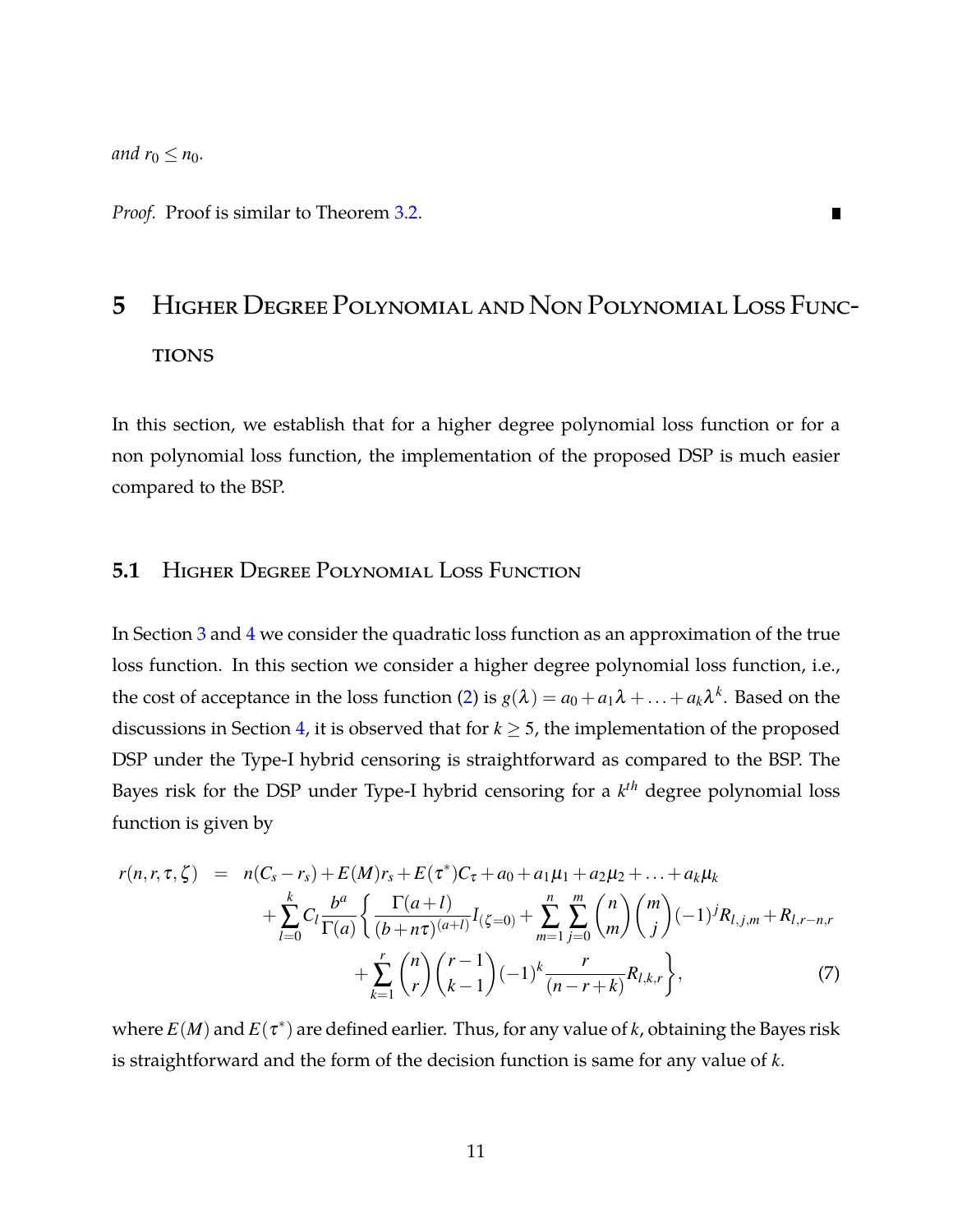*and*  $r_0 \leq n_0$ *.* 

<span id="page-10-0"></span>*Proof.* Proof is similar to Theorem [3.2.](#page-7-2)

# **5** Higher Degree Polynomial and Non Polynomial Loss Func-**TIONS**

 $\blacksquare$ 

In this section, we establish that for a higher degree polynomial loss function or for a non polynomial loss function, the implementation of the proposed DSP is much easier compared to the BSP.

### **5.1** Higher Degree Polynomial Loss Function

In Section [3](#page-4-0) and [4](#page-7-0) we consider the quadratic loss function as an approximation of the true loss function. In this section we consider a higher degree polynomial loss function, i.e., the cost of acceptance in the loss function [\(2\)](#page-3-1) is  $g(\lambda) = a_0 + a_1\lambda + ... + a_k\lambda^k$ . Based on the discussions in Section [4,](#page-7-0) it is observed that for  $k \geq 5$ , the implementation of the proposed DSP under the Type-I hybrid censoring is straightforward as compared to the BSP. The Bayes risk for the DSP under Type-I hybrid censoring for a *k th* degree polynomial loss function is given by

$$
r(n,r,\tau,\zeta) = n(C_s - r_s) + E(M)r_s + E(\tau^*)C_{\tau} + a_0 + a_1\mu_1 + a_2\mu_2 + \dots + a_k\mu_k
$$
  
+ 
$$
\sum_{l=0}^{k} C_l \frac{b^a}{\Gamma(a)} \left\{ \frac{\Gamma(a+l)}{(b+n\tau)^{(a+l)}} I_{(\zeta=0)} + \sum_{m=1}^{n} \sum_{j=0}^{m} {n \choose m} {m \choose j} (-1)^j R_{l,j,m} + R_{l,r-n,r} + \sum_{k=1}^{r} {n \choose r} {r-1 \choose k-1} (-1)^k \frac{r}{(n-r+k)} R_{l,k,r} \right\},
$$
(7)

where  $E(M)$  and  $E(\tau^*)$  are defined earlier. Thus, for any value of *k*, obtaining the Bayes risk is straightforward and the form of the decision function is same for any value of *k*.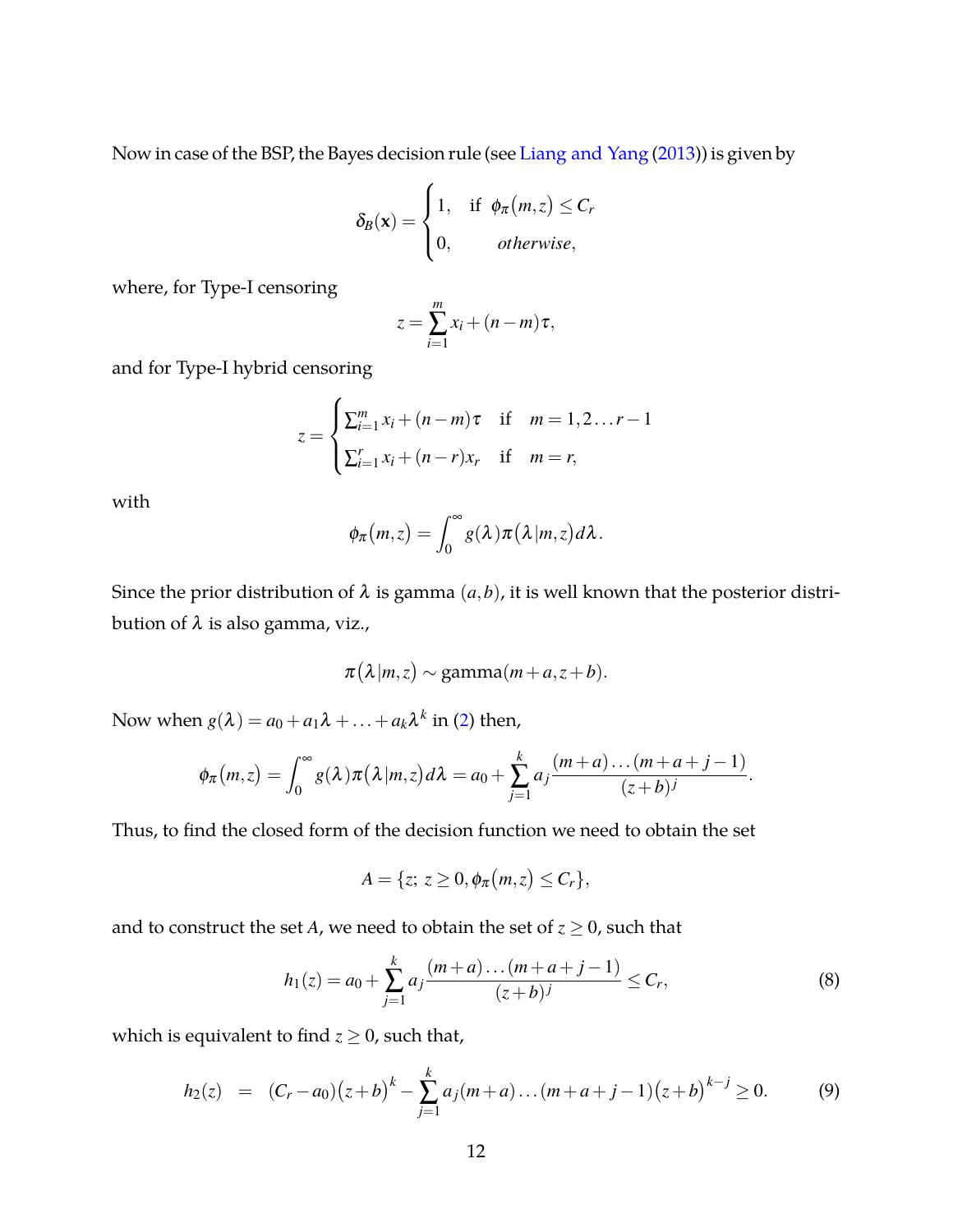Now in case of the BSP, the Bayes decision rule (see [Liang and Yang](#page-35-0) [\(2013\)](#page-35-0)) is given by

$$
\delta_B(\mathbf{x}) = \begin{cases} 1, & \text{if } \phi_\pi(m,z) \leq C_r \\ 0, & \text{otherwise,} \end{cases}
$$

where, for Type-I censoring

$$
z = \sum_{i=1}^{m} x_i + (n-m)\tau,
$$

and for Type-I hybrid censoring

$$
z = \begin{cases} \sum_{i=1}^{m} x_i + (n-m)\tau & \text{if } m = 1, 2 \dots r - 1 \\ \sum_{i=1}^{r} x_i + (n-r)x_r & \text{if } m = r, \end{cases}
$$

with

$$
\phi_{\pi}(m,z)=\int_0^{\infty}g(\lambda)\pi(\lambda|m,z)d\lambda.
$$

Since the prior distribution of  $\lambda$  is gamma  $(a,b)$ , it is well known that the posterior distribution of λ is also gamma, viz.,

$$
\pi(\lambda|m,z) \sim \text{gamma}(m+a,z+b).
$$

Now when  $g(\lambda) = a_0 + a_1\lambda + \ldots + a_k\lambda^k$  in ([2](#page-3-1)) then,

$$
\phi_{\pi}(m,z)=\int_0^{\infty}g(\lambda)\pi(\lambda|m,z)d\lambda=a_0+\sum_{j=1}^k a_j\frac{(m+a)\dots(m+a+j-1)}{(z+b)^j}.
$$

Thus, to find the closed form of the decision function we need to obtain the set

$$
A = \{z; z \geq 0, \phi_{\pi}(m, z) \leq C_r\},\
$$

and to construct the set *A*, we need to obtain the set of  $z \ge 0$ , such that

$$
h_1(z) = a_0 + \sum_{j=1}^k a_j \frac{(m+a)\dots(m+a+j-1)}{(z+b)^j} \le C_r,
$$
\n(8)

which is equivalent to find  $z \ge 0$ , such that,

$$
h_2(z) = (C_r - a_0)(z+b)^k - \sum_{j=1}^k a_j(m+a) \dots (m+a+j-1)(z+b)^{k-j} \ge 0.
$$
 (9)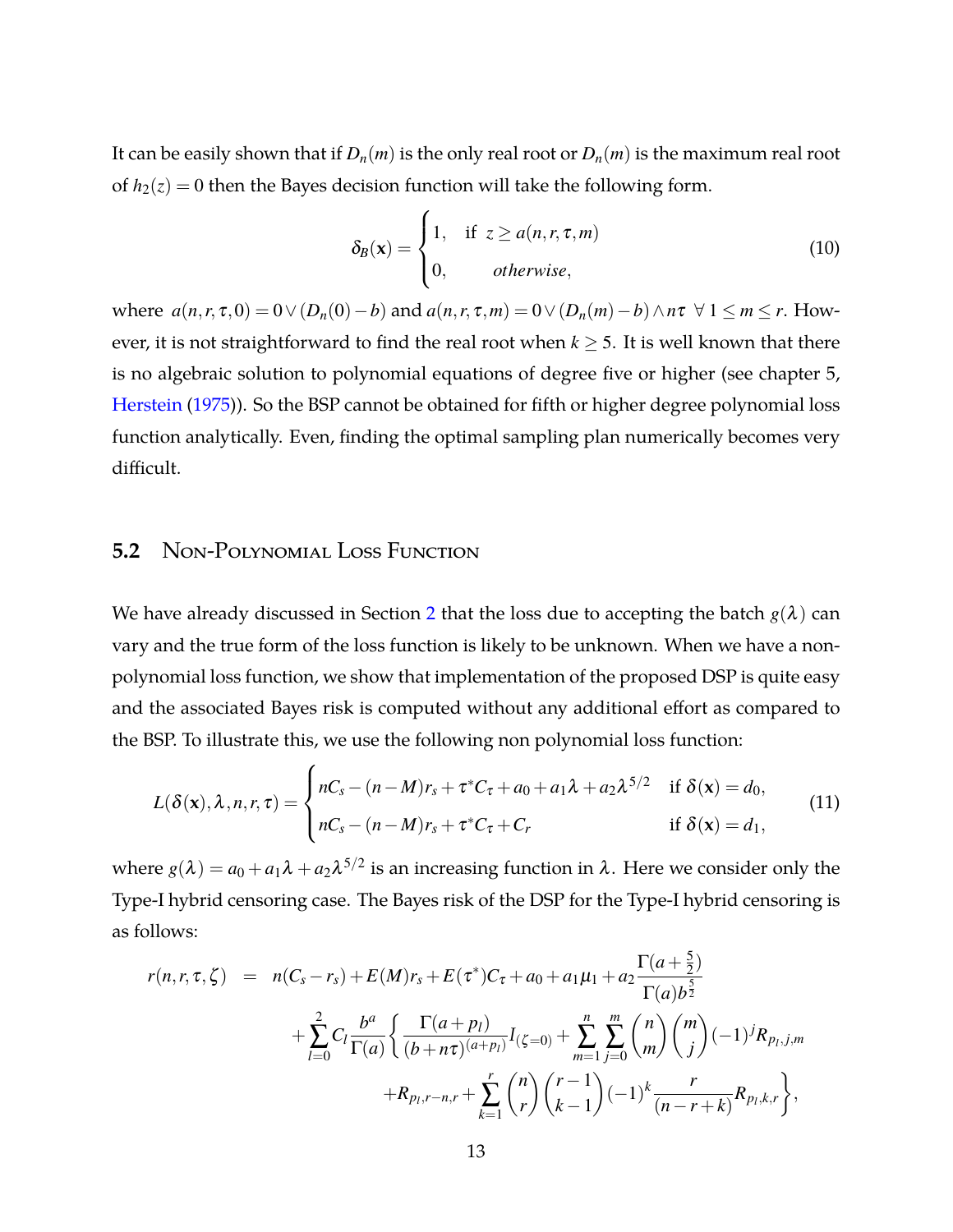It can be easily shown that if  $D_n(m)$  is the only real root or  $D_n(m)$  is the maximum real root of  $h_2(z) = 0$  then the Bayes decision function will take the following form.

$$
\delta_B(\mathbf{x}) = \begin{cases} 1, & \text{if } z \ge a(n, r, \tau, m) \\ 0, & \text{otherwise,} \end{cases} \tag{10}
$$

where  $a(n, r, \tau, 0) = 0 \vee (D_n(0) - b)$  and  $a(n, r, \tau, m) = 0 \vee (D_n(m) - b) \wedge n\tau \vee 1 \leq m \leq r$ . However, it is not straightforward to find the real root when  $k \geq 5$ . It is well known that there is no algebraic solution to polynomial equations of degree five or higher (see chapter 5, [Herstein](#page-34-9) [\(1975\)](#page-34-9)). So the BSP cannot be obtained for fifth or higher degree polynomial loss function analytically. Even, finding the optimal sampling plan numerically becomes very difficult.

### **5.2** Non-Polynomial Loss Function

We have already discussed in Section [2](#page-3-0) that the loss due to accepting the batch  $g(\lambda)$  can vary and the true form of the loss function is likely to be unknown. When we have a nonpolynomial loss function, we show that implementation of the proposed DSP is quite easy and the associated Bayes risk is computed without any additional effort as compared to the BSP. To illustrate this, we use the following non polynomial loss function:

$$
L(\delta(\mathbf{x}), \lambda, n, r, \tau) = \begin{cases} nC_s - (n-M)r_s + \tau^* C_\tau + a_0 + a_1 \lambda + a_2 \lambda^{5/2} & \text{if } \delta(\mathbf{x}) = d_0, \\ nC_s - (n-M)r_s + \tau^* C_\tau + C_r & \text{if } \delta(\mathbf{x}) = d_1, \end{cases}
$$
(11)

where  $g(\lambda) = a_0 + a_1 \lambda + a_2 \lambda^{5/2}$  is an increasing function in  $\lambda$ . Here we consider only the Type-I hybrid censoring case. The Bayes risk of the DSP for the Type-I hybrid censoring is as follows:

$$
r(n,r,\tau,\zeta) = n(C_s - r_s) + E(M)r_s + E(\tau^*)C_{\tau} + a_0 + a_1\mu_1 + a_2 \frac{\Gamma(a+\frac{5}{2})}{\Gamma(a)b^{\frac{5}{2}}} + \sum_{l=0}^{2} C_l \frac{b^a}{\Gamma(a)} \left\{ \frac{\Gamma(a+p_l)}{(b+n\tau)^{(a+p_l)}} I_{(\zeta=0)} + \sum_{m=1}^{n} \sum_{j=0}^{m} {n \choose m} {m \choose j} (-1)^j R_{p_l,j,m} + R_{p_l,r-n,r} + \sum_{k=1}^{r} {n \choose r} {r-1 \choose k-1} (-1)^k \frac{r}{(n-r+k)} R_{p_l,k,r} \right\},
$$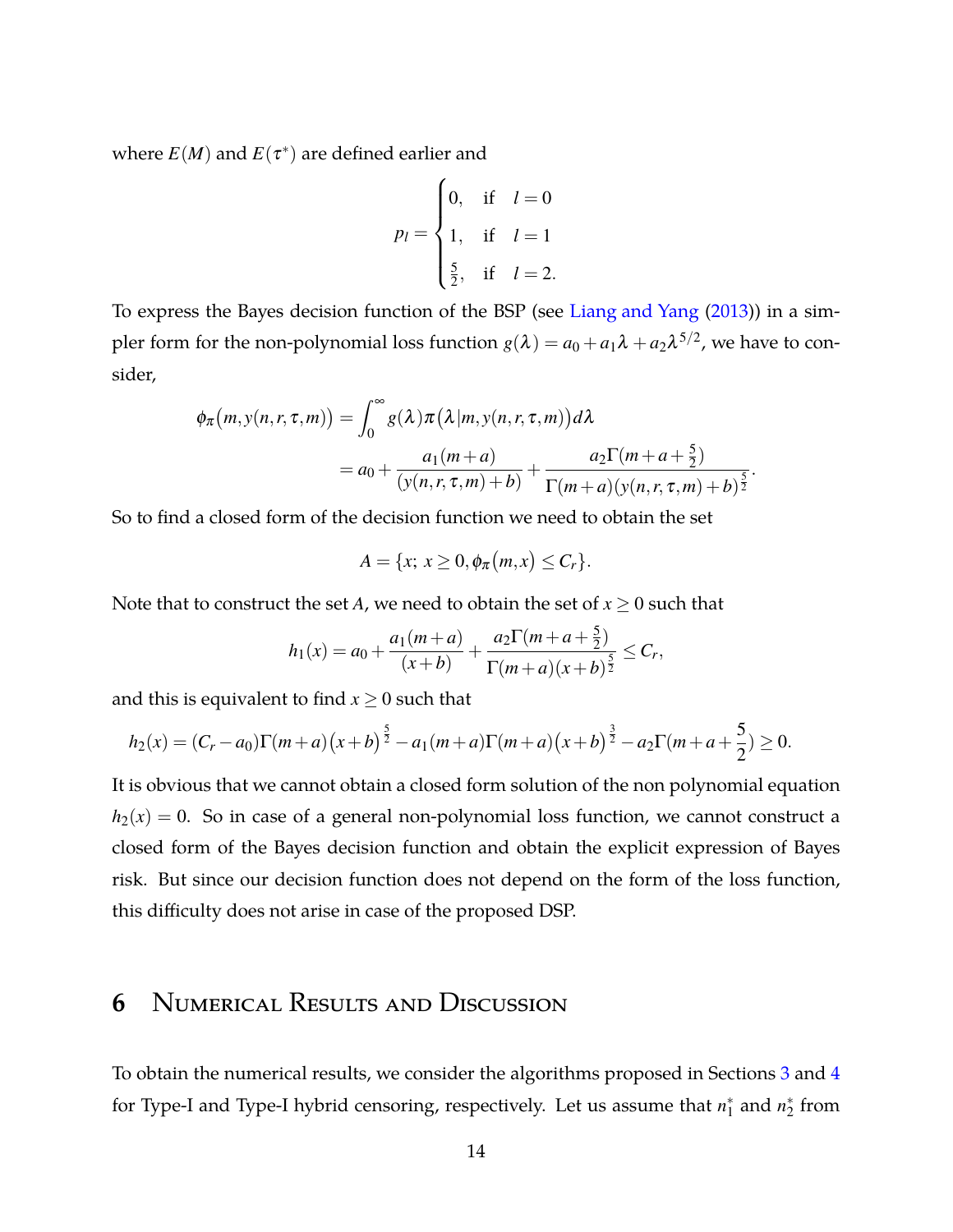where  $E(M)$  and  $E(\tau^*)$  are defined earlier and

$$
p_l = \begin{cases} 0, & \text{if } l = 0 \\ 1, & \text{if } l = 1 \\ \frac{5}{2}, & \text{if } l = 2. \end{cases}
$$

To express the Bayes decision function of the BSP (see [Liang and Yang](#page-35-0) [\(2013\)](#page-35-0)) in a simpler form for the non-polynomial loss function  $g(\lambda) = a_0 + a_1 \lambda + a_2 \lambda^{5/2}$ , we have to consider,

$$
\phi_{\pi}(m, y(n, r, \tau, m)) = \int_0^{\infty} g(\lambda) \pi(\lambda | m, y(n, r, \tau, m)) d\lambda
$$
  
=  $a_0 + \frac{a_1(m+a)}{(y(n, r, \tau, m) + b)} + \frac{a_2 \Gamma(m+a) \Gamma(m+a)}{\Gamma(m+a) (y(n, r, \tau, m) + b)^{\frac{5}{2}}}.$ 

So to find a closed form of the decision function we need to obtain the set

$$
A = \{x; x \geq 0, \phi_{\pi}(m, x) \leq C_r\}.
$$

Note that to construct the set *A*, we need to obtain the set of  $x \geq 0$  such that

$$
h_1(x) = a_0 + \frac{a_1(m+a)}{(x+b)} + \frac{a_2\Gamma(m+a+\frac{5}{2})}{\Gamma(m+a)(x+b)^{\frac{5}{2}}} \leq C_r,
$$

and this is equivalent to find  $x \geq 0$  such that

$$
h_2(x) = (C_r - a_0)\Gamma(m+a)\left(x+b\right)^{\frac{5}{2}} - a_1(m+a)\Gamma(m+a)\left(x+b\right)^{\frac{3}{2}} - a_2\Gamma(m+a+\frac{5}{2}) \ge 0.
$$

It is obvious that we cannot obtain a closed form solution of the non polynomial equation  $h_2(x) = 0$ . So in case of a general non-polynomial loss function, we cannot construct a closed form of the Bayes decision function and obtain the explicit expression of Bayes risk. But since our decision function does not depend on the form of the loss function, this difficulty does not arise in case of the proposed DSP.

# <span id="page-13-0"></span>**6** Numerical Results and Discussion

To obtain the numerical results, we consider the algorithms proposed in Sections [3](#page-4-0) and [4](#page-7-0) for Type-I and Type-I hybrid censoring, respectively. Let us assume that  $n_1^*$  and  $n_2^*$  from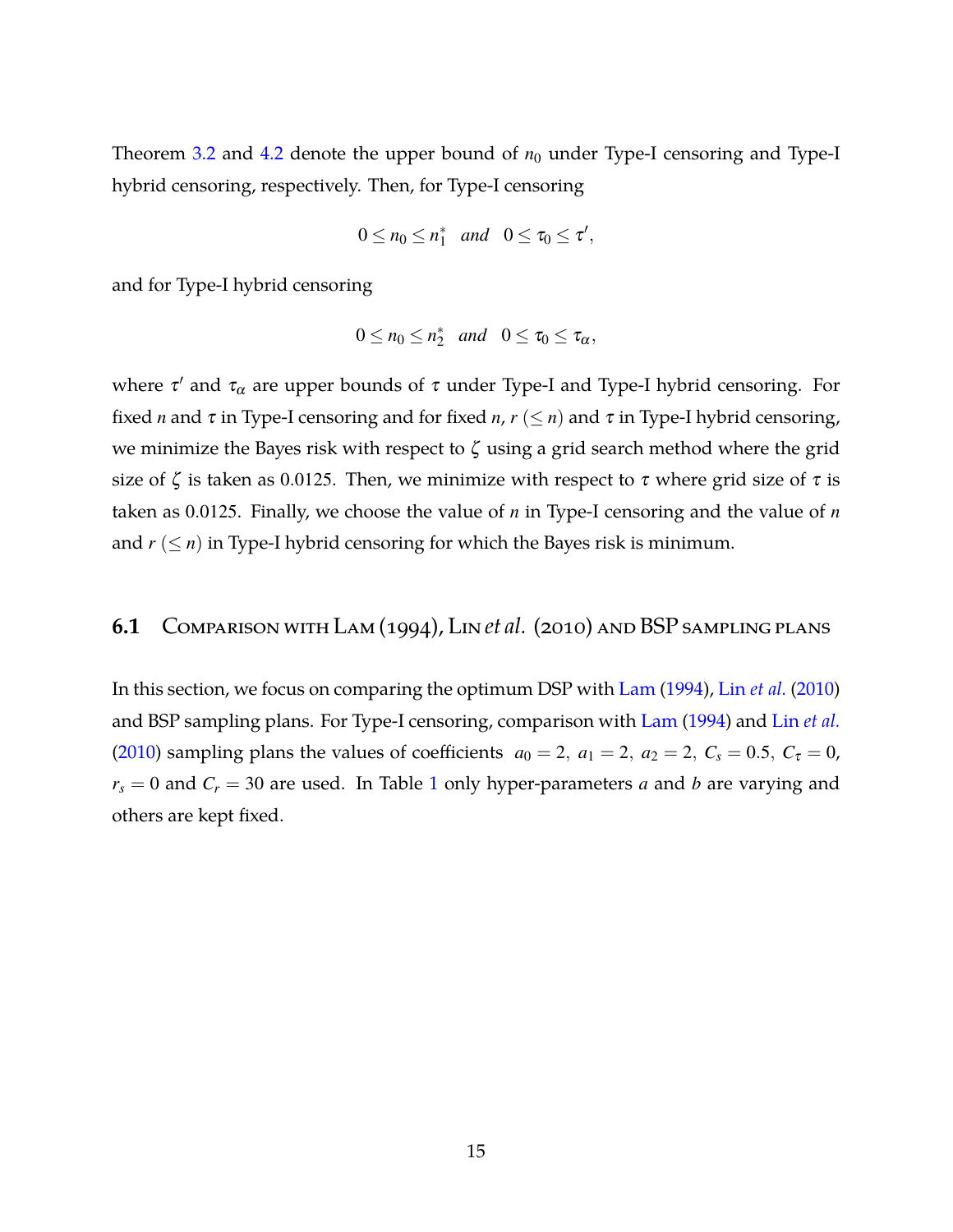Theorem  $3.2$  and  $4.2$  denote the upper bound of  $n_0$  under Type-I censoring and Type-I hybrid censoring, respectively. Then, for Type-I censoring

$$
0\leq n_0\leq n_1^*\quad and\quad 0\leq \tau_0\leq \tau',
$$

and for Type-I hybrid censoring

$$
0\leq n_0\leq n_2^* \quad and \quad 0\leq \tau_0\leq \tau_{\alpha},
$$

where  $\tau'$  and  $\tau_\alpha$  are upper bounds of  $\tau$  under Type-I and Type-I hybrid censoring. For fixed *n* and  $\tau$  in Type-I censoring and for fixed *n*,  $r \leq n$  and  $\tau$  in Type-I hybrid censoring, we minimize the Bayes risk with respect to  $\zeta$  using a grid search method where the grid size of  $\zeta$  is taken as 0.0125. Then, we minimize with respect to  $\tau$  where grid size of  $\tau$  is taken as 0.0125. Finally, we choose the value of *n* in Type-I censoring and the value of *n* and  $r \leq n$ ) in Type-I hybrid censoring for which the Bayes risk is minimum.

### **6.1** Comparison with Lam (1994), Lin *et al.* (2010) and BSP sampling plans

In this section, we focus on comparing the optimum DSP with [Lam](#page-34-1) [\(1994\)](#page-34-1), Lin *[et al.](#page-34-10)* [\(2010](#page-34-10)) and BSP sampling plans. For Type-I censoring, comparison with [Lam](#page-34-1) [\(1994](#page-34-1)) and Lin *[et al.](#page-34-10)* [\(2010\)](#page-34-10) sampling plans the values of coefficients  $a_0 = 2$ ,  $a_1 = 2$ ,  $a_2 = 2$ ,  $C_s = 0.5$ ,  $C_{\tau} = 0$ ,  $r_s = 0$  and  $C_r = 30$  are used. In Table [1](#page-15-0) only hyper-parameters *a* and *b* are varying and others are kept fixed.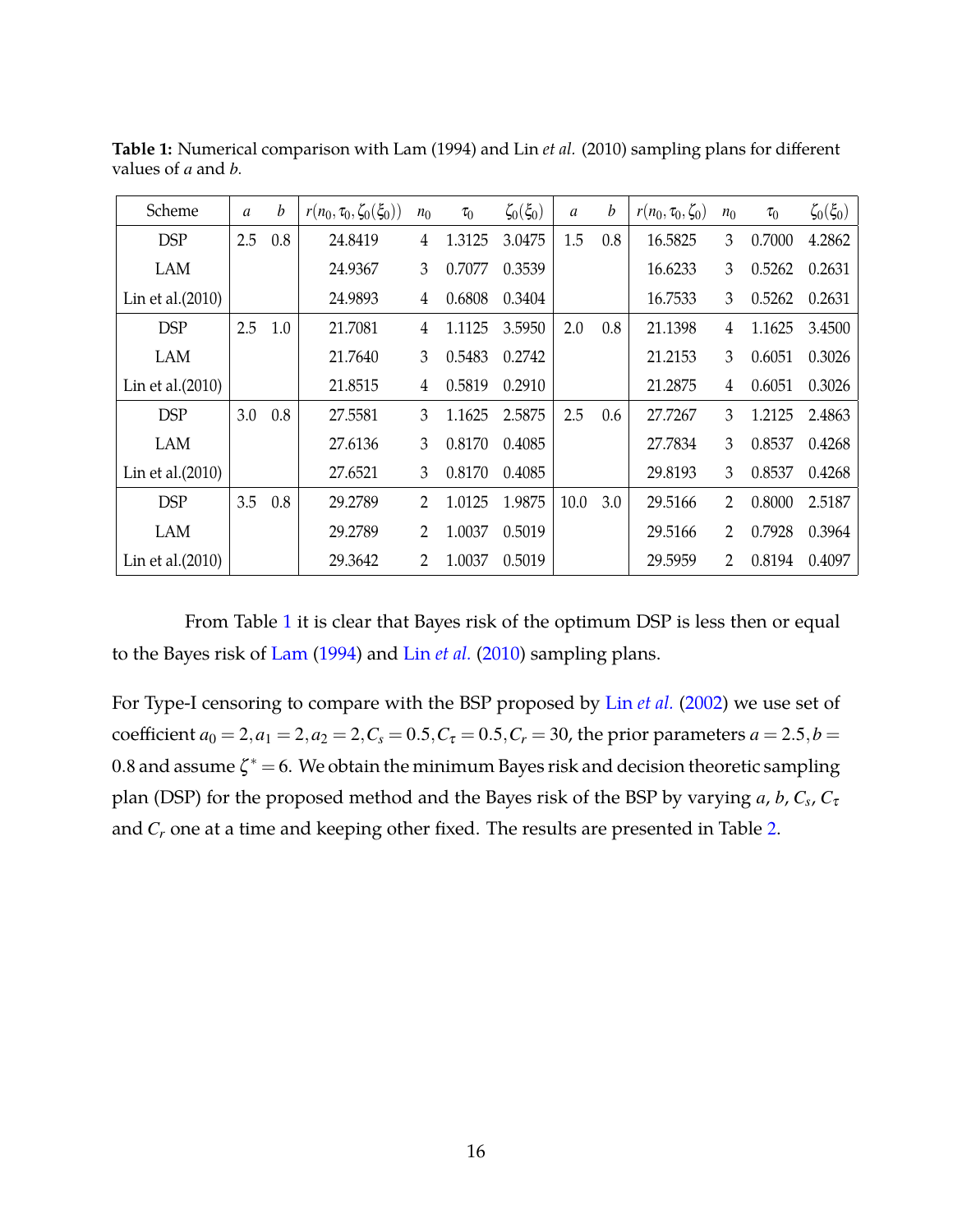| Scheme              | $\boldsymbol{a}$ | b   | $r(n_0, \tau_0, \zeta_0(\xi_0))$ | $n_0$          | $\tau_0$ | $\zeta_0(\xi_0)$ | $\boldsymbol{a}$ | b   | $r(n_0, \tau_0, \zeta_0)$ | $n_0$ | $\tau_0$ | $\zeta_0(\xi_0)$ |
|---------------------|------------------|-----|----------------------------------|----------------|----------|------------------|------------------|-----|---------------------------|-------|----------|------------------|
| <b>DSP</b>          | 2.5              | 0.8 | 24.8419                          | 4              | 1.3125   | 3.0475           | 1.5              | 0.8 | 16.5825                   | 3     | 0.7000   | 4.2862           |
| <b>LAM</b>          |                  |     | 24.9367                          | 3              | 0.7077   | 0.3539           |                  |     | 16.6233                   | 3     | 0.5262   | 0.2631           |
| Lin et al. $(2010)$ |                  |     | 24.9893                          | 4              | 0.6808   | 0.3404           |                  |     | 16.7533                   | 3     | 0.5262   | 0.2631           |
| <b>DSP</b>          | 2.5              | 1.0 | 21.7081                          | $\overline{4}$ | 1.1125   | 3.5950           | 2.0              | 0.8 | 21.1398                   | 4     | 1.1625   | 3.4500           |
| <b>LAM</b>          |                  |     | 21.7640                          | 3              | 0.5483   | 0.2742           |                  |     | 21.2153                   | 3     | 0.6051   | 0.3026           |
| Lin et al. $(2010)$ |                  |     | 21.8515                          | 4              | 0.5819   | 0.2910           |                  |     | 21.2875                   | 4     | 0.6051   | 0.3026           |
| <b>DSP</b>          | 3.0              | 0.8 | 27.5581                          | 3              | 1.1625   | 2.5875           | 2.5              | 0.6 | 27.7267                   | 3     | 1.2125   | 2.4863           |
| <b>LAM</b>          |                  |     | 27.6136                          | 3              | 0.8170   | 0.4085           |                  |     | 27.7834                   | 3     | 0.8537   | 0.4268           |
| Lin et al. $(2010)$ |                  |     | 27.6521                          | 3              | 0.8170   | 0.4085           |                  |     | 29.8193                   | 3     | 0.8537   | 0.4268           |
| <b>DSP</b>          | 3.5              | 0.8 | 29.2789                          | $\overline{2}$ | 1.0125   | 1.9875           | 10.0             | 3.0 | 29.5166                   | 2     | 0.8000   | 2.5187           |
| <b>LAM</b>          |                  |     | 29.2789                          | 2              | 1.0037   | 0.5019           |                  |     | 29.5166                   | 2     | 0.7928   | 0.3964           |
| Lin et al. $(2010)$ |                  |     | 29.3642                          | 2              | 1.0037   | 0.5019           |                  |     | 29.5959                   | 2     | 0.8194   | 0.4097           |

<span id="page-15-0"></span>**Table 1:** Numerical comparison with Lam (1994) and Lin *et al.* (2010) sampling plans for different values of *a* and *b*.

From Table [1](#page-15-0) it is clear that Bayes risk of the optimum DSP is less then or equal to the Bayes risk of [Lam](#page-34-1) [\(1994\)](#page-34-1) and Lin *[et al.](#page-34-10)* [\(2010](#page-34-10)) sampling plans.

For Type-I censoring to compare with the BSP proposed by Lin *[et al.](#page-34-0)* [\(2002](#page-34-0)) we use set of coefficient  $a_0 = 2, a_1 = 2, a_2 = 2, C_s = 0.5, C_\tau = 0.5, C_r = 30$ , the prior parameters  $a = 2.5, b = 0.5$ 0.8 and assume  $\zeta^* = 6$ . We obtain the minimum Bayes risk and decision theoretic sampling plan (DSP) for the proposed method and the Bayes risk of the BSP by varying *a*, *b*, *C<sup>s</sup>* , *C*<sup>τ</sup> and *C<sup>r</sup>* one at a time and keeping other fixed. The results are presented in Table [2](#page-16-0).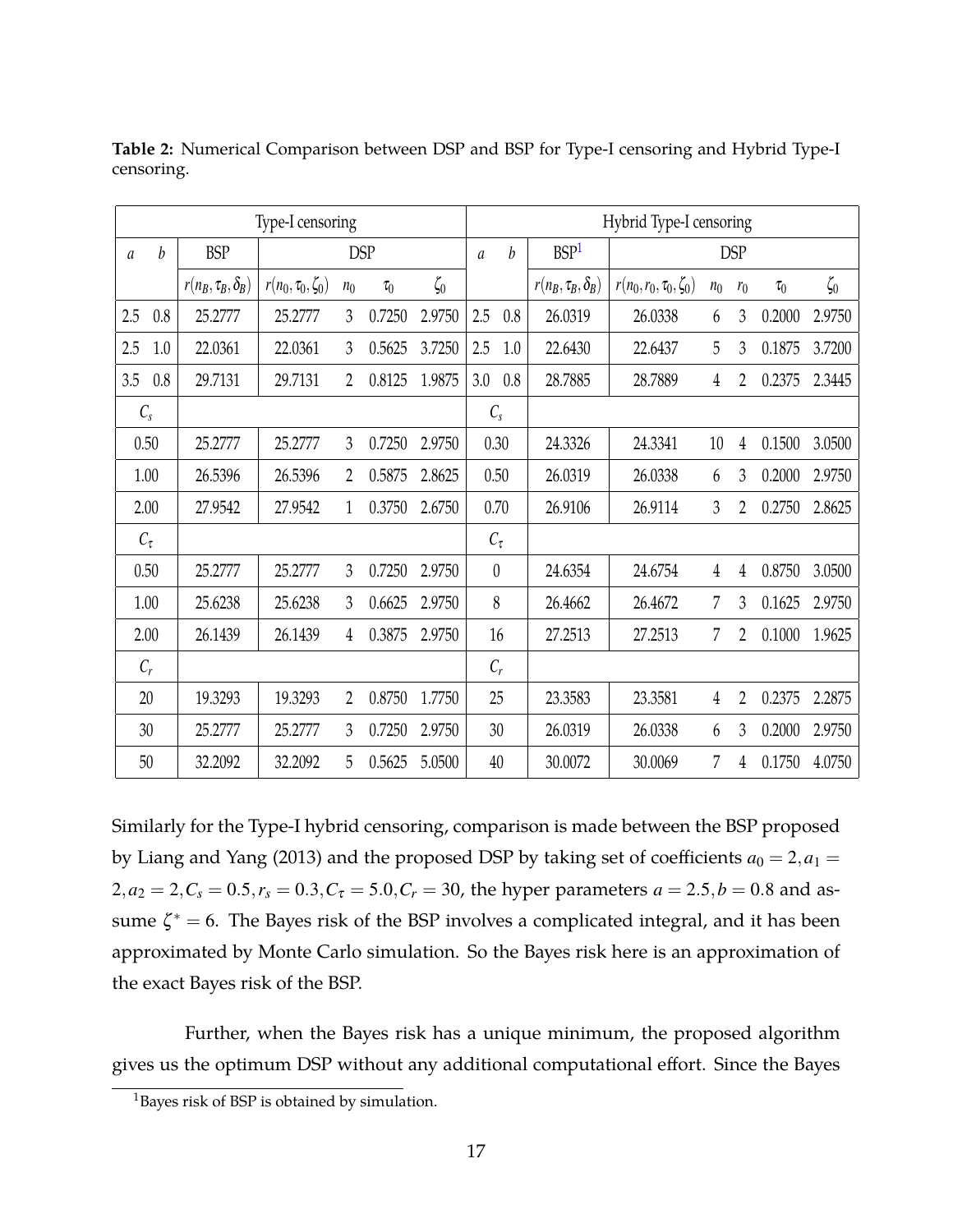|               |      |                            | Type-I censoring          |                |            |           |                |      |                            | Hybrid Type-I censoring     |                |            |          |           |
|---------------|------|----------------------------|---------------------------|----------------|------------|-----------|----------------|------|----------------------------|-----------------------------|----------------|------------|----------|-----------|
| $\mathfrak a$ | b    | <b>BSP</b>                 |                           |                | <b>DSP</b> |           | $\mathfrak{a}$ | b    | BSP <sup>1</sup>           |                             |                | <b>DSP</b> |          |           |
|               |      | $r(n_B, \tau_B, \delta_B)$ | $r(n_0, \tau_0, \zeta_0)$ | n <sub>0</sub> | $\tau_0$   | $\zeta_0$ |                |      | $r(n_B, \tau_B, \delta_B)$ | $r(n_0,r_0,\tau_0,\zeta_0)$ | n <sub>0</sub> | $r_0$      | $\tau_0$ | $\zeta_0$ |
| 2.5           | 0.8  | 25.2777                    | 25.2777                   | 3              | 0.7250     | 2.9750    | 2.5            | 0.8  | 26.0319                    | 26.0338                     | 6              | 3          | 0.2000   | 2.9750    |
| 2.5           | 1.0  | 22.0361                    | 22.0361                   | 3              | 0.5625     | 3.7250    | 2.5            | 1.0  | 22.6430                    | 22.6437                     | 5              | 3          | 0.1875   | 3.7200    |
| 3.5           | 0.8  | 29.7131                    | 29.7131                   | $\overline{2}$ | 0.8125     | 1.9875    | 3.0            | 0.8  | 28.7885                    | 28.7889                     | 4              | 2          | 0.2375   | 2.3445    |
| $C_{S}$       |      |                            |                           |                |            |           | $C_{s}$        |      |                            |                             |                |            |          |           |
|               | 0.50 | 25.2777                    | 25.2777                   | 3              | 0.7250     | 2.9750    |                | 0.30 | 24.3326                    | 24.3341                     | 10             | 4          | 0.1500   | 3.0500    |
|               | 1.00 | 26.5396                    | 26.5396                   | 2              | 0.5875     | 2.8625    |                | 0.50 | 26.0319                    | 26.0338                     | 6              | 3          | 0.2000   | 2.9750    |
|               | 2.00 | 27.9542                    | 27.9542                   | 1              | 0.3750     | 2.6750    |                | 0.70 | 26.9106                    | 26.9114                     | 3              | 2          | 0.2750   | 2.8625    |
| $C_{\tau}$    |      |                            |                           |                |            |           | $C_{\tau}$     |      |                            |                             |                |            |          |           |
|               | 0.50 | 25.2777                    | 25.2777                   | 3              | 0.7250     | 2.9750    | $\theta$       |      | 24.6354                    | 24.6754                     | 4              | 4          | 0.8750   | 3.0500    |
|               | 1.00 | 25.6238                    | 25.6238                   | 3              | 0.6625     | 2.9750    |                | 8    | 26.4662                    | 26.4672                     | 7              | 3          | 0.1625   | 2.9750    |
|               | 2.00 | 26.1439                    | 26.1439                   | 4              | 0.3875     | 2.9750    |                | 16   | 27.2513                    | 27.2513                     | 7              | 2          | 0.1000   | 1.9625    |
| $C_r$         |      |                            |                           |                |            |           | $C_r$          |      |                            |                             |                |            |          |           |
| 20            |      | 19.3293                    | 19.3293                   | 2              | 0.8750     | 1.7750    | 25             |      | 23.3583                    | 23.3581                     | 4              | 2          | 0.2375   | 2.2875    |
| 30            |      | 25.2777                    | 25.2777                   | 3              | 0.7250     | 2.9750    |                | 30   | 26.0319                    | 26.0338                     | 6              | 3          | 0.2000   | 2.9750    |
| 50            |      | 32.2092                    | 32.2092                   | 5              | 0.5625     | 5.0500    | 40             |      | 30.0072                    | 30.0069                     | 7              | 4          | 0.1750   | 4.0750    |

<span id="page-16-0"></span>**Table 2:** Numerical Comparison between DSP and BSP for Type-I censoring and Hybrid Type-I censoring.

Similarly for the Type-I hybrid censoring, comparison is made between the BSP proposed by Liang and Yang (2013) and the proposed DSP by taking set of coefficients  $a_0 = 2, a_1 = 1$  $2, a_2 = 2, C_s = 0.5, r_s = 0.3, C_\tau = 5.0, C_r = 30$ , the hyper parameters  $a = 2.5, b = 0.8$  and assume  $\zeta^* = 6$ . The Bayes risk of the BSP involves a complicated integral, and it has been approximated by Monte Carlo simulation. So the Bayes risk here is an approximation of the exact Bayes risk of the BSP.

Further, when the Bayes risk has a unique minimum, the proposed algorithm gives us the optimum DSP without any additional computational effort. Since the Bayes

<sup>&</sup>lt;sup>1</sup>Bayes risk of BSP is obtained by simulation.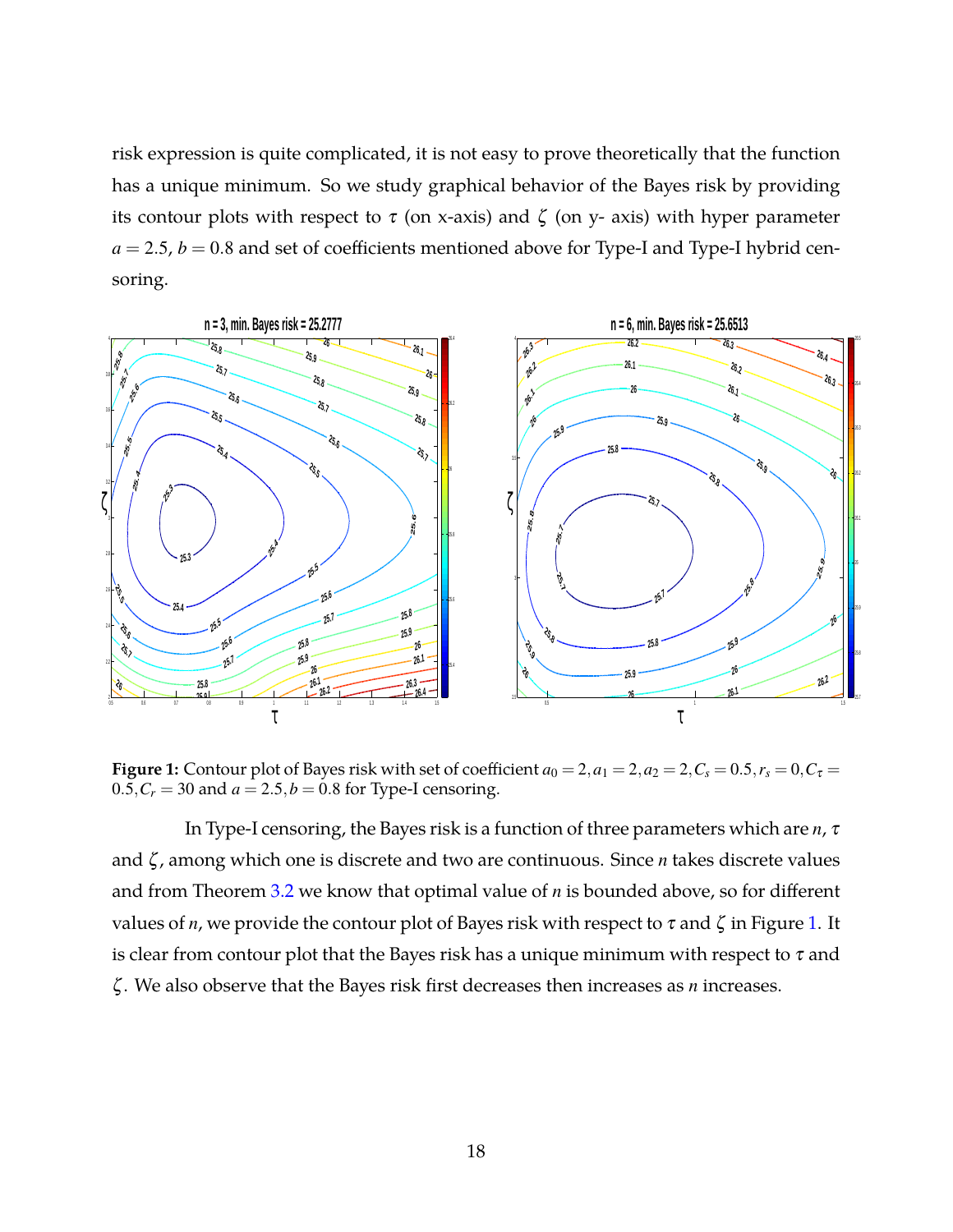risk expression is quite complicated, it is not easy to prove theoretically that the function has a unique minimum. So we study graphical behavior of the Bayes risk by providing its contour plots with respect to  $\tau$  (on x-axis) and  $\zeta$  (on y- axis) with hyper parameter  $a = 2.5$ ,  $b = 0.8$  and set of coefficients mentioned above for Type-I and Type-I hybrid censoring.

<span id="page-17-0"></span>

**Figure 1:** Contour plot of Bayes risk with set of coefficient  $a_0 = 2$ ,  $a_1 = 2$ ,  $a_2 = 2$ ,  $C_s = 0.5$ ,  $r_s = 0$ ,  $C_{\tau} = 0$  $0.5, C_r = 30$  and  $a = 2.5, b = 0.8$  for Type-I censoring.

In Type-I censoring, the Bayes risk is a function of three parameters which are *n*, <sup>τ</sup> and ζ , among which one is discrete and two are continuous. Since *n* takes discrete values and from Theorem [3.2](#page-7-2) we know that optimal value of *n* is bounded above, so for different values of *n*, we provide the contour plot of Bayes risk with respect to  $\tau$  and  $\zeta$  in Figure [1.](#page-17-0) It is clear from contour plot that the Bayes risk has a unique minimum with respect to  $\tau$  and ζ . We also observe that the Bayes risk first decreases then increases as *n* increases.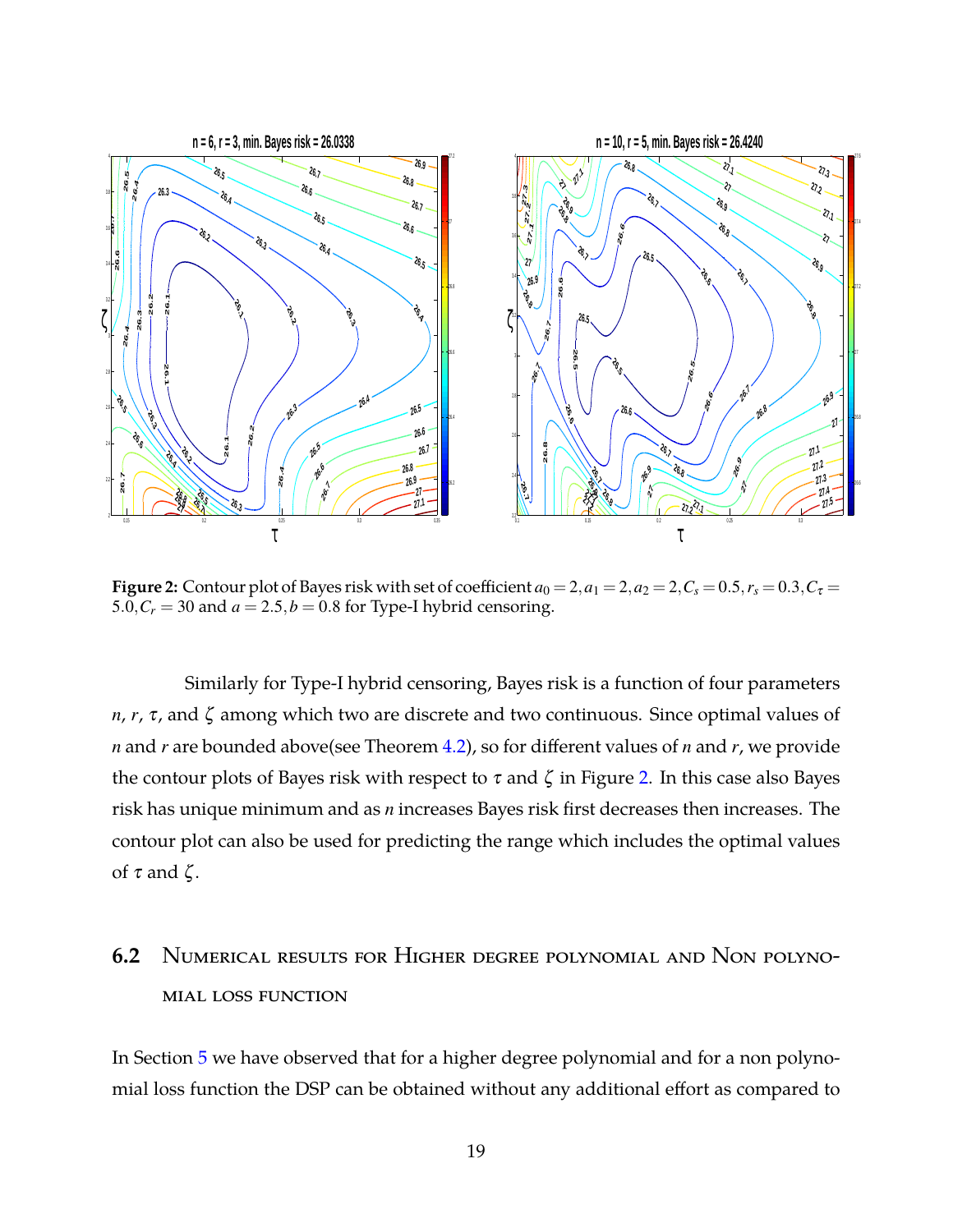<span id="page-18-0"></span>

**Figure 2:** Contour plot of Bayes risk with set of coefficient  $a_0 = 2$ ,  $a_1 = 2$ ,  $a_2 = 2$ ,  $C_s = 0.5$ ,  $r_s = 0.3$ ,  $C_{\tau} =$ 5.0, $C_r$  = 30 and  $a$  = 2.5, $b$  = 0.8 for Type-I hybrid censoring.

Similarly for Type-I hybrid censoring, Bayes risk is a function of four parameters *n*, *r*, <sup>τ</sup>, and ζ among which two are discrete and two continuous. Since optimal values of *n* and *r* are bounded above(see Theorem [4.2\)](#page-9-0), so for different values of *n* and *r*, we provide the contour plots of Bayes risk with respect to  $\tau$  and  $\zeta$  in Figure [2.](#page-18-0) In this case also Bayes risk has unique minimum and as *n* increases Bayes risk first decreases then increases. The contour plot can also be used for predicting the range which includes the optimal values of  $\tau$  and  $\zeta$ .

# **6.2** Numerical results for Higher degree polynomial and Non polynomial loss function

In Section [5](#page-10-0) we have observed that for a higher degree polynomial and for a non polynomial loss function the DSP can be obtained without any additional effort as compared to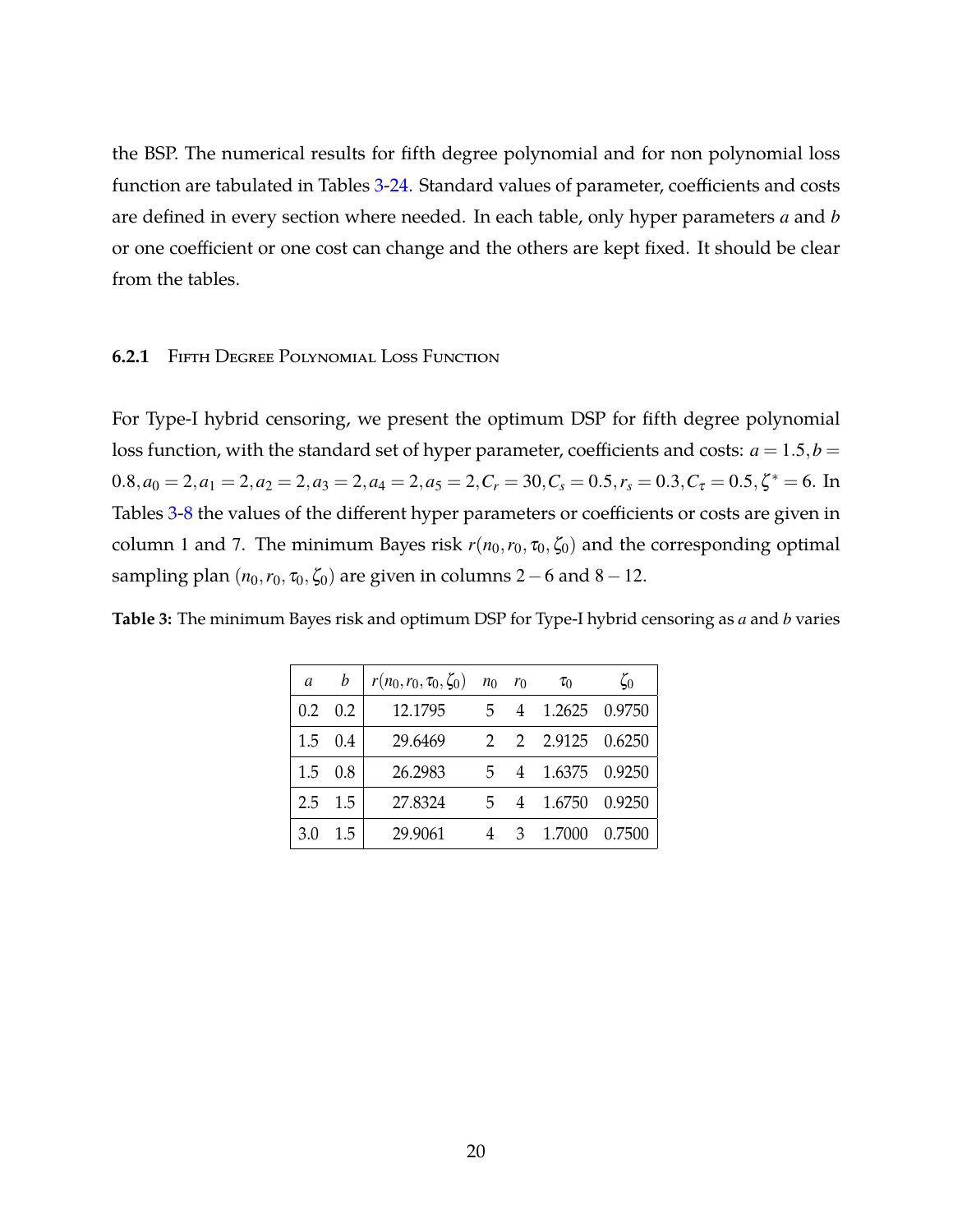the BSP. The numerical results for fifth degree polynomial and for non polynomial loss function are tabulated in Tables [3-](#page-19-0)[24.](#page-28-1) Standard values of parameter, coefficients and costs are defined in every section where needed. In each table, only hyper parameters *a* and *b* or one coefficient or one cost can change and the others are kept fixed. It should be clear from the tables.

#### **6.2.1** Fifth Degree Polynomial Loss Function

For Type-I hybrid censoring, we present the optimum DSP for fifth degree polynomial loss function, with the standard set of hyper parameter, coefficients and costs:  $a = 1.5$ ,  $b =$  $0.8, a_0 = 2, a_1 = 2, a_2 = 2, a_3 = 2, a_4 = 2, a_5 = 2, C_r = 30, C_s = 0.5, r_s = 0.3, C_\tau = 0.5, \zeta^* = 6$ . In Tables [3](#page-19-0)[-8](#page-21-0) the values of the different hyper parameters or coefficients or costs are given in column 1 and 7. The minimum Bayes risk  $r(n_0, r_0, \zeta_0, \zeta_0)$  and the corresponding optimal sampling plan  $(n_0, r_0, \tau_0, \zeta_0)$  are given in columns 2 – 6 and 8 – 12.

<span id="page-19-0"></span>

| Table 3: The minimum Bayes risk and optimum DSP for Type-I hybrid censoring as a and b varies |  |  |  |  |
|-----------------------------------------------------------------------------------------------|--|--|--|--|
|-----------------------------------------------------------------------------------------------|--|--|--|--|

| a   | h               | $r(n_0, r_0, \tau_0, \zeta_0)$ $n_0$ $r_0$ |    |   | $\tau_0$          | $\zeta_0$ |
|-----|-----------------|--------------------------------------------|----|---|-------------------|-----------|
|     | $0.2 \quad 0.2$ | 12.1795                                    |    |   | 5 4 1.2625 0.9750 |           |
|     | $1.5 \quad 0.4$ | 29.6469                                    |    |   | 2 2 2.9125 0.6250 |           |
| 1.5 | 0.8             | 26.2983                                    |    |   | 5 4 1.6375 0.9250 |           |
| 2.5 | 1.5             | 27.8324                                    | 5. | 4 | 1.6750            | 0.9250    |
| 3.0 | $1.5^{\circ}$   | 29.9061                                    |    | 3 | 1.7000            | 0.7500    |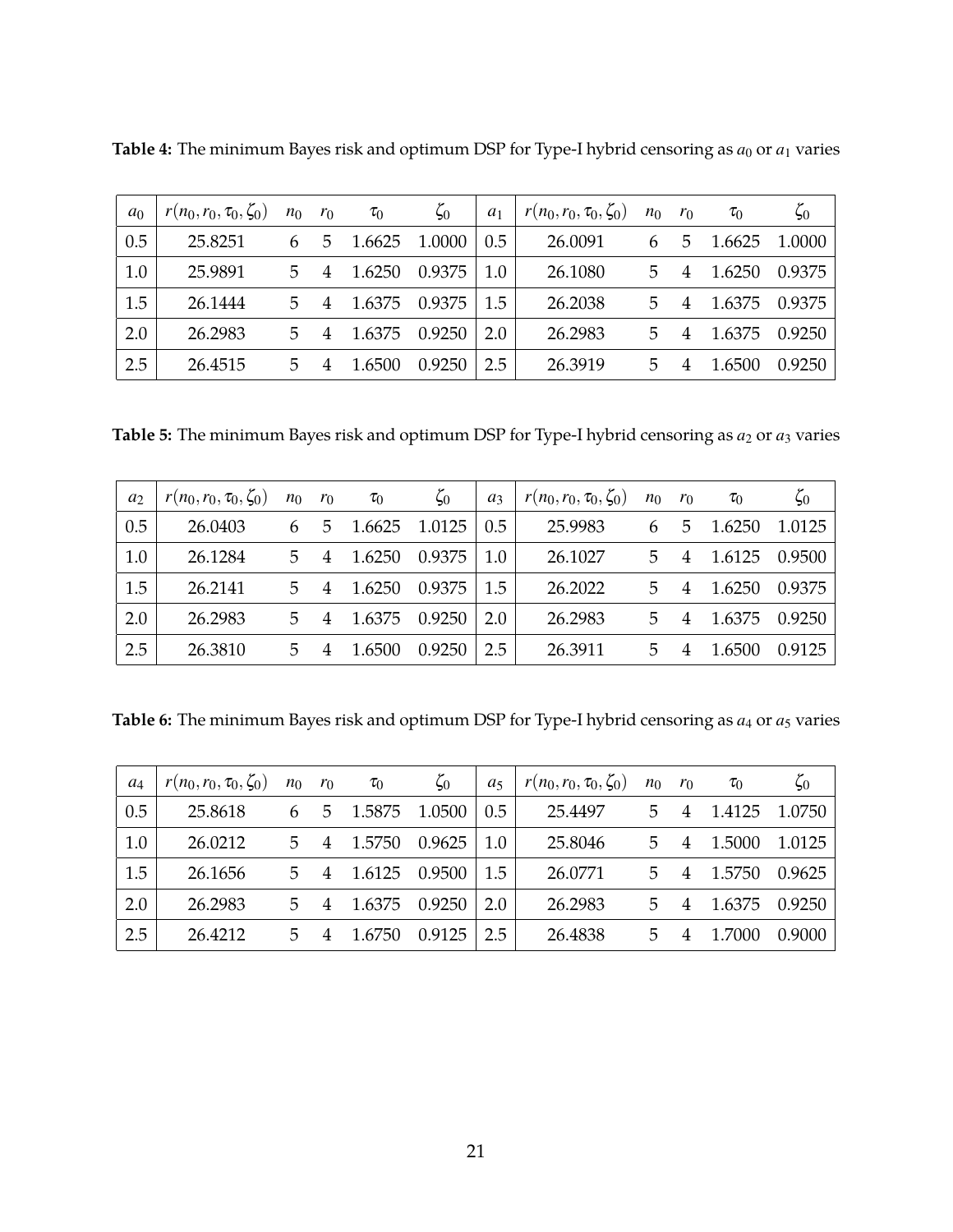| a <sub>0</sub> | $r(n_0,r_0,\tau_0,\zeta_0)$ | $n_0$ | $r_0$ | $\tau_0$ | $\zeta_0$ | $a_1$ | $r(n_0,r_0,\tau_0,\zeta_0)$ | $n_0$ | $r_0$ | $\tau_0$ | $\zeta_0$ |
|----------------|-----------------------------|-------|-------|----------|-----------|-------|-----------------------------|-------|-------|----------|-----------|
| 0.5            | 25.8251                     | 6     | 5     | 1.6625   | 1.0000    | 0.5   | 26.0091                     | 6     | ხ     | 1.6625   | 1.0000    |
| 1.0            | 25.9891                     | 5.    |       | 1.6250   | 0.9375    | 1.0   | 26.1080                     | 5     |       | 1.6250   | 0.9375    |
| 1.5            | 26.1444                     | 5     |       | 1.6375   | 0.9375    | 1.5   | 26.2038                     | 5     | 4     | 1.6375   | 0.9375    |
| 2.0            | 26.2983                     | 5     |       | 1.6375   | 0.9250    | 2.0   | 26.2983                     | 5     | 4     | 1.6375   | 0.9250    |
| 2.5            | 26.4515                     | 5     |       | 1.6500   | 0.9250    | 2.5   | 26.3919                     | 5     |       | 1.6500   | 0.9250    |

<span id="page-20-0"></span>**Table 4:** The minimum Bayes risk and optimum DSP for Type-I hybrid censoring as  $a_0$  or  $a_1$  varies

Table 5: The minimum Bayes risk and optimum DSP for Type-I hybrid censoring as  $a_2$  or  $a_3$  varies

| a <sub>2</sub> | $r(n_0,r_0,\tau_0,\zeta_0)$ | $n_0$ | $r_0$ | $\tau_0$ | $\zeta_0$ | $a_3$ | $r(n_0,r_0,\tau_0,\zeta_0)$ | $n_0$ | $r_0$ | $\tau_0$ | $\zeta_0$ |
|----------------|-----------------------------|-------|-------|----------|-----------|-------|-----------------------------|-------|-------|----------|-----------|
| 0.5            | 26.0403                     | 6     | 5.    | 1.6625   | 1.0125    | 0.5   | 25.9983                     | 6     | 5     | 1.6250   | 1.0125    |
| 1.0            | 26.1284                     | 5.    |       | 1.6250   | 0.9375    | 1.0   | 26.1027                     | 5.    |       | 1.6125   | 0.9500    |
| 1.5            | 26.2141                     | 5.    |       | 1.6250   | 0.9375    | 1.5   | 26.2022                     | 5.    |       | 1.6250   | 0.9375    |
| 2.0            | 26.2983                     | 5     |       | 1.6375   | 0.9250    | 2.0   | 26.2983                     | 5.    |       | 1.6375   | 0.9250    |
| 2.5            | 26.3810                     | 5     |       | 1.6500   | 0.9250    | 2.5   | 26.3911                     | 5     |       | 1.6500   | 0.9125    |

<span id="page-20-1"></span>Table 6: The minimum Bayes risk and optimum DSP for Type-I hybrid censoring as  $a_4$  or  $a_5$  varies

| $a_4$ | $r(n_0,r_0,\tau_0,\zeta_0)$ | $n_0$ | $r_0$ | $\tau_0$ | $\zeta_0$ | a <sub>5</sub> | $r(n_0,r_0,\tau_0,\zeta_0)$ | $n_0$ | $r_0$ | $\tau_0$ | $\zeta_0$ |
|-------|-----------------------------|-------|-------|----------|-----------|----------------|-----------------------------|-------|-------|----------|-----------|
| 0.5   | 25.8618                     | 6     | 5     | 1.5875   | 1.0500    | 0.5            | 25.4497                     | 5.    |       | 1.4125   | 1.0750    |
| 1.0   | 26.0212                     | 5.    |       | 1.5750   | 0.9625    | 1.0            | 25.8046                     | 5.    |       | 1.5000   | 1.0125    |
| 1.5   | 26.1656                     | 5.    |       | 1.6125   | 0.9500    | 1.5            | 26.0771                     | 5.    |       | 1.5750   | 0.9625    |
| 2.0   | 26.2983                     | 5     |       | 1.6375   | 0.9250    | 2.0            | 26.2983                     | 5.    |       | 1.6375   | 0.9250    |
| 2.5   | 26.4212                     | 5     |       | 1.6750   | 0.9125    | 2.5            | 26.4838                     | 5.    |       | 1.7000   | 0.9000    |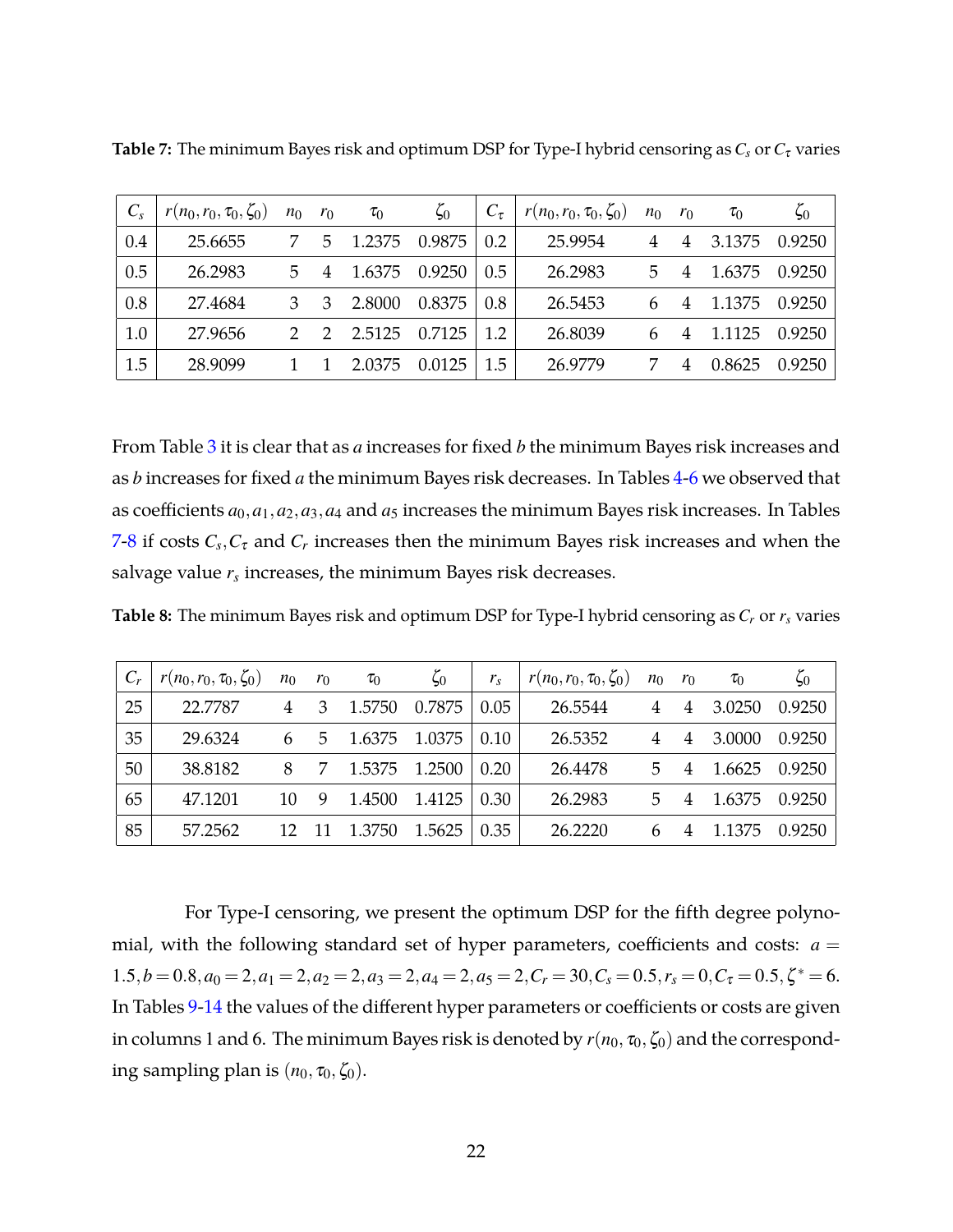| $C_{s}$ | $r(n_0,r_0,\tau_0,\zeta_0)$ | $n_0$         | $r_0$ | $\tau_0$ | $\zeta_0$ | $C_{\tau}$ | $r(n_0,r_0,\tau_0,\zeta_0)$ | $n_0$ | $r_0$ | $\tau_0$ | $\zeta_0$ |
|---------|-----------------------------|---------------|-------|----------|-----------|------------|-----------------------------|-------|-------|----------|-----------|
| 0.4     | 25.6655                     |               | 5     | 1.2375   | 0.9875    | 0.2        | 25.9954                     | 4     | 4     | 3.1375   | 0.9250    |
| 0.5     | 26.2983                     | 5             |       | 1.6375   | 0.9250    | 0.5        | 26.2983                     | 5     |       | 1.6375   | 0.9250    |
| 0.8     | 27.4684                     | 3             |       | 2.8000   | 0.8375    | 0.8        | 26.5453                     |       |       | 1.1375   | 0.9250    |
| 1.0     | 27.9656                     | $\mathcal{D}$ | 2     | 2.5125   | 0.7125    | 1.2        | 26.8039                     |       |       | 1.1125   | 0.9250    |
| 1.5     | 28.9099                     |               |       | 2.0375   | 0.0125    | 1.5        | 26.9779                     |       |       | 0.8625   | 0.9250    |

<span id="page-21-1"></span>**Table 7:** The minimum Bayes risk and optimum DSP for Type-I hybrid censoring as*C<sup>s</sup>* or*C*<sup>τ</sup> varies

From Table [3](#page-19-0) it is clear that as *a* increases for fixed *b* the minimum Bayes risk increases and as *b* increases for fixed *a* the minimum Bayes risk decreases. In Tables [4-](#page-20-0)[6](#page-20-1) we observed that as coefficients  $a_0$ ,  $a_1$ ,  $a_2$ ,  $a_3$ ,  $a_4$  and  $a_5$  increases the minimum Bayes risk increases. In Tables [7-](#page-21-1)[8](#page-21-0) if costs  $C_s$ ,  $C_{\tau}$  and  $C_r$  increases then the minimum Bayes risk increases and when the salvage value  $r_s$  increases, the minimum Bayes risk decreases.

<span id="page-21-0"></span>**Table 8:** The minimum Bayes risk and optimum DSP for Type-I hybrid censoring as *C<sup>r</sup>* or *r<sup>s</sup>* varies

|    | $r(n_0,r_0,\tau_0,\zeta_0)$ | $n_0$ | $r_0$ | $\tau_0$ | $\zeta_0$ | $r_{\rm s}$ | $r(n_0,r_0,\tau_0,\zeta_0)$ | $n_0$ | $r_0$          | $\tau_0$ | $\zeta_0$ |
|----|-----------------------------|-------|-------|----------|-----------|-------------|-----------------------------|-------|----------------|----------|-----------|
| 25 | 22.7787                     | 4     | 3     | 1.5750   | 0.7875    | 0.05        | 26.5544                     |       | 4              | 3.0250   | 0.9250    |
| 35 | 29.6324                     |       | 5     | 1.6375   | 1.0375    | 0.10        | 26.5352                     |       | 4              | 3.0000   | 0.9250    |
| 50 | 38.8182                     | 8     | -7    | 1.5375   | 1.2500    | 0.20        | 26.4478                     | 5.    |                | 1.6625   | 0.9250    |
| 65 | 47.1201                     | 10    | 9     | 1.4500   | 1.4125    | 0.30        | 26.2983                     | 5     | $\overline{4}$ | 1.6375   | 0.9250    |
| 85 | 57.2562                     | 12    |       | 1.3750   | 1.5625    | 0.35        | 26.2220                     | 6     |                | 1.1375   | 0.9250    |

For Type-I censoring, we present the optimum DSP for the fifth degree polynomial, with the following standard set of hyper parameters, coefficients and costs:  $a =$  $1.5, b = 0.8, a_0 = 2, a_1 = 2, a_2 = 2, a_3 = 2, a_4 = 2, a_5 = 2, C_r = 30, C_s = 0.5, r_s = 0, C_\tau = 0.5, \zeta^* = 6.$ In Tables [9-](#page-22-0)[14](#page-23-0) the values of the different hyper parameters or coefficients or costs are given in columns 1 and 6. The minimum Bayes risk is denoted by  $r(n_0, \tau_0, \zeta_0)$  and the corresponding sampling plan is  $(n_0, \tau_0, \zeta_0)$ .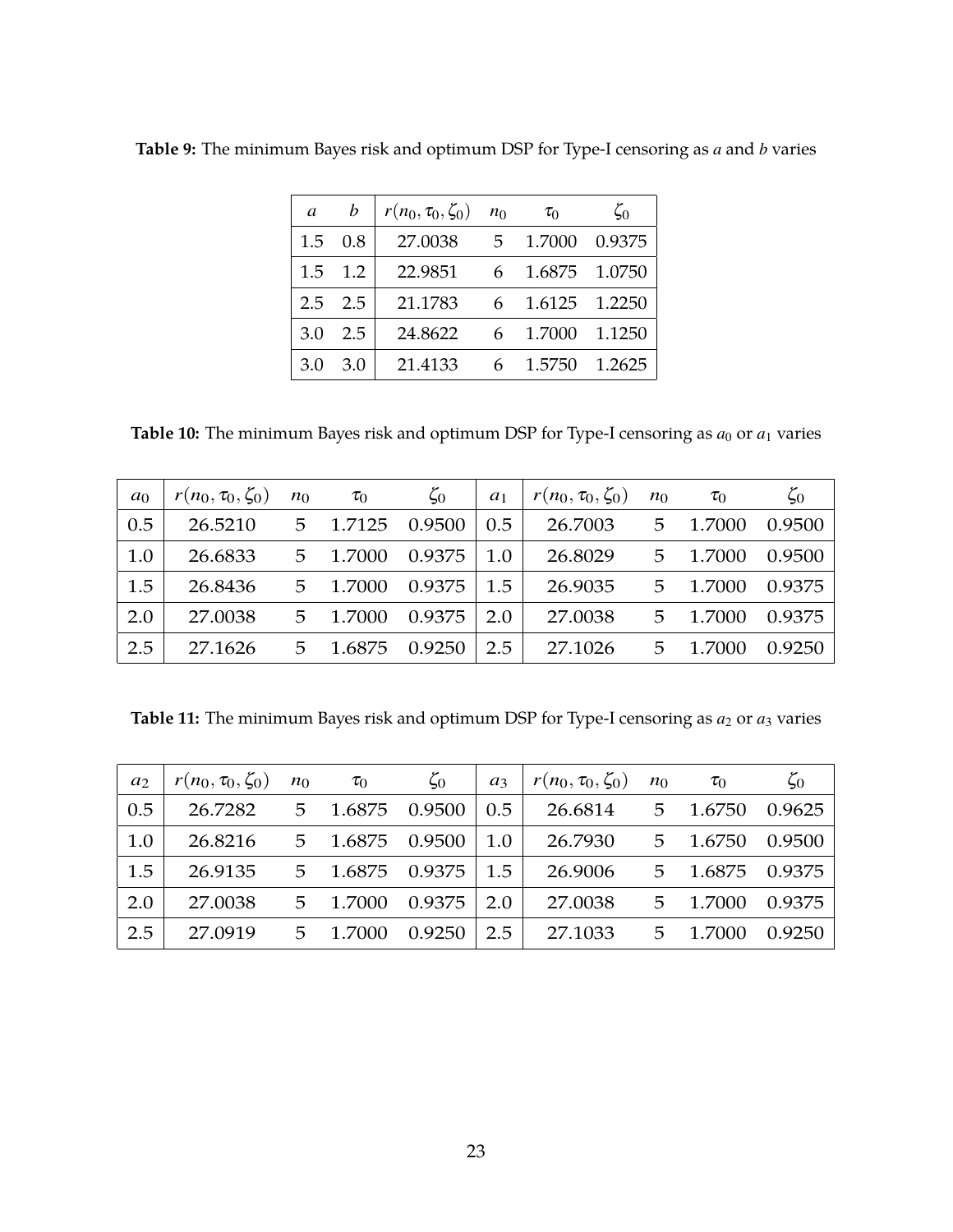| a             | $\boldsymbol{b}$ | $r(n_0, \tau_0, \zeta_0)$ | $n_0$ | $\tau_0$ | $\zeta_0$ |
|---------------|------------------|---------------------------|-------|----------|-----------|
| 1.5           | 0.8              | 27.0038                   | 5.    | 1.7000   | 0.9375    |
| $1.5^{\circ}$ | 1.2              | 22.9851                   | 6     | 1.6875   | 1.0750    |
| 2.5           | 2.5              | 21.1783                   | 6     | 1.6125   | 1.2250    |
| 3.0           | 2.5              | 24.8622                   | 6     | 1.7000   | 1.1250    |
| 3.0           | 3.0              | 21.4133                   | 6     | 1.5750   | 1.2625    |

<span id="page-22-0"></span>**Table 9:** The minimum Bayes risk and optimum DSP for Type-I censoring as *a* and *b* varies

<span id="page-22-1"></span>**Table 10:** The minimum Bayes risk and optimum DSP for Type-I censoring as  $a_0$  or  $a_1$  varies

| a <sub>0</sub> | $r(n_0, \tau_0, \zeta_0)$ | $n_0$ | $\tau_0$ | $\zeta_0$ | $a_1$ | $r(n_0, \tau_0, \zeta_0)$ | $n_0$ | $\tau_0$ | $\zeta_0$ |
|----------------|---------------------------|-------|----------|-----------|-------|---------------------------|-------|----------|-----------|
| 0.5            | 26.5210                   | 5.    | 1.7125   | 0.9500    | 0.5   | 26.7003                   | 5     | 1.7000   | 0.9500    |
| 1.0            | 26.6833                   | 5.    | 1.7000   | 0.9375    | 1.0   | 26.8029                   | 5     | 1.7000   | 0.9500    |
| 1.5            | 26.8436                   | 5     | 1.7000   | 0.9375    | 1.5   | 26.9035                   | 5     | 1.7000   | 0.9375    |
| 2.0            | 27.0038                   | 5     | 1.7000   | 0.9375    | 2.0   | 27.0038                   | 5     | 1.7000   | 0.9375    |
| 2.5            | 27.1626                   | 5     | 1.6875   | 0.9250    | 2.5   | 27.1026                   | 5     | 1.7000   | 0.9250    |

Table 11: The minimum Bayes risk and optimum DSP for Type-I censoring as  $a_2$  or  $a_3$  varies

| $a_2$ | $r(n_0, \tau_0, \zeta_0)$ | $n_0$ | $\tau_0$      | $\zeta_0$ | $a_3$         | $r(n_0, \tau_0, \zeta_0)$ | $n_0$ | $\tau_0$        | $\zeta_0$ |
|-------|---------------------------|-------|---------------|-----------|---------------|---------------------------|-------|-----------------|-----------|
| 0.5   | 26.7282                   | 5     | 1.6875 0.9500 |           | $0.5^{\circ}$ | 26.6814 5 1.6750          |       |                 | 0.9625    |
| 1.0   | 26.8216                   | 5.    | 1.6875 0.9500 |           | 1.0           | 26.7930                   |       | 5 1.6750 0.9500 |           |
| 1.5   | 26.9135                   | 5.    | 1.6875 0.9375 |           | 1.5           | 26.9006                   |       | 5 1.6875 0.9375 |           |
| 2.0   | 27.0038                   | 5.    | 1.7000        | 0.9375    | 2.0           | 27.0038                   |       | 5 1.7000        | 0.9375    |
| 2.5   | 27.0919                   | 5     | 1.7000        | 0.9250    | 2.5           | 27.1033                   |       | 5 1.7000        | 0.9250    |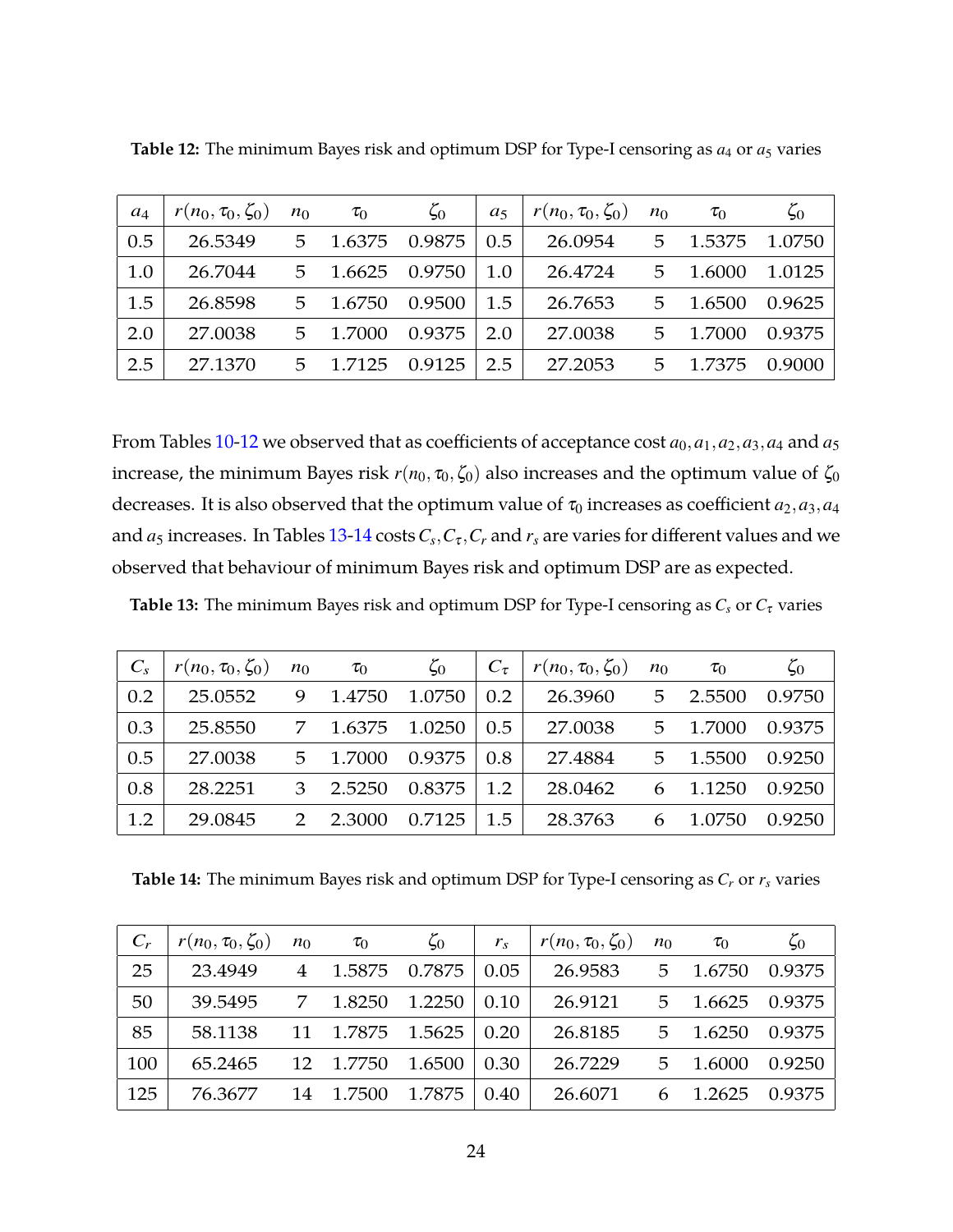| $a_4$ | $r(n_0, \tau_0, \zeta_0)$ | $n_0$ | $\tau_0$ | $\zeta_0$ | a <sub>5</sub> | $r(n_0, \tau_0, \zeta_0)$ | $n_0$ | $\tau_0$ | $\zeta_0$ |
|-------|---------------------------|-------|----------|-----------|----------------|---------------------------|-------|----------|-----------|
| 0.5   | 26.5349                   | 5     | 1.6375   | 0.9875    | 0.5            | 26.0954                   | 5     | 1.5375   | 1.0750    |
| 1.0   | 26.7044                   | 5     | 1.6625   | 0.9750    | 1.0            | 26.4724                   | 5     | 1.6000   | 1.0125    |
| 1.5   | 26.8598                   | 5     | 1.6750   | 0.9500    | 1.5            | 26.7653                   | 5     | 1.6500   | 0.9625    |
| 2.0   | 27.0038                   | 5     | 1.7000   | 0.9375    | 2.0            | 27.0038                   | 5     | 1.7000   | 0.9375    |
| 2.5   | 27.1370                   | 5     | 1.7125   | 0.9125    | 2.5            | 27.2053                   | 5     | 1.7375   | 0.9000    |

<span id="page-23-1"></span>**Table 12:** The minimum Bayes risk and optimum DSP for Type-I censoring as *a*4 or *a*5 varies

From Tables [10](#page-22-1)[-12](#page-23-1) we observed that as coefficients of acceptance cost  $a_0$ ,  $a_1$ ,  $a_2$ ,  $a_3$ ,  $a_4$  and  $a_5$ increase, the minimum Bayes risk  $r(n_0, \tau_0, \zeta_0)$  also increases and the optimum value of  $\zeta_0$ decreases. It is also observed that the optimum value of  $\tau_0$  increases as coefficient  $a_2, a_3, a_4$ and  $a_5$  increases. In Tables [13](#page-23-2)[-14](#page-23-0) costs  $C_s, C_\tau, C_r$  and  $r_s$  are varies for different values and we observed that behaviour of minimum Bayes risk and optimum DSP are as expected.

<span id="page-23-2"></span>**Table 13:** The minimum Bayes risk and optimum DSP for Type-I censoring as  $C_s$  or  $C_{\tau}$  varies

| $C_{S}$ | $r(n_0, \tau_0, \zeta_0)$ | $n_0$         | $\tau_0$ | $\zeta_0$ | $C_{\tau}$ | $r(n_0, \tau_0, \zeta_0)$ | $n_0$ | $\tau_0$ | $\zeta_0$ |
|---------|---------------------------|---------------|----------|-----------|------------|---------------------------|-------|----------|-----------|
| 0.2     | 25.0552                   | 9             | 1.4750   | 1.0750    | 0.2        | 26.3960                   | 5     | 2.5500   | 0.9750    |
| 0.3     | 25.8550                   | 7             | 1.6375   | 1.0250    | 0.5        | 27.0038                   | 5     | 1.7000   | 0.9375    |
| 0.5     | 27.0038                   | 5             | 1.7000   | 0.9375    | 0.8        | 27.4884                   | 5     | 1.5500   | 0.9250    |
| 0.8     | 28.2251                   | 3             | 2.5250   | 0.8375    | 1.2        | 28.0462                   | 6     | 1.1250   | 0.9250    |
| 1.2     | 29.0845                   | $\mathcal{P}$ | 2.3000   | 0.7125    | 1.5        | 28.3763                   | 6     | 1.0750   | 0.9250    |

<span id="page-23-0"></span>**Table 14:** The minimum Bayes risk and optimum DSP for Type-I censoring as *C<sup>r</sup>* or *r<sup>s</sup>* varies

| $C_r$ | $r(n_0, \tau_0, \zeta_0)$ | $n_0$          | $\tau_0$ | $\zeta_0$ | $r_{s}$ | $r(n_0, \tau_0, \zeta_0)$ | $n_0$ | $\tau_0$ | $\zeta_0$ |
|-------|---------------------------|----------------|----------|-----------|---------|---------------------------|-------|----------|-----------|
| 25    | 23.4949                   | $\overline{4}$ | 1.5875   | 0.7875    | 0.05    | 26.9583                   | 5     | 1.6750   | 0.9375    |
| 50    | 39.5495                   | 7              | 1.8250   | 1.2250    | 0.10    | 26.9121                   | 5     | 1.6625   | 0.9375    |
| 85    | 58.1138                   | 11             | 1.7875   | 1.5625    | 0.20    | 26.8185                   | 5     | 1.6250   | 0.9375    |
| 100   | 65.2465                   | 12             | 1.7750   | 1.6500    | 0.30    | 26.7229                   | .5.   | 1.6000   | 0.9250    |
| 125   | 76.3677                   | 14             | 1.7500   | 1.7875    | 0.40    | 26.6071                   |       | 1.2625   | 0.9375    |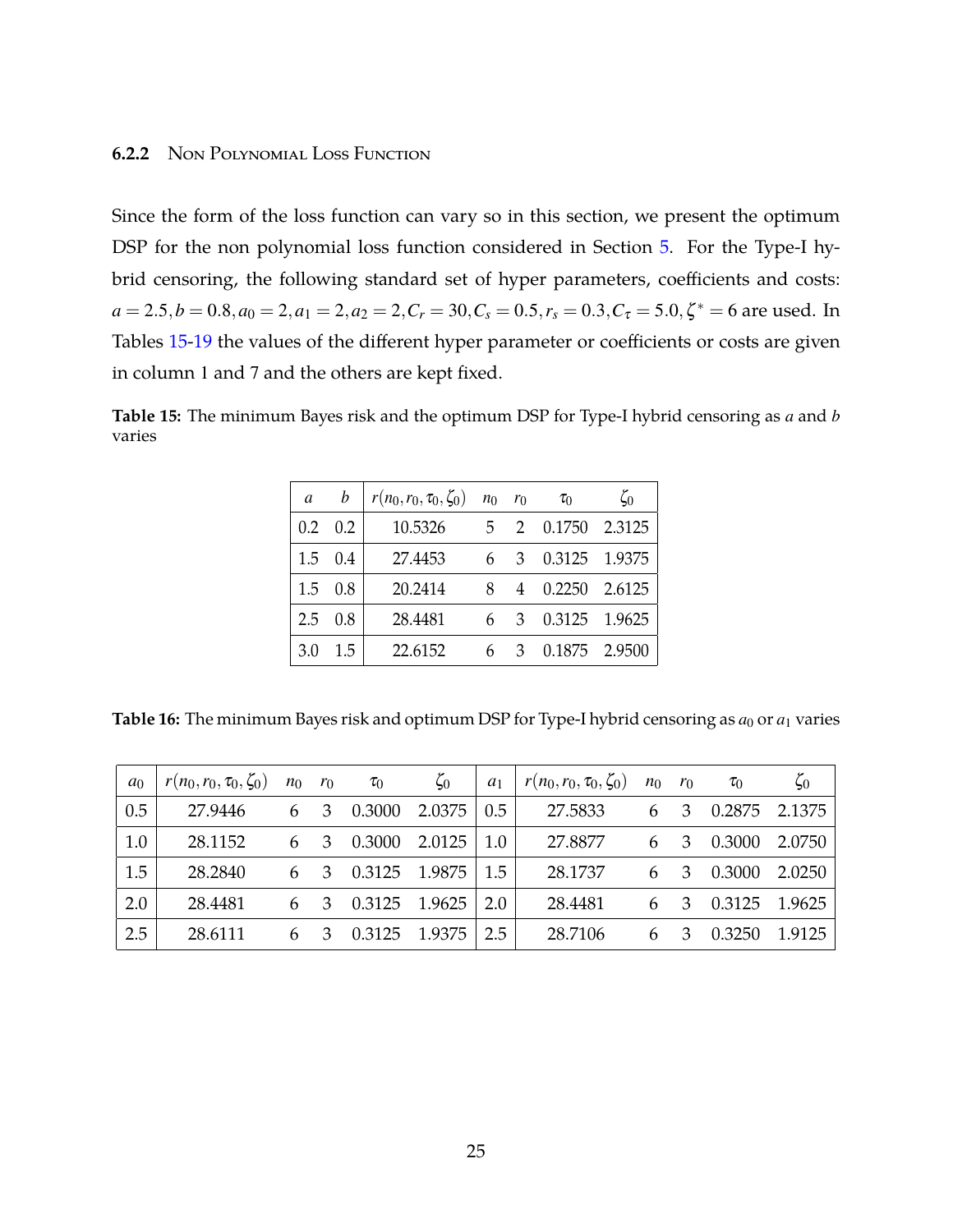### **6.2.2** Non Polynomial Loss Function

Since the form of the loss function can vary so in this section, we present the optimum DSP for the non polynomial loss function considered in Section [5.](#page-10-0) For the Type-I hybrid censoring, the following standard set of hyper parameters, coefficients and costs:  $a = 2.5, b = 0.8, a_0 = 2, a_1 = 2, a_2 = 2, C_r = 30, C_s = 0.5, r_s = 0.3, C_\tau = 5.0, \zeta^* = 6$  are used. In Tables [15](#page-24-0)[-19](#page-26-0) the values of the different hyper parameter or coefficients or costs are given in column 1 and 7 and the others are kept fixed.

<span id="page-24-0"></span>**Table 15:** The minimum Bayes risk and the optimum DSP for Type-I hybrid censoring as *a* and *b* varies

| a             | b   | $r(n_0, r_0, \tau_0, \zeta_0)$ $n_0$ $r_0$ |   |               | $\tau_0$        | $\zeta_0$ |
|---------------|-----|--------------------------------------------|---|---------------|-----------------|-----------|
| $0.2^{\circ}$ | 0.2 | 10.5326                                    | 5 |               | 2 0.1750 2.3125 |           |
| 1.5           | 0.4 | 27.4453                                    |   | $\mathcal{B}$ | 0.3125 1.9375   |           |
| 1.5           | 0.8 | 20.2414                                    | 8 | 4             | 0.2250          | 2.6125    |
| 2.5           | 0.8 | 28.4481                                    |   | $\mathcal{E}$ | 0.3125          | 1.9625    |
| 3.0           | 1.5 | 22.6152                                    | 6 | 3             | 0.1875 2.9500   |           |

<span id="page-24-1"></span>**Table 16:** The minimum Bayes risk and optimum DSP for Type-I hybrid censoring as  $a_0$  or  $a_1$  varies

| a <sub>0</sub> | $r(n_0,r_0,\tau_0,\zeta_0)$ | $n_0$ | $r_0$ | $\tau_0$ | $\zeta_0$ | $a_1$ | $r(n_0,r_0,\tau_0,\zeta_0)$ | $n_0$ | $r_0$ | $\tau_0$ | $\zeta_0$ |
|----------------|-----------------------------|-------|-------|----------|-----------|-------|-----------------------------|-------|-------|----------|-----------|
| 0.5            | 27.9446                     | 6     | 3     | 0.3000   | 2.0375    | 0.5   | 27.5833                     | 6     | 3     | 0.2875   | 2.1375    |
| 1.0            | 28.1152                     | 6     | 3     | 0.3000   | 2.0125    | 1.0   | 27.8877                     | 6     | -3    | 0.3000   | 2.0750    |
| 1.5            | 28.2840                     | 6     | 3     | 0.3125   | 1.9875    | 1.5   | 28.1737                     | 6     | 3     | 0.3000   | 2.0250    |
| 2.0            | 28.4481                     | 6     | 3     | 0.3125   | 1.9625    | 2.0   | 28.4481                     | 6     | 3     | 0.3125   | 1.9625    |
| 2.5            | 28.6111                     | 6     | З     | 0.3125   | 1.9375    | 2.5   | 28.7106                     | 6     |       | 0.3250   | 1.9125    |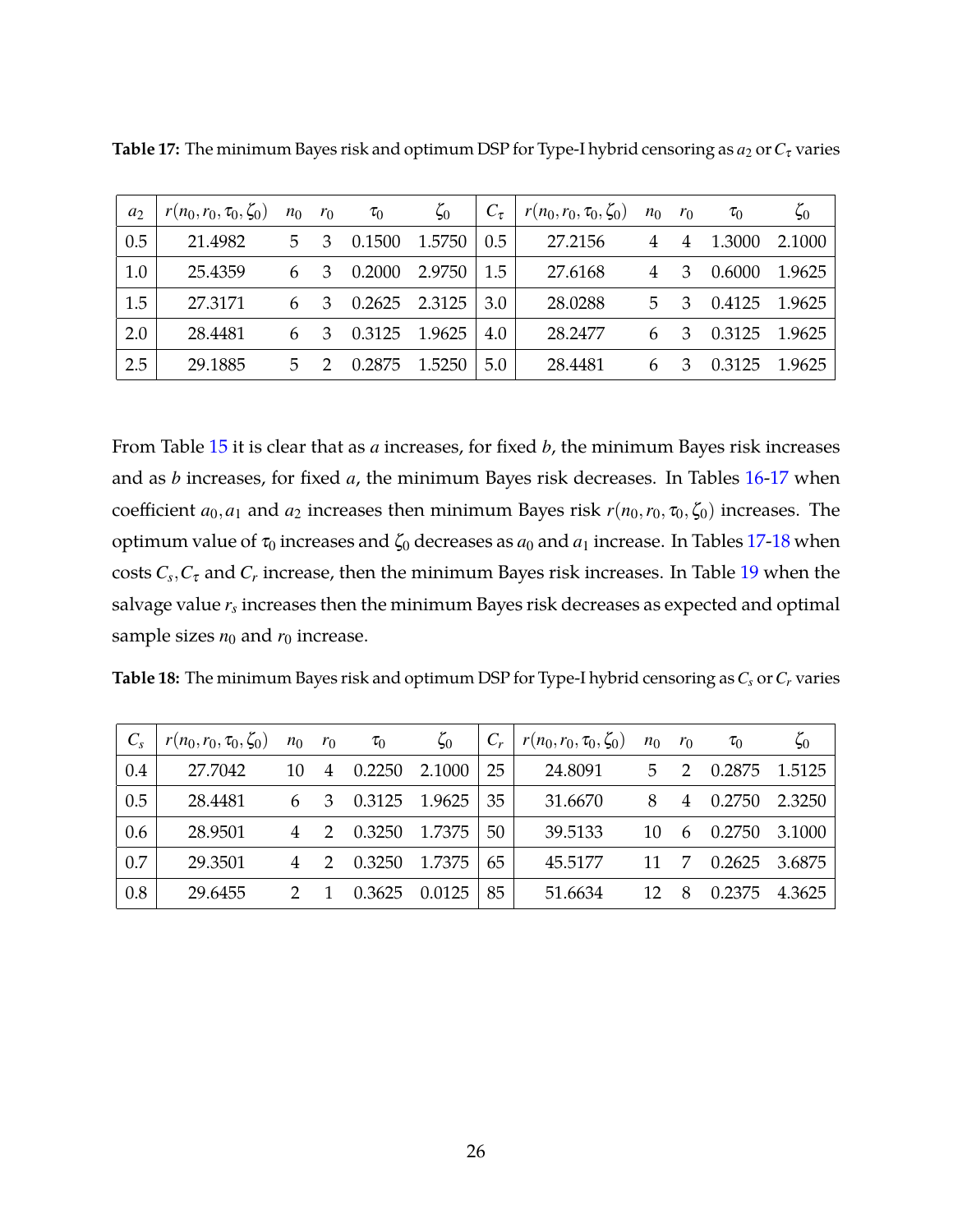| a <sub>2</sub> | $r(n_0,r_0,\tau_0,\zeta_0)$ | $n_0$ | $r_0$ | $\tau_0$ | $\zeta_0$ | $C_{\tau}$ | $r(n_0,r_0,\tau_0,\zeta_0)$ | $n_0$ | $r_0$ | $\tau_0$ | $\zeta_0$ |
|----------------|-----------------------------|-------|-------|----------|-----------|------------|-----------------------------|-------|-------|----------|-----------|
| 0.5            | 21.4982                     | 5.    | 3     | 0.1500   | 1.5750    | 0.5        | 27.2156                     | 4     | 4     | 1.3000   | 2.1000    |
| 1.0            | 25.4359                     | 6     |       | 0.2000   | 2.9750    | 1.5        | 27.6168                     | 4     | 3     | 0.6000   | 1.9625    |
| 1.5            | 27,3171                     | 6     |       | 0.2625   | 2.3125    | 3.0        | 28.0288                     | 5.    | 3     | 0.4125   | 1.9625    |
| 2.0            | 28.4481                     | 6     |       | 0.3125   | 1.9625    | 4.0        | 28.2477                     |       | 3     | 0.3125   | 1.9625    |
| 2.5            | 29.1885                     | 5.    |       | 0.2875   | 1.5250    | 5.0        | 28.4481                     | 6     |       | 0.3125   | 1.9625    |

<span id="page-25-0"></span>**Table 17:** The minimum Bayes risk and optimum DSP for Type-I hybrid censoring as  $a_2$  or  $C_7$  varies

From Table [15](#page-24-0) it is clear that as *a* increases, for fixed *b*, the minimum Bayes risk increases and as *b* increases, for fixed *a*, the minimum Bayes risk decreases. In Tables [16-](#page-24-1)[17](#page-25-0) when coefficient  $a_0$ ,  $a_1$  and  $a_2$  increases then minimum Bayes risk  $r(n_0, r_0, \zeta_0)$  increases. The optimum value of  $\tau_0$  increases and  $\zeta_0$  decreases as  $a_0$  and  $a_1$  increase. In Tables [17](#page-25-0)[-18](#page-25-1) when  $\cos$ ts  $C_s$ , $C_{\tau}$  and  $C_r$  increase, then the minimum Bayes risk increases. In Table [19](#page-26-0) when the salvage value  $r_s$  increases then the minimum Bayes risk decreases as expected and optimal sample sizes  $n_0$  and  $r_0$  increase.

<span id="page-25-1"></span>

| <b>Table 18:</b> The minimum Bayes risk and optimum DSP for Type-I hybrid censoring as $C_s$ or $C_r$ varies |  |  |  |
|--------------------------------------------------------------------------------------------------------------|--|--|--|
|--------------------------------------------------------------------------------------------------------------|--|--|--|

| $C_{s}$ | $r(n_0,r_0,\tau_0,\zeta_0)$ | $n_0$         | $r_0$         | $\tau_0$ | $\zeta_0$ |    | $r(n_0,r_0,\tau_0,\zeta_0)$ | $n_0$ | $r_0$         | $\tau_0$ | $\zeta_0$ |
|---------|-----------------------------|---------------|---------------|----------|-----------|----|-----------------------------|-------|---------------|----------|-----------|
| 0.4     | 27.7042                     | 10            | 4             | 0.2250   | 2.1000    | 25 | 24.8091                     | $5 -$ | $\mathcal{D}$ | 0.2875   | 1.5125    |
| 0.5     | 28.4481                     | 6             | 3             | 0.3125   | 1.9625    | 35 | 31.6670                     | 8     | 4             | 0.2750   | 2.3250    |
| 0.6     | 28.9501                     | 4             | 2             | 0.3250   | 1.7375    | 50 | 39.5133                     | 10    |               | 0.2750   | 3.1000    |
| 0.7     | 29.3501                     | 4             | $\mathcal{D}$ | 0.3250   | 1.7375    | 65 | 45.5177                     | 11    | -7            | 0.2625   | 3.6875    |
| 0.8     | 29.6455                     | $\mathcal{P}$ |               | 0.3625   | 0.0125    | 85 | 51.6634                     | 12    | 8             | 0.2375   | 4.3625    |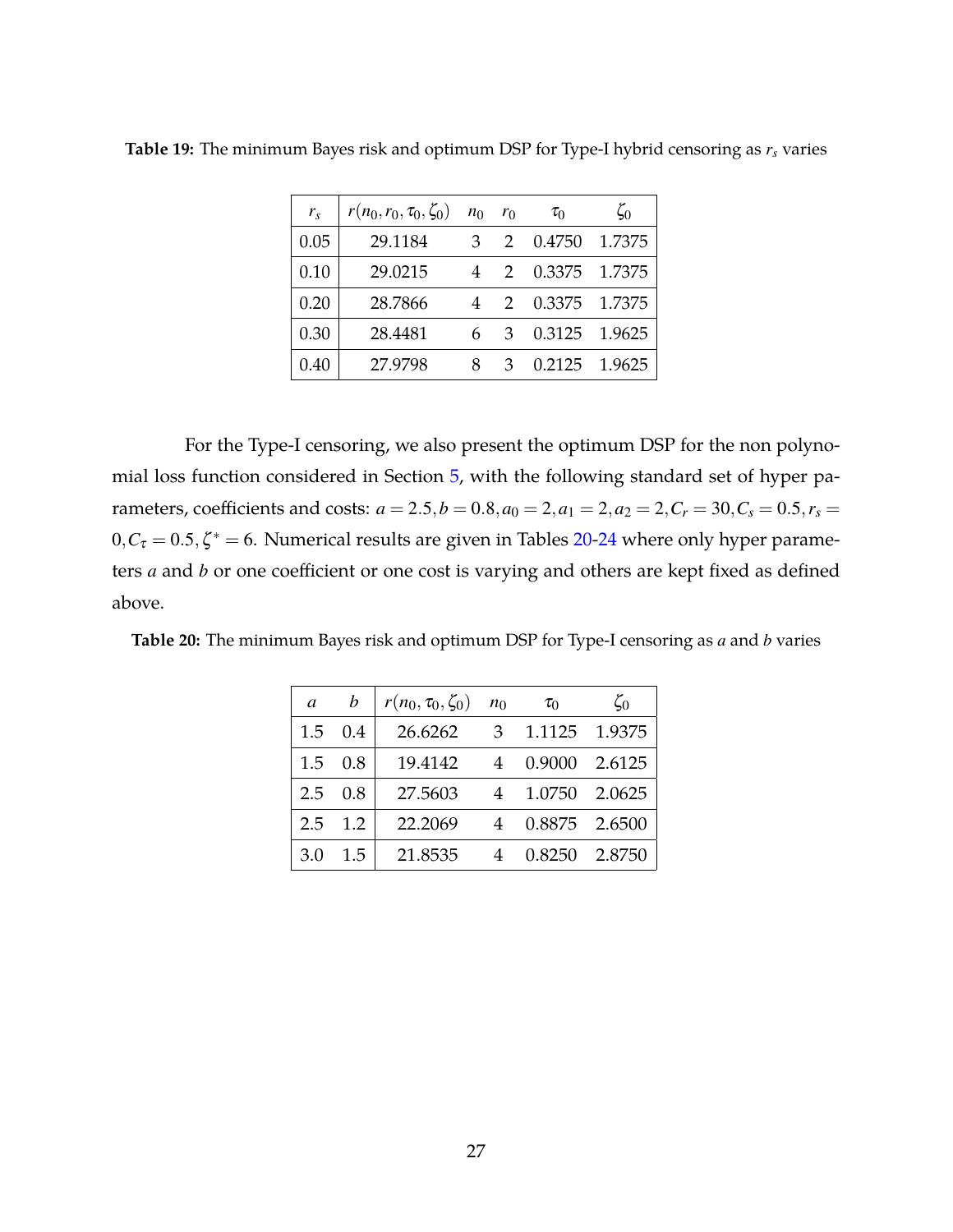| $r_{s}$ | $r(n_0,r_0,\tau_0,\zeta_0)$ | $n_0$ | $r_0$         | $\tau_0$ | $\zeta_0$ |
|---------|-----------------------------|-------|---------------|----------|-----------|
| 0.05    | 29.1184                     | 3     | $\mathcal{P}$ | 0.4750   | 1.7375    |
| 0.10    | 29.0215                     | 4     | $\mathcal{D}$ | 0.3375   | 1.7375    |
| 0.20    | 28.7866                     | 4     | $\mathcal{P}$ | 0.3375   | 1.7375    |
| 0.30    | 28.4481                     |       | З             | 0.3125   | 1.9625    |
| 0.40    | 27.9798                     | 8     | З             | 0.2125   | 1.9625    |

<span id="page-26-0"></span>**Table 19:** The minimum Bayes risk and optimum DSP for Type-I hybrid censoring as *r<sup>s</sup>* varies

For the Type-I censoring, we also present the optimum DSP for the non polynomial loss function considered in Section [5,](#page-10-0) with the following standard set of hyper parameters, coefficients and costs:  $a = 2.5, b = 0.8, a_0 = 2, a_1 = 2, a_2 = 2, C_r = 30, C_s = 0.5, r_s = 1.5$  $0, C_{\tau} = 0.5, \zeta^* = 6$ . Numerical results are given in Tables [20-](#page-26-1)[24](#page-28-1) where only hyper parameters *a* and *b* or one coefficient or one cost is varying and others are kept fixed as defined above.

<span id="page-26-1"></span>**Table 20:** The minimum Bayes risk and optimum DSP for Type-I censoring as *a* and *b* varies

| $\mathfrak a$ | h             | $r(n_0, \tau_0, \zeta_0)$ | n <sub>0</sub> | $\tau_0$ | $\zeta_0$     |
|---------------|---------------|---------------------------|----------------|----------|---------------|
| 1.5           | 0.4           | 26.6262                   | 3              |          | 1.1125 1.9375 |
| 1.5           | 0.8           | 19.4142                   | 4              | 0.9000   | 2.6125        |
| 2.5           | 0.8           | 27.5603                   | 4              | 1.0750   | 2.0625        |
| 2.5           | 1.2           | 22.2069                   |                |          | 0.8875 2.6500 |
| 3.0           | $1.5^{\circ}$ | 21.8535                   |                | 0.8250   | 2.8750        |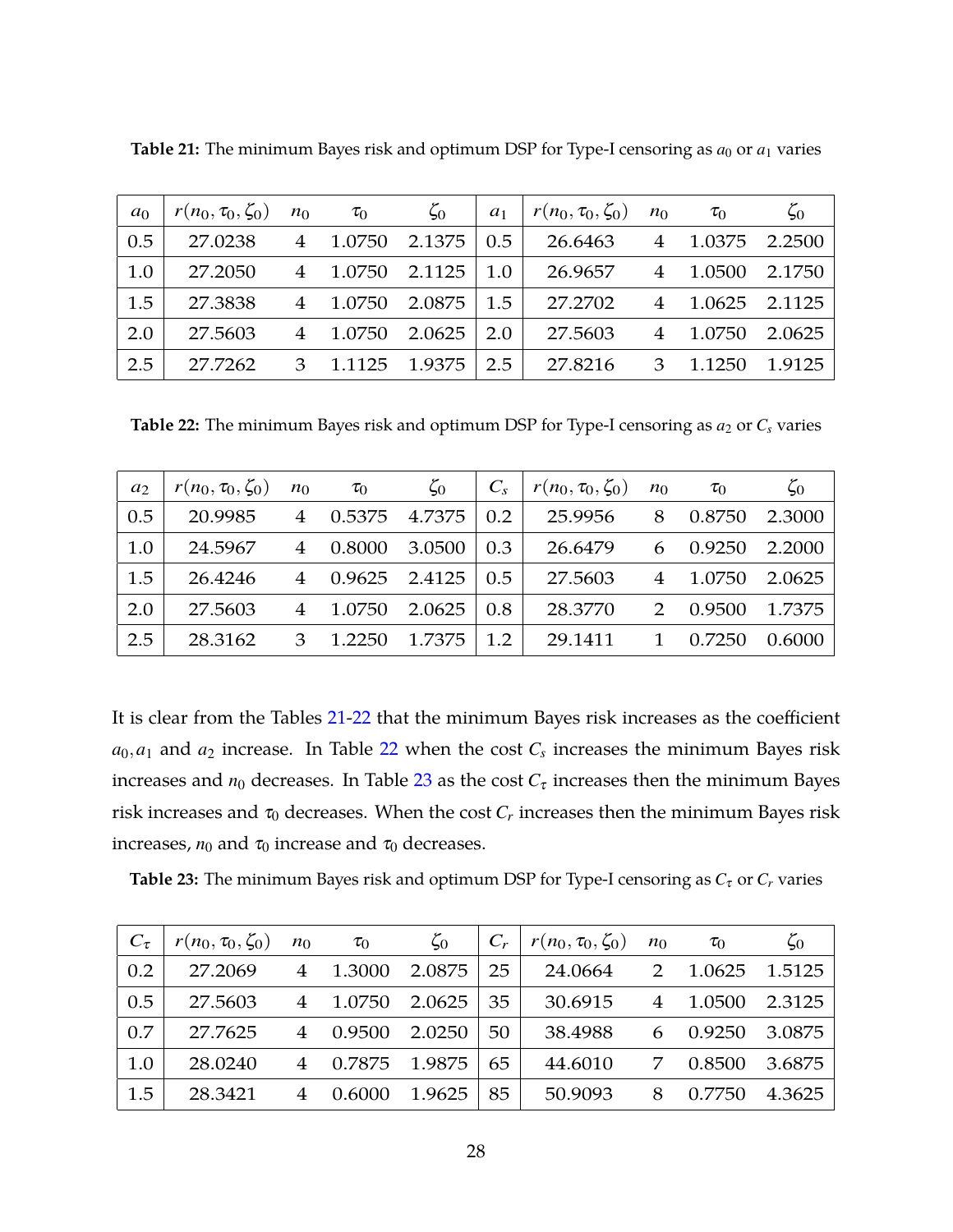| a <sub>0</sub> | $r(n_0, \tau_0, \zeta_0)$ | $n_0$          | $\tau_0$ | $\zeta_0$ | $a_1$ | $r(n_0, \tau_0, \zeta_0)$ | $n_0$          | $\tau_0$ | $\zeta_0$     |
|----------------|---------------------------|----------------|----------|-----------|-------|---------------------------|----------------|----------|---------------|
| 0.5            | 27.0238                   | $\overline{4}$ | 1.0750   | 2.1375    | 0.5   | 26.6463                   | $\overline{4}$ | 1.0375   | 2.2500        |
| 1.0            | 27.2050                   | $\overline{4}$ | 1.0750   | 2.1125    | 1.0   | 26.9657                   | $\overline{4}$ | 1.0500   | 2.1750        |
| 1.5            | 27.3838                   | $\overline{4}$ | 1.0750   | 2.0875    | 1.5   | 27.2702                   | 4              |          | 1.0625 2.1125 |
| 2.0            | 27.5603                   |                | 1.0750   | 2.0625    | 2.0   | 27.5603                   | 4              | 1.0750   | 2.0625        |
| 2.5            | 27.7262                   | 3              | 1.1125   | 1.9375    | 2.5   | 27.8216                   | 3              | 1.1250   | 1.9125        |

<span id="page-27-0"></span>**Table 21:** The minimum Bayes risk and optimum DSP for Type-I censoring as  $a_0$  or  $a_1$  varies

<span id="page-27-1"></span>**Table 22:** The minimum Bayes risk and optimum DSP for Type-I censoring as  $a_2$  or  $C_s$  varies

| $a_2$ | $r(n_0, \tau_0, \zeta_0)$ | $n_0$ | $\tau_0$ | $\zeta_0$     | $C_{S}$ | $r(n_0, \tau_0, \zeta_0)$ | $n_0$ | $\tau_0$ | $\zeta_0$ |
|-------|---------------------------|-------|----------|---------------|---------|---------------------------|-------|----------|-----------|
| 0.5   | 20.9985                   | 4     | 0.5375   | 4.7375        | 0.2     | 25.9956                   | 8     | 0.8750   | 2.3000    |
| 1.0   | 24.5967                   | 4     | 0.8000   | 3.0500        | 0.3     | 26.6479                   | 6     | 0.9250   | 2.2000    |
| 1.5   | 26.4246                   | 4     |          | 0.9625 2.4125 | 0.5     | 27.5603                   | 4     | 1.0750   | 2.0625    |
| 2.0   | 27.5603                   |       | 1.0750   | 2.0625        | 0.8     | 28.3770                   | 2     | 0.9500   | 1.7375    |
| 2.5   | 28.3162                   | З     | 1.2250   | 1.7375        | 1.2     | 29.1411                   | 1     | 0.7250   | 0.6000    |

It is clear from the Tables [21-](#page-27-0)[22](#page-27-1) that the minimum Bayes risk increases as the coefficient  $a_0, a_1$  and  $a_2$  increase. In Table [22](#page-27-1) when the cost  $C_s$  increases the minimum Bayes risk increases and  $n_0$  decreases. In Table [23](#page-27-2) as the cost  $C_\tau$  increases then the minimum Bayes risk increases and  $\tau_0$  decreases. When the cost  $C_r$  increases then the minimum Bayes risk increases,  $n_0$  and  $\tau_0$  increase and  $\tau_0$  decreases.

<span id="page-27-2"></span>**Table 23:** The minimum Bayes risk and optimum DSP for Type-I censoring as  $C_{\tau}$  or  $C_r$  varies

| $C_{\tau}$ | $r(n_0, \tau_0, \zeta_0)$ | $n_0$          | $\tau_0$ | $\zeta_0$ |    | $r(n_0, \tau_0, \zeta_0)$ | $n_0$          | $\tau_0$ | $\zeta_0$ |
|------------|---------------------------|----------------|----------|-----------|----|---------------------------|----------------|----------|-----------|
| 0.2        | 27.2069                   | $\overline{4}$ | 1.3000   | 2.0875    | 25 | 24.0664                   | $\mathcal{P}$  | 1.0625   | 1.5125    |
| 0.5        | 27.5603                   | 4              | 1.0750   | 2.0625    | 35 | 30.6915                   | $\overline{4}$ | 1.0500   | 2.3125    |
| 0.7        | 27.7625                   | $\overline{4}$ | 0.9500   | 2.0250    | 50 | 38.4988                   | 6              | 0.9250   | 3.0875    |
| 1.0        | 28.0240                   | $\overline{4}$ | 0.7875   | 1.9875    | 65 | 44.6010                   | 7              | 0.8500   | 3.6875    |
| 1.5        | 28.3421                   |                | 0.6000   | 1.9625    | 85 | 50.9093                   | 8              | 0.7750   | 4.3625    |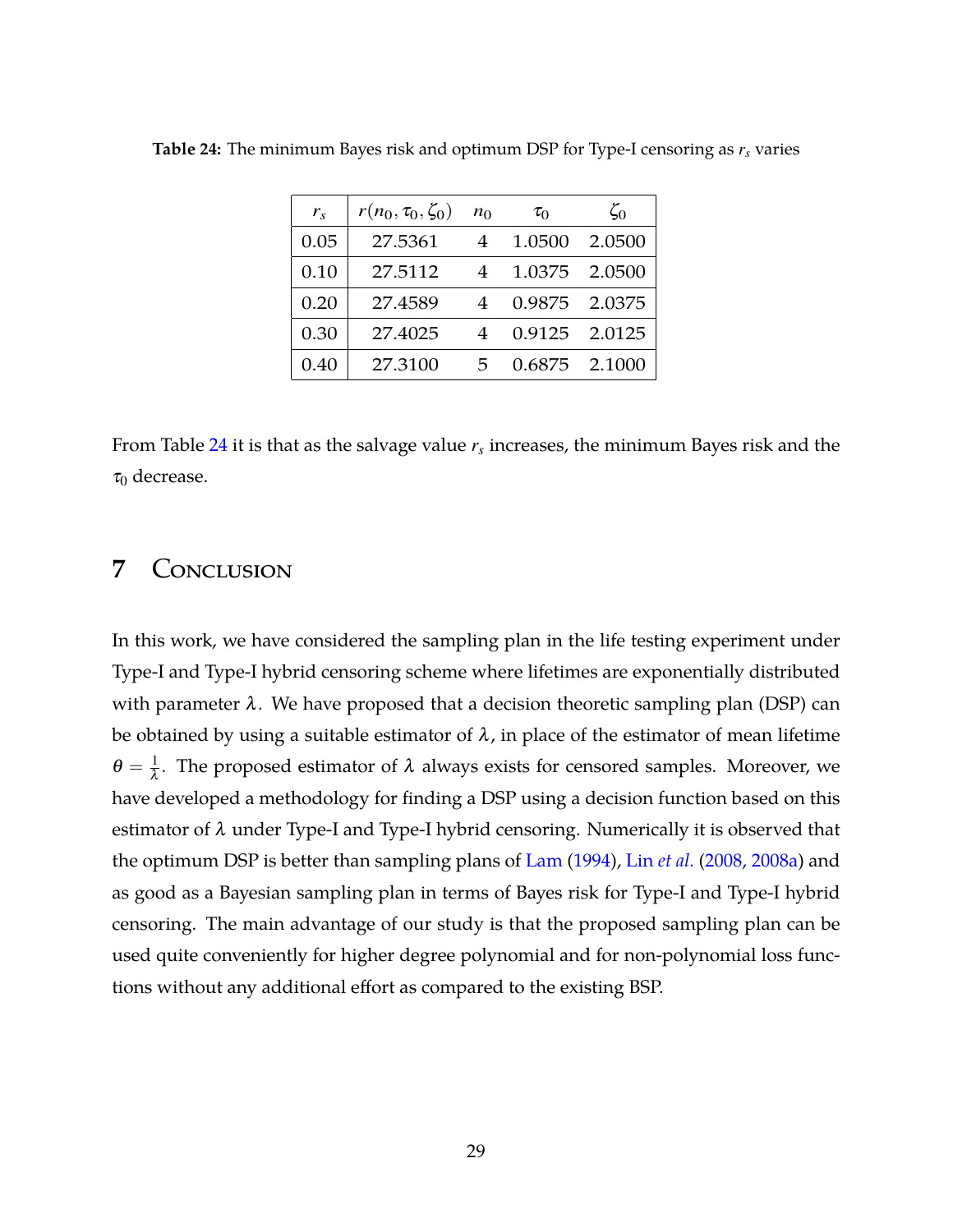| $r_{s}$ | $r(n_0, \tau_0, \zeta_0)$ | $n_0$ | $\tau_0$ | $\zeta_0$     |
|---------|---------------------------|-------|----------|---------------|
| 0.05    | 27.5361                   | 4     | 1.0500   | 2.0500        |
| 0.10    | 27.5112                   | 4     | 1.0375   | 2.0500        |
| 0.20    | 27.4589                   | 4     | 0.9875   | 2.0375        |
| 0.30    | 27.4025                   | 4     |          | 0.9125 2.0125 |
| 0.40    | 27.3100                   | 5     |          | 0.6875 2.1000 |

<span id="page-28-1"></span>**Table 24:** The minimum Bayes risk and optimum DSP for Type-I censoring as *r<sup>s</sup>* varies

<span id="page-28-0"></span>From Table [24](#page-28-1) it is that as the salvage value *r<sup>s</sup>* increases, the minimum Bayes risk and the  $\tau_0$  decrease.

# **7** Conclusion

In this work, we have considered the sampling plan in the life testing experiment under Type-I and Type-I hybrid censoring scheme where lifetimes are exponentially distributed with parameter  $\lambda$ . We have proposed that a decision theoretic sampling plan (DSP) can be obtained by using a suitable estimator of  $\lambda$ , in place of the estimator of mean lifetime  $\theta = \frac{1}{\lambda}$ . The proposed estimator of  $\lambda$  always exists for censored samples. Moreover, we have developed a methodology for finding a DSP using a decision function based on this estimator of  $\lambda$  under Type-I and Type-I hybrid censoring. Numerically it is observed that the optimum DSP is better than sampling plans of [Lam](#page-34-1) [\(1994](#page-34-1)), Lin *[et al.](#page-34-2)* [\(2008, 2008a\)](#page-34-2) and as good as a Bayesian sampling plan in terms of Bayes risk for Type-I and Type-I hybrid censoring. The main advantage of our study is that the proposed sampling plan can be used quite conveniently for higher degree polynomial and for non-polynomial loss functions without any additional effort as compared to the existing BSP.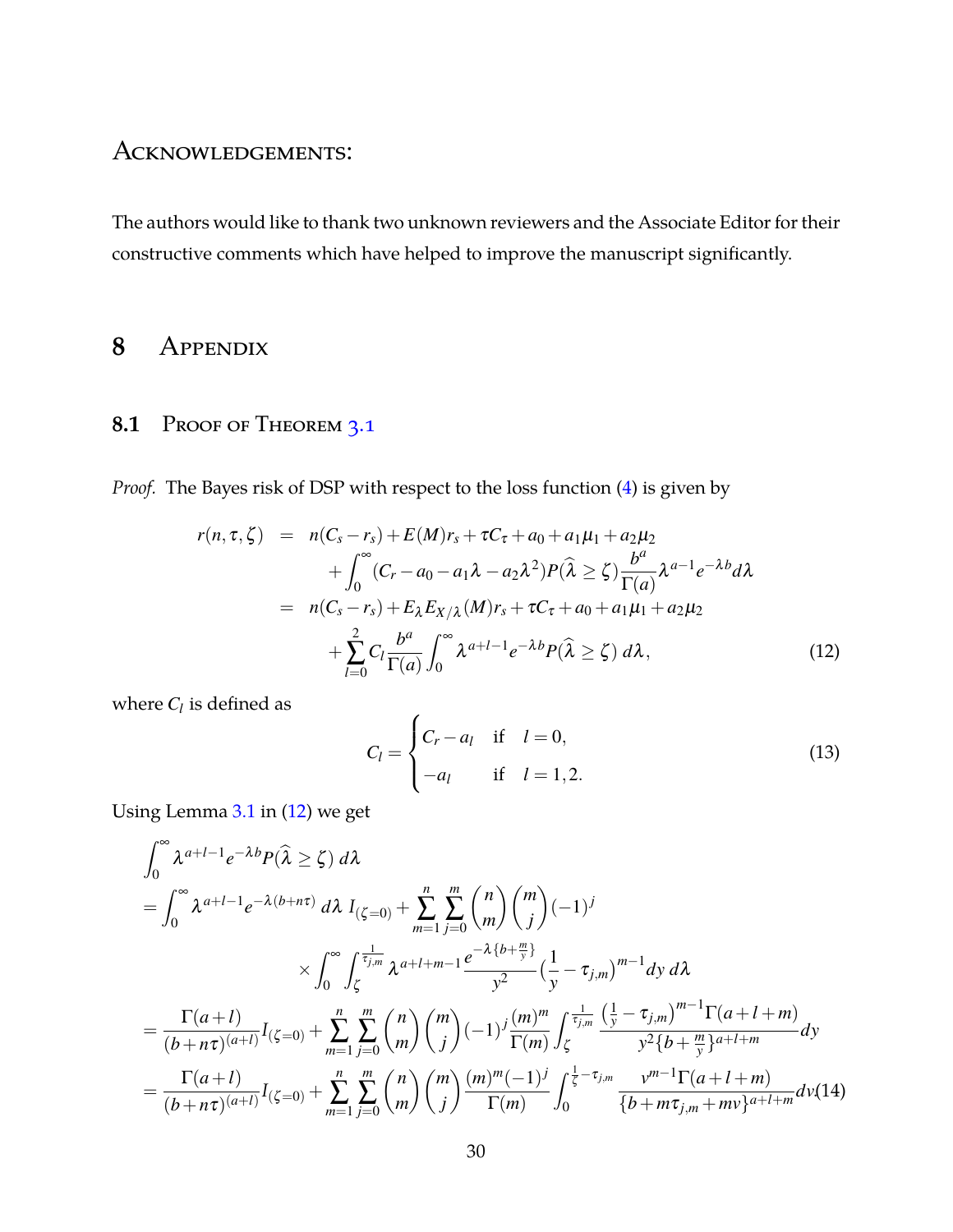# Acknowledgements:

The authors would like to thank two unknown reviewers and the Associate Editor for their constructive comments which have helped to improve the manuscript significantly.

# **8** Appendix

### 8.1 Proof of Theorem [3.1](#page-6-0)

*Proof.* The Bayes risk of DSP with respect to the loss function [\(4\)](#page-4-2) is given by

<span id="page-29-0"></span>
$$
r(n, \tau, \zeta) = n(C_s - r_s) + E(M)r_s + \tau C_{\tau} + a_0 + a_1\mu_1 + a_2\mu_2
$$
  
+ 
$$
\int_0^{\infty} (C_r - a_0 - a_1\lambda - a_2\lambda^2) P(\hat{\lambda} \ge \zeta) \frac{b^a}{\Gamma(a)} \lambda^{a-1} e^{-\lambda b} d\lambda
$$
  
= 
$$
n(C_s - r_s) + E_{\lambda} E_{X/\lambda}(M)r_s + \tau C_{\tau} + a_0 + a_1\mu_1 + a_2\mu_2
$$
  
+ 
$$
\sum_{l=0}^2 C_l \frac{b^a}{\Gamma(a)} \int_0^{\infty} \lambda^{a+l-1} e^{-\lambda b} P(\hat{\lambda} \ge \zeta) d\lambda,
$$
 (12)

where  $C_l$  is defined as

$$
C_{l} = \begin{cases} C_{r} - a_{l} & \text{if } l = 0, \\ -a_{l} & \text{if } l = 1, 2. \end{cases}
$$
 (13)

Using Lemma [3.1](#page-5-0) in [\(12\)](#page-29-0) we get

<span id="page-29-1"></span>
$$
\int_{0}^{\infty} \lambda^{a+l-1} e^{-\lambda b} P(\hat{\lambda} \ge \zeta) d\lambda
$$
\n
$$
= \int_{0}^{\infty} \lambda^{a+l-1} e^{-\lambda (b+n\tau)} d\lambda I_{(\zeta=0)} + \sum_{m=1}^{n} \sum_{j=0}^{m} {n \choose m} {m \choose j} (-1)^{j}
$$
\n
$$
\times \int_{0}^{\infty} \int_{\zeta}^{\frac{1}{\tau_{j,m}}} \lambda^{a+l+m-1} \frac{e^{-\lambda \{b+\frac{m}{y}\}}}{y^{2}} \left(\frac{1}{y} - \tau_{j,m}\right)^{m-1} dy d\lambda
$$
\n
$$
= \frac{\Gamma(a+l)}{(b+n\tau)^{(a+l)}} I_{(\zeta=0)} + \sum_{m=1}^{n} \sum_{j=0}^{m} {n \choose m} {m \choose j} (-1)^{j} \frac{(m)^{m}}{\Gamma(m)} \int_{\zeta}^{\frac{1}{\tau_{j,m}}} \frac{\left(\frac{1}{y} - \tau_{j,m}\right)^{m-1} \Gamma(a+l+m)}{y^{2} \{b+\frac{m}{y}\}^{a+l+m}} dy
$$
\n
$$
= \frac{\Gamma(a+l)}{(b+n\tau)^{(a+l)}} I_{(\zeta=0)} + \sum_{m=1}^{n} \sum_{j=0}^{m} {n \choose m} {m \choose j} \frac{(m)^{m}(-1)^{j}}{\Gamma(m)} \int_{0}^{\frac{1}{\zeta} - \tau_{j,m}} \frac{v^{m-1} \Gamma(a+l+m)}{\{b+m\tau_{j,m}+m\nu\}^{a+l+m}} dv(14)
$$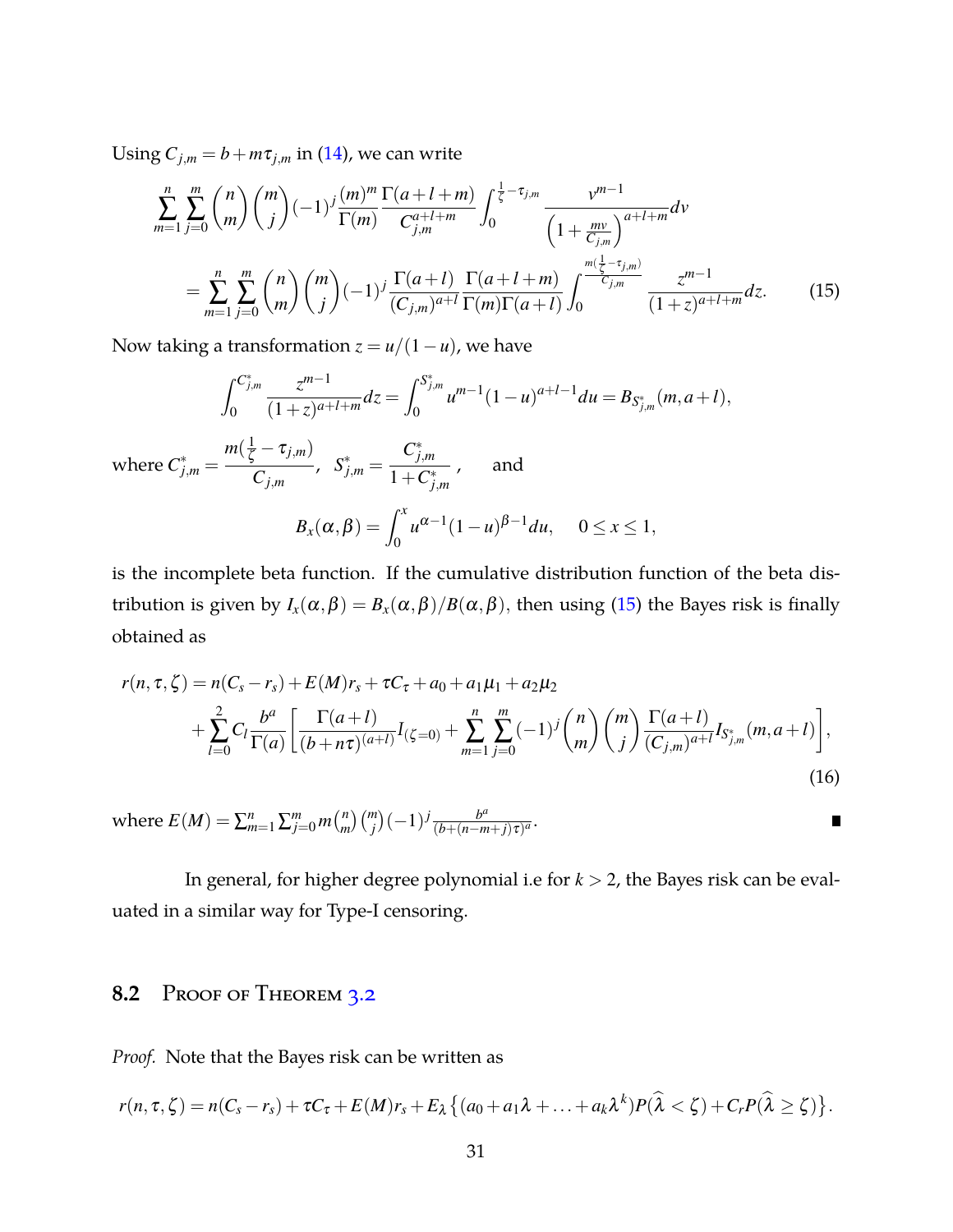Using  $C_{j,m} = b + m\tau_{j,m}$  in [\(14\)](#page-29-1), we can write

<span id="page-30-0"></span>
$$
\sum_{m=1}^{n} \sum_{j=0}^{m} {n \choose m} {m \choose j} (-1)^j \frac{(m)^m}{\Gamma(m)} \frac{\Gamma(a+l+m)}{C_{j,m}^{a+l+m}} \int_0^{\frac{1}{\zeta}-\tau_{j,m}} \frac{v^{m-1}}{\left(1+\frac{mv}{C_{j,m}}\right)^{a+l+m}} dv
$$
\n
$$
= \sum_{m=1}^{n} \sum_{j=0}^{m} {n \choose m} {m \choose j} (-1)^j \frac{\Gamma(a+l)}{(C_{j,m})^{a+l}} \frac{\Gamma(a+l+m)}{\Gamma(m)\Gamma(a+l)} \int_0^{\frac{m(\frac{1}{\zeta}-\tau_{j,m})}{C_{j,m}}} \frac{z^{m-1}}{(1+z)^{a+l+m}} dz.
$$
\n(15)

Now taking a transformation  $z = u/(1 - u)$ , we have

$$
\int_0^{C_{j,m}^*} \frac{z^{m-1}}{(1+z)^{a+l+m}} dz = \int_0^{S_{j,m}^*} u^{m-1} (1-u)^{a+l-1} du = B_{S_{j,m}^*}(m, a+l),
$$
  
where  $C_{j,m}^* = \frac{m(\frac{1}{\zeta} - \tau_{j,m})}{C_{j,m}}$ ,  $S_{j,m}^* = \frac{C_{j,m}^*}{1 + C_{j,m}^*}$ , and  

$$
B_x(\alpha, \beta) = \int_0^x u^{\alpha-1} (1-u)^{\beta-1} du, \quad 0 \le x \le 1,
$$

is the incomplete beta function. If the cumulative distribution function of the beta distribution is given by  $I_x(\alpha, \beta) = B_x(\alpha, \beta)/B(\alpha, \beta)$ , then using [\(15\)](#page-30-0) the Bayes risk is finally obtained as

$$
r(n, \tau, \zeta) = n(C_s - r_s) + E(M)r_s + \tau C_{\tau} + a_0 + a_1\mu_1 + a_2\mu_2
$$
  
+ 
$$
\sum_{l=0}^{2} C_l \frac{b^a}{\Gamma(a)} \left[ \frac{\Gamma(a+l)}{(b+n\tau)^{(a+l)}} I_{(\zeta=0)} + \sum_{m=1}^{n} \sum_{j=0}^{m} (-1)^j {n \choose m} {m \choose j} \frac{\Gamma(a+l)}{(C_{j,m})^{a+l}} I_{S_{j,m}^*}(m, a+l) \right],
$$
(16)

 $\binom{n}{j}$  $\binom{m}{j}$  $\frac{b^a}{(b+(n-m))}$ where  $E(M) = \sum_{m=1}^{n} \sum_{j=0}^{m} m {n \choose m}$  $\frac{b^{\alpha}}{(b+(n-m+j)\tau)^{a}}$ .  $\blacksquare$ 

In general, for higher degree polynomial i.e for *k* > 2, the Bayes risk can be evaluated in a similar way for Type-I censoring.

### 8.2 Proof of Theorem [3.2](#page-7-2)

*Proof.* Note that the Bayes risk can be written as

$$
r(n,\tau,\zeta)=n(C_s-r_s)+\tau C_{\tau}+E(M)r_s+E_{\lambda}\big\{(a_0+a_1\lambda+\ldots+a_k\lambda^k)P(\widehat{\lambda}<\zeta)+C_rP(\widehat{\lambda}\geq\zeta)\big\}.
$$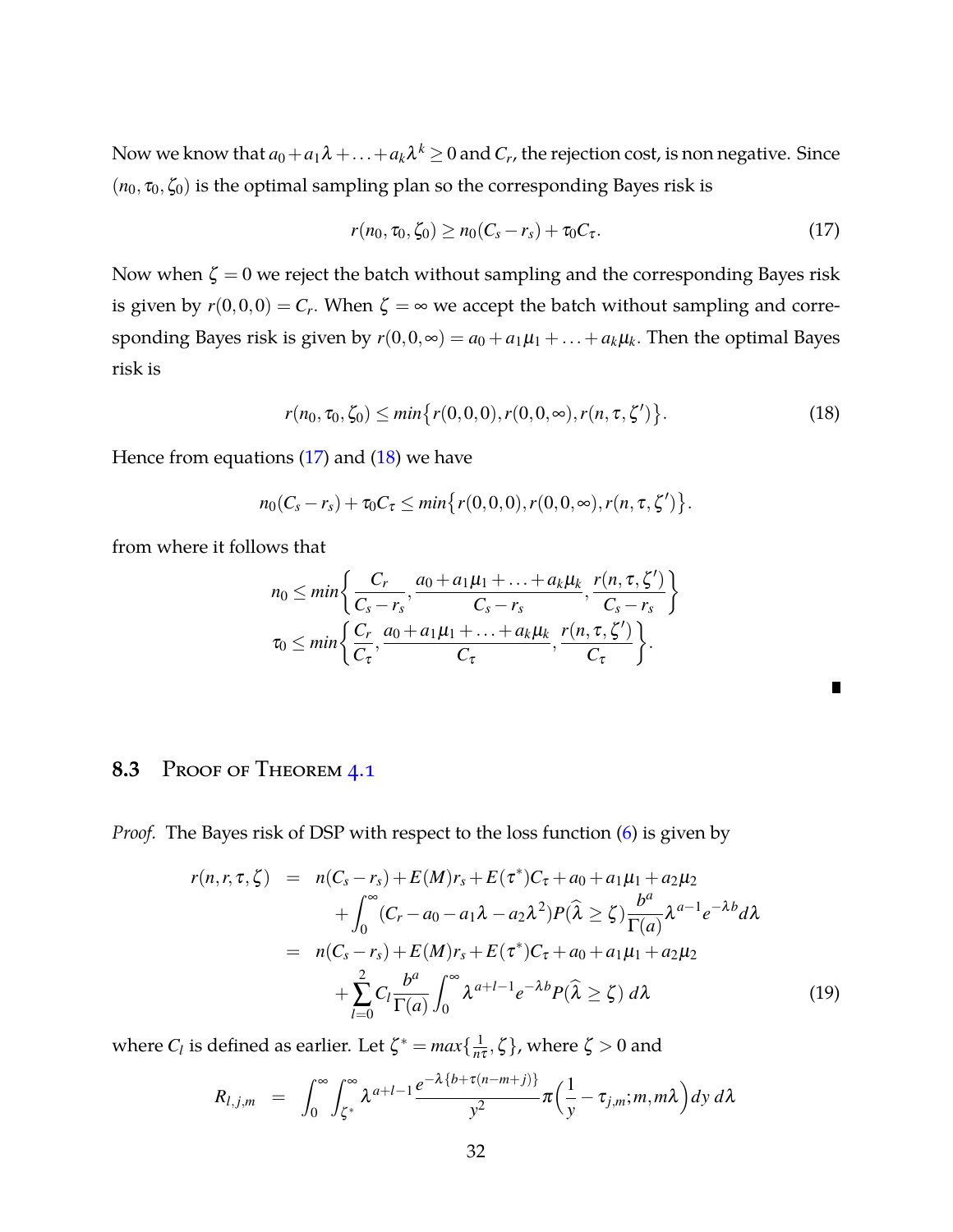Now we know that  $a_0+a_1\lambda+\ldots+a_k\lambda^k\geq 0$  and  $C_r$ , the rejection cost, is non negative. Since  $(n_0, \tau_0, \zeta_0)$  is the optimal sampling plan so the corresponding Bayes risk is

<span id="page-31-1"></span><span id="page-31-0"></span>
$$
r(n_0, \tau_0, \zeta_0) \ge n_0(C_s - r_s) + \tau_0 C_\tau. \tag{17}
$$

Now when  $\zeta = 0$  we reject the batch without sampling and the corresponding Bayes risk is given by  $r(0,0,0) = C_r$ . When  $\zeta = \infty$  we accept the batch without sampling and corresponding Bayes risk is given by  $r(0,0,\infty) = a_0 + a_1\mu_1 + \ldots + a_k\mu_k$ . Then the optimal Bayes risk is

$$
r(n_0, \tau_0, \zeta_0) \le \min\{r(0, 0, 0), r(0, 0, \infty), r(n, \tau, \zeta')\}.
$$
 (18)

Hence from equations  $(17)$  and  $(18)$  we have

$$
n_0(C_s - r_s) + \tau_0 C_{\tau} \leq \min\{r(0,0,0), r(0,0,\infty), r(n,\tau,\zeta')\}.
$$

from where it follows that

$$
n_0 \leq min \bigg\{ \frac{C_r}{C_s - r_s}, \frac{a_0 + a_1\mu_1 + \ldots + a_k\mu_k}{C_s - r_s}, \frac{r(n, \tau, \zeta')}{C_s - r_s} \bigg\}
$$
  

$$
\tau_0 \leq min \bigg\{ \frac{C_r}{C_\tau}, \frac{a_0 + a_1\mu_1 + \ldots + a_k\mu_k}{C_\tau}, \frac{r(n, \tau, \zeta')}{C_\tau} \bigg\}.
$$

### **8.3** Proof of Theorem [4.1](#page-8-0)

*Proof.* The Bayes risk of DSP with respect to the loss function [\(6\)](#page-7-1) is given by

<span id="page-31-2"></span>
$$
r(n,r,\tau,\zeta) = n(C_s - r_s) + E(M)r_s + E(\tau^*)C_{\tau} + a_0 + a_1\mu_1 + a_2\mu_2
$$
  
+ 
$$
\int_0^{\infty} (C_r - a_0 - a_1\lambda - a_2\lambda^2)P(\widehat{\lambda} \ge \zeta) \frac{b^a}{\Gamma(a)} \lambda^{a-1} e^{-\lambda b} d\lambda
$$
  
= 
$$
n(C_s - r_s) + E(M)r_s + E(\tau^*)C_{\tau} + a_0 + a_1\mu_1 + a_2\mu_2
$$
  
+ 
$$
\sum_{l=0}^2 C_l \frac{b^a}{\Gamma(a)} \int_0^{\infty} \lambda^{a+l-1} e^{-\lambda b} P(\widehat{\lambda} \ge \zeta) d\lambda
$$
 (19)

where  $C_l$  is defined as earlier. Let  $\zeta^* = max\{\frac{1}{n^2}\}$  $\frac{1}{n\tau}, \zeta$ , where  $\zeta > 0$  and

$$
R_{l,j,m} = \int_0^\infty \int_{\zeta^*}^\infty \lambda^{a+l-1} \frac{e^{-\lambda\{b+\tau(n-m+j)\}}}{y^2} \pi \left(\frac{1}{y} - \tau_{j,m}; m, m\lambda\right) dy d\lambda
$$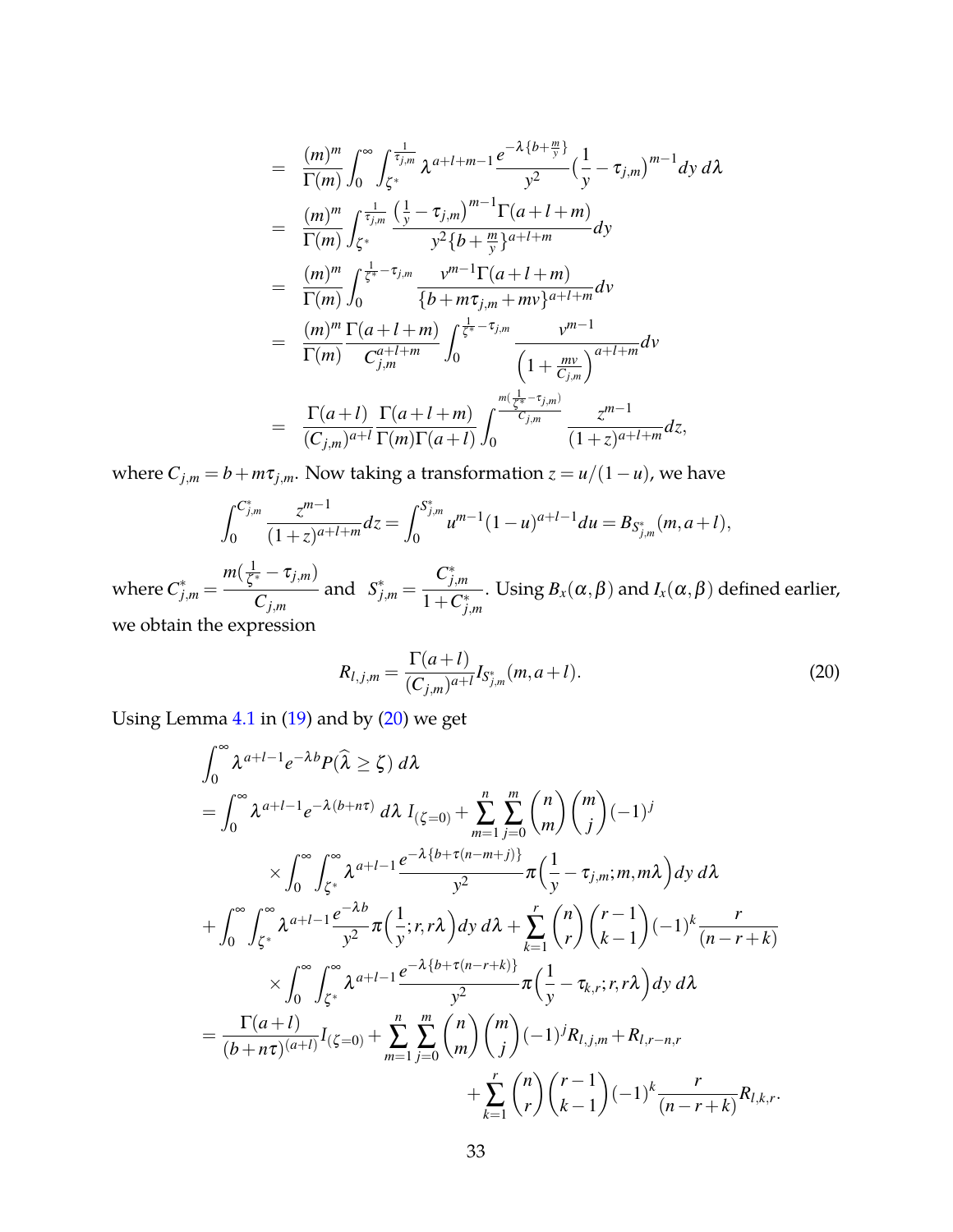$$
= \frac{(m)^m}{\Gamma(m)} \int_0^{\infty} \int_{\zeta^*} \frac{1}{\tau_{j,m}} \, \lambda^{a+l+m-1} \frac{e^{-\lambda \{b+\frac{m}{y}\}}}{y^2} \left(\frac{1}{y} - \tau_{j,m}\right)^{m-1} dy \, d\lambda
$$
  
\n
$$
= \frac{(m)^m}{\Gamma(m)} \int_{\zeta^*} \frac{1}{\tau_{j,m}} \frac{\left(\frac{1}{y} - \tau_{j,m}\right)^{m-1} \Gamma(a+l+m)}{y^2 \{b+\frac{m}{y}\}^{a+l+m}} dy
$$
  
\n
$$
= \frac{(m)^m}{\Gamma(m)} \int_0^{\frac{1}{\zeta^*} - \tau_{j,m}} \frac{v^{m-1} \Gamma(a+l+m)}{\{b+m\tau_{j,m}+mv\}^{a+l+m}} dv
$$
  
\n
$$
= \frac{(m)^m}{\Gamma(m)} \frac{\Gamma(a+l+m)}{C_{j,m}^{a+l+m}} \int_0^{\frac{1}{\zeta^*} - \tau_{j,m}} \frac{v^{m-1}}{\left(1 + \frac{mv}{C_{j,m}}\right)^{a+l+m}} dv
$$
  
\n
$$
= \frac{\Gamma(a+l)}{(C_{j,m})^{a+l}} \frac{\Gamma(a+l+m)}{\Gamma(m)\Gamma(a+l)} \int_0^{\frac{m(\frac{1}{\zeta^*} - \tau_{j,m})}{C_{j,m}}} \frac{z^{m-1}}{(1+z)^{a+l+m}} dz,
$$

where  $C_{j,m} = b + m\tau_{j,m}$ . Now taking a transformation  $z = u/(1 - u)$ , we have

$$
\int_0^{C_{j,m}^*} \frac{z^{m-1}}{(1+z)^{a+l+m}} dz = \int_0^{S_{j,m}^*} u^{m-1} (1-u)^{a+l-1} du = B_{S_{j,m}^*}(m, a+l),
$$

where  $C^*_{j,m} =$  $m(\frac{1}{\epsilon})$  $\frac{1}{\zeta^*}-\tau_{j,m})$ *Cj*,*<sup>m</sup>* and  $S^*_{j,m} =$ *C* ∗ *j*,*m*  $1+C^*_{j,m}$ . Using  $B_{\scriptscriptstyle X}(\alpha,\beta)$  and  $I_{\scriptscriptstyle X}(\alpha,\beta)$  defined earlier, we obtain the expression

<span id="page-32-0"></span>
$$
R_{l,j,m} = \frac{\Gamma(a+l)}{(C_{j,m})^{a+l}} I_{S_{j,m}^*}(m, a+l).
$$
 (20)

Using Lemma  $4.1$  in  $(19)$  and by  $(20)$  we get

$$
\int_{0}^{\infty} \lambda^{a+l-1} e^{-\lambda b} P(\hat{\lambda} \ge \zeta) d\lambda
$$
\n=
$$
\int_{0}^{\infty} \lambda^{a+l-1} e^{-\lambda (b+n\tau)} d\lambda I_{(\zeta=0)} + \sum_{m=1}^{n} \sum_{j=0}^{m} {n \choose m} {m \choose j} (-1)^{j}
$$
\n
$$
\times \int_{0}^{\infty} \int_{\zeta^{*}}^{\infty} \lambda^{a+l-1} \frac{e^{-\lambda \{b+\tau (n-m+j)\}}}{y^{2}} \pi \left(\frac{1}{y} - \tau_{j,m}; m, m\lambda\right) dy d\lambda
$$
\n
$$
+ \int_{0}^{\infty} \int_{\zeta^{*}}^{\infty} \lambda^{a+l-1} \frac{e^{-\lambda b}}{y^{2}} \pi \left(\frac{1}{y}; r, r\lambda\right) dy d\lambda + \sum_{k=1}^{r} {n \choose r} {r-1 \choose k-1} (-1)^{k} \frac{r}{(n-r+k)}
$$
\n
$$
\times \int_{0}^{\infty} \int_{\zeta^{*}}^{\infty} \lambda^{a+l-1} \frac{e^{-\lambda \{b+\tau (n-r+k)\}}}{y^{2}} \pi \left(\frac{1}{y} - \tau_{k,r}; r, r\lambda\right) dy d\lambda
$$
\n=
$$
\frac{\Gamma(a+l)}{(b+n\tau)^{(a+l)}} I_{(\zeta=0)} + \sum_{m=1}^{n} \sum_{j=0}^{m} {n \choose m} {m \choose j} (-1)^{j} R_{l,j,m} + R_{l,r-n,r}
$$
\n
$$
+ \sum_{k=1}^{r} {n \choose r} {r-1 \choose k-1} (-1)^{k} \frac{r}{(n-r+k)} R_{l,k,r}.
$$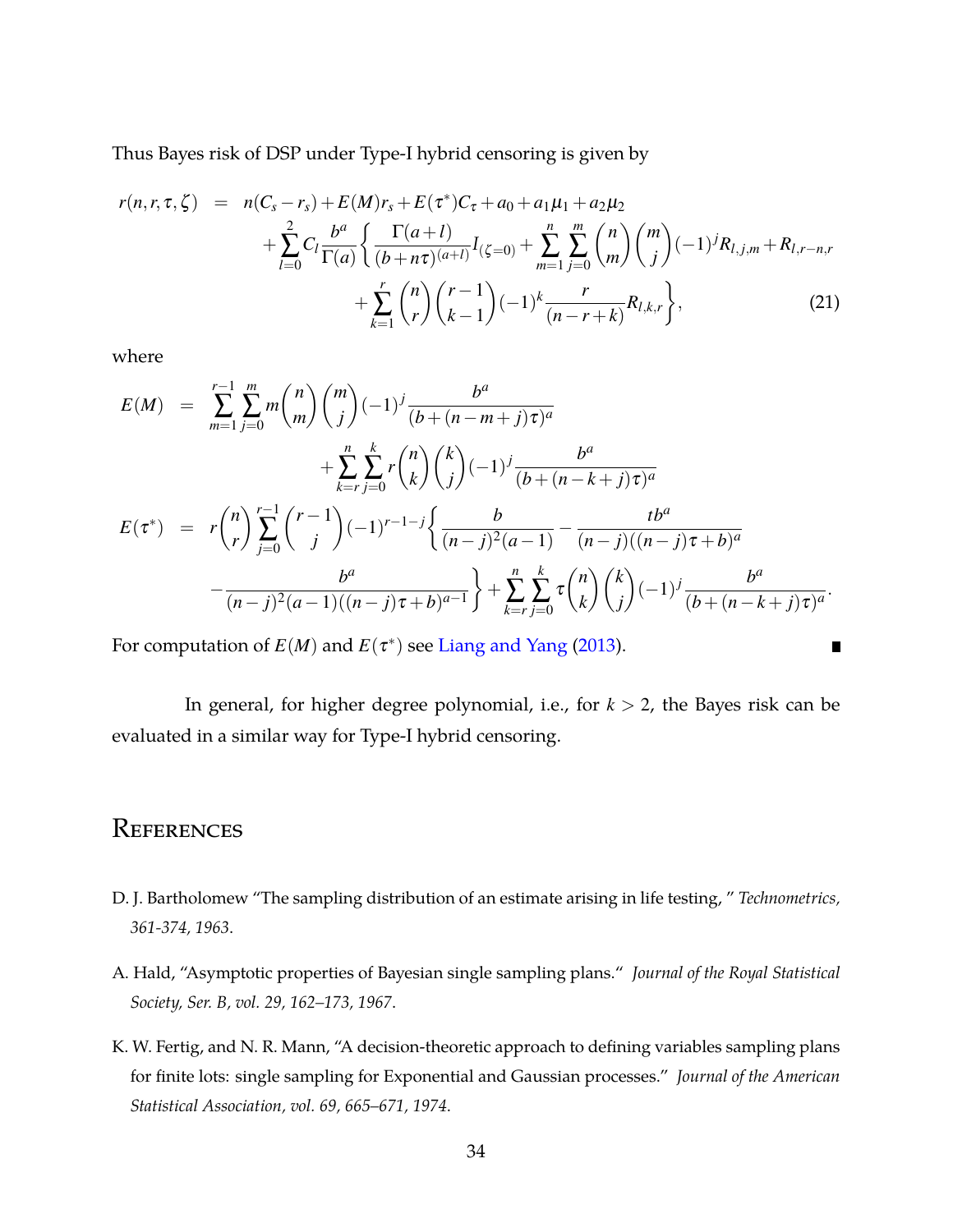Thus Bayes risk of DSP under Type-I hybrid censoring is given by

$$
r(n,r,\tau,\zeta) = n(C_s - r_s) + E(M)r_s + E(\tau^*)C_{\tau} + a_0 + a_1\mu_1 + a_2\mu_2
$$
  
+ 
$$
\sum_{l=0}^{2} C_l \frac{b^a}{\Gamma(a)} \left\{ \frac{\Gamma(a+l)}{(b+n\tau)^{(a+l)}} I_{(\zeta=0)} + \sum_{m=1}^{n} \sum_{j=0}^{m} {n \choose m} {m \choose j} (-1)^j R_{l,j,m} + R_{l,r-n,r} + \sum_{k=1}^{r} {n \choose r} {r-1 \choose k-1} (-1)^k \frac{r}{(n-r+k)} R_{l,k,r} \right\},
$$
(21)

where

$$
E(M) = \sum_{m=1}^{r-1} \sum_{j=0}^{m} m {n \choose m} {m \choose j} (-1)^j \frac{b^a}{(b + (n - m + j)\tau)^a} + \sum_{k=r}^{n} \sum_{j=0}^{k} r {n \choose k} {k \choose j} (-1)^j \frac{b^a}{(b + (n - k + j)\tau)^a} E(\tau^*) = r {n \choose r} \sum_{j=0}^{r-1} {r-1 \choose j} (-1)^{r-1-j} \left\{ \frac{b}{(n-j)^2(a-1)} - \frac{tb^a}{(n-j)((n-j)\tau+b)^a} - \frac{b^a}{(n-j)^2(a-1)((n-j)\tau+b)^{a-1}} \right\} + \sum_{k=r}^{n} \sum_{j=0}^{k} \tau {n \choose k} {k \choose j} (-1)^j \frac{b^a}{(b + (n-k+j)\tau)^a}.
$$

For computation of  $E(M)$  and  $E(\tau^*)$  see [Liang and Yang](#page-35-0) [\(2013\)](#page-35-0).

In general, for higher degree polynomial, i.e., for *k* > 2, the Bayes risk can be evaluated in a similar way for Type-I hybrid censoring.

 $\blacksquare$ 

### **REFERENCES**

- <span id="page-33-2"></span>D. J. Bartholomew "The sampling distribution of an estimate arising in life testing, " *Technometrics, 361-374, 1963*.
- <span id="page-33-0"></span>A. Hald, "Asymptotic properties of Bayesian single sampling plans." *Journal of the Royal Statistical Society, Ser. B, vol. 29, 162–173, 1967*.
- <span id="page-33-1"></span>K. W. Fertig, and N. R. Mann, "A decision-theoretic approach to defining variables sampling plans for finite lots: single sampling for Exponential and Gaussian processes." *Journal of the American Statistical Association, vol. 69, 665–671, 1974*.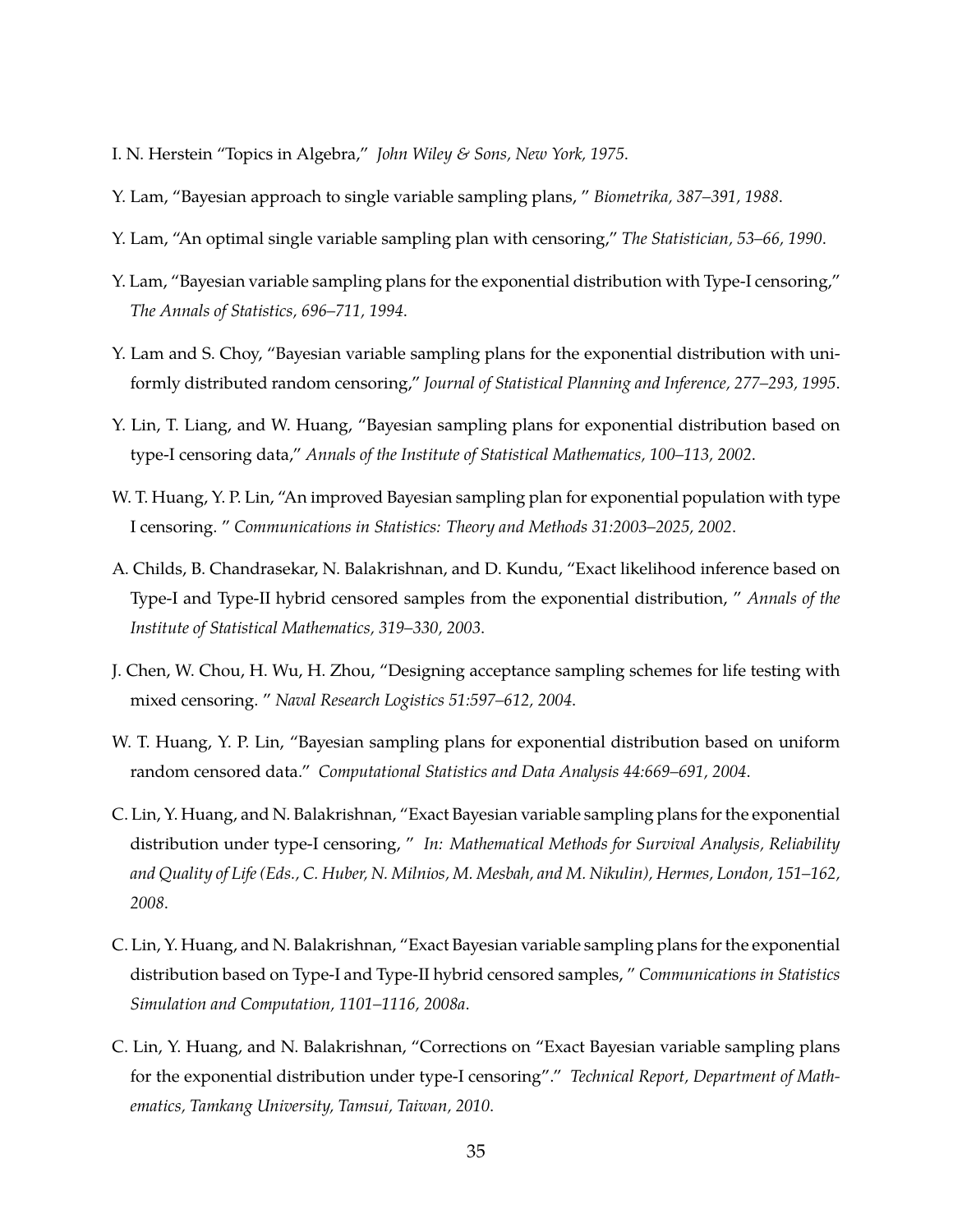- <span id="page-34-9"></span>I. N. Herstein "Topics in Algebra," *John Wiley & Sons, New York, 1975*.
- <span id="page-34-3"></span>Y. Lam, "Bayesian approach to single variable sampling plans, " *Biometrika, 387–391, 1988*.
- <span id="page-34-6"></span>Y. Lam, "An optimal single variable sampling plan with censoring," *The Statistician, 53–66, 1990*.
- <span id="page-34-1"></span>Y. Lam, "Bayesian variable sampling plans for the exponential distribution with Type-I censoring," *The Annals of Statistics, 696–711, 1994*.
- <span id="page-34-7"></span>Y. Lam and S. Choy, "Bayesian variable sampling plans for the exponential distribution with uniformly distributed random censoring," *Journal of Statistical Planning and Inference, 277–293, 1995*.
- <span id="page-34-0"></span>Y. Lin, T. Liang, and W. Huang, "Bayesian sampling plans for exponential distribution based on type-I censoring data," *Annals of the Institute of Statistical Mathematics, 100–113, 2002*.
- <span id="page-34-4"></span>W. T. Huang, Y. P. Lin, "An improved Bayesian sampling plan for exponential population with type I censoring. " *Communications in Statistics: Theory and Methods 31:2003–2025, 2002*.
- <span id="page-34-8"></span>A. Childs, B. Chandrasekar, N. Balakrishnan, and D. Kundu, "Exact likelihood inference based on Type-I and Type-II hybrid censored samples from the exponential distribution, " *Annals of the Institute of Statistical Mathematics, 319–330, 2003*.
- <span id="page-34-5"></span>J. Chen, W. Chou, H. Wu, H. Zhou, "Designing acceptance sampling schemes for life testing with mixed censoring. " *Naval Research Logistics 51:597–612, 2004*.
- W. T. Huang, Y. P. Lin, "Bayesian sampling plans for exponential distribution based on uniform random censored data." *Computational Statistics and Data Analysis 44:669–691, 2004*.
- <span id="page-34-2"></span>C. Lin, Y. Huang, and N. Balakrishnan, "Exact Bayesian variable sampling plans for the exponential distribution under type-I censoring, " *In: Mathematical Methods for Survival Analysis, Reliability and Quality of Life (Eds., C. Huber, N. Milnios, M. Mesbah, and M. Nikulin), Hermes, London, 151–162, 2008*.
- C. Lin, Y. Huang, and N. Balakrishnan, "Exact Bayesian variable sampling plans for the exponential distribution based on Type-I and Type-II hybrid censored samples, " *Communications in Statistics Simulation and Computation, 1101–1116, 2008a*.
- <span id="page-34-10"></span>C. Lin, Y. Huang, and N. Balakrishnan, "Corrections on "Exact Bayesian variable sampling plans for the exponential distribution under type-I censoring"." *Technical Report, Department of Mathematics, Tamkang University, Tamsui, Taiwan, 2010*.